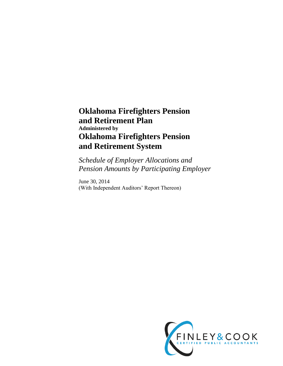# **Oklahoma Firefighters Pension and Retirement Plan Administered by Oklahoma Firefighters Pension and Retirement System**

*Schedule of Employer Allocations and Pension Amounts by Participating Employer*

June 30, 2014 (With Independent Auditors' Report Thereon)

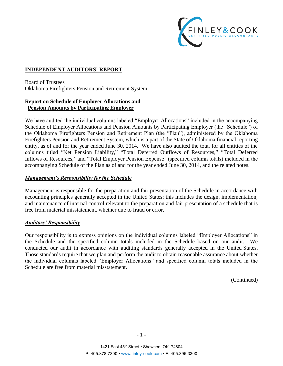

#### **INDEPENDENT AUDITORS' REPORT**

Board of Trustees Oklahoma Firefighters Pension and Retirement System

#### **Report on Schedule of Employer Allocations and Pension Amounts by Participating Employer**

We have audited the individual columns labeled "Employer Allocations" included in the accompanying Schedule of Employer Allocations and Pension Amounts by Participating Employer (the "Schedule") of the Oklahoma Firefighters Pension and Retirement Plan (the "Plan"), administered by the Oklahoma Firefighters Pension and Retirement System, which is a part of the State of Oklahoma financial reporting entity, as of and for the year ended June 30, 2014. We have also audited the total for all entities of the columns titled "Net Pension Liability," "Total Deferred Outflows of Resources," "Total Deferred Inflows of Resources," and "Total Employer Pension Expense" (specified column totals) included in the accompanying Schedule of the Plan as of and for the year ended June 30, 2014, and the related notes.

#### *Management's Responsibility for the Schedule*

Management is responsible for the preparation and fair presentation of the Schedule in accordance with accounting principles generally accepted in the United States; this includes the design, implementation, and maintenance of internal control relevant to the preparation and fair presentation of a schedule that is free from material misstatement, whether due to fraud or error.

#### *Auditors' Responsibility*

Our responsibility is to express opinions on the individual columns labeled "Employer Allocations" in the Schedule and the specified column totals included in the Schedule based on our audit. We conducted our audit in accordance with auditing standards generally accepted in the United States. Those standards require that we plan and perform the audit to obtain reasonable assurance about whether the individual columns labeled "Employer Allocations" and specified column totals included in the Schedule are free from material misstatement.

(Continued)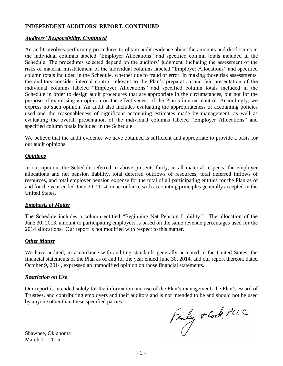#### **INDEPENDENT AUDITORS' REPORT, CONTINUED**

#### *Auditors' Responsibility, Continued*

An audit involves performing procedures to obtain audit evidence about the amounts and disclosures in the individual columns labeled "Employer Allocations" and specified column totals included in the Schedule. The procedures selected depend on the auditors' judgment, including the assessment of the risks of material misstatement of the individual columns labeled "Employer Allocations" and specified column totals included in the Schedule, whether due to fraud or error. In making those risk assessments, the auditors consider internal control relevant to the Plan's preparation and fair presentation of the individual columns labeled "Employer Allocations" and specified column totals included in the Schedule in order to design audit procedures that are appropriate in the circumstances, but not for the purpose of expressing an opinion on the effectiveness of the Plan's internal control. Accordingly, we express no such opinion. An audit also includes evaluating the appropriateness of accounting policies used and the reasonableness of significant accounting estimates made by management, as well as evaluating the overall presentation of the individual columns labeled "Employer Allocations" and specified column totals included in the Schedule.

We believe that the audit evidence we have obtained is sufficient and appropriate to provide a basis for our audit opinions.

#### *Opinions*

In our opinion, the Schedule referred to above presents fairly, in all material respects, the employer allocations and net pension liability, total deferred outflows of resources, total deferred inflows of resources, and total employer pension expense for the total of all participating entities for the Plan as of and for the year ended June 30, 2014, in accordance with accounting principles generally accepted in the United States.

#### *Emphasis of Matter*

The Schedule includes a column entitled "Beginning Net Pension Liability." The allocation of the June 30, 2013, amount to participating employers is based on the same revenue percentages used for the 2014 allocations. Our report is not modified with respect to this matter.

#### *Other Matter*

We have audited, in accordance with auditing standards generally accepted in the United States, the financial statements of the Plan as of and for the year ended June 30, 2014, and our report thereon, dated October 9, 2014, expressed an unmodified opinion on those financial statements.

#### *Restriction on Use*

Our report is intended solely for the information and use of the Plan's management, the Plan's Board of Trustees, and contributing employers and their auditors and is not intended to be and should not be used by anyone other than these specified parties.

Finley + Cook, PLLC

Shawnee, Oklahoma March 11, 2015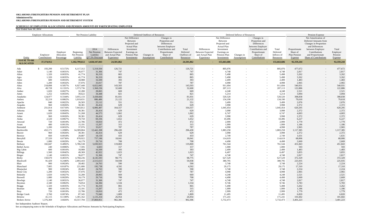| Year Ended June 30, 2014               |                             |                                      |                                       |                                                   |                                                                         |                                                                                                                              |                                  |                                                                                                                                    |                                               |                                                                         |                                                                                                                              |                               |                                                                                                                                    |                                              |                                                      |                                                                                                                                                                              |                                                |
|----------------------------------------|-----------------------------|--------------------------------------|---------------------------------------|---------------------------------------------------|-------------------------------------------------------------------------|------------------------------------------------------------------------------------------------------------------------------|----------------------------------|------------------------------------------------------------------------------------------------------------------------------------|-----------------------------------------------|-------------------------------------------------------------------------|------------------------------------------------------------------------------------------------------------------------------|-------------------------------|------------------------------------------------------------------------------------------------------------------------------------|----------------------------------------------|------------------------------------------------------|------------------------------------------------------------------------------------------------------------------------------------------------------------------------------|------------------------------------------------|
|                                        | <b>Employer Allocations</b> |                                      |                                       | Net Pension Liability                             |                                                                         |                                                                                                                              | Deferred Outflows of Resources   |                                                                                                                                    |                                               |                                                                         |                                                                                                                              | Deferred Inflows of Resources |                                                                                                                                    |                                              |                                                      | Pension Expense                                                                                                                                                              |                                                |
| Entity                                 | Employer<br>Contributions   | Employer<br>Allocation<br>Percentage | Beginning<br>Net Pension<br>Liability | 2014<br>Net Pension<br>Liability<br>@7.5% Discoun | Differences<br><b>Between Expected</b><br>and Actual Plan<br>Experience | Net Difference<br>Between<br>Projected and<br><b>Actual Plan</b><br>Investment<br>Earnings on<br>Pension Plan<br>Investments | Changes in<br><b>Assumptions</b> | Changes in<br>Proportion and<br>Differences<br>between Employer<br>Contributions and<br>Proportionate<br>Share of<br>Contributions | Total<br>Deferred<br>Outflows of<br>Resources | Differences<br><b>Between Expected</b><br>and Actual Plan<br>Experience | Net Difference<br>Between<br>Projected and<br><b>Actual Plan</b><br>Investment<br>Earnings on<br>Pension Plan<br>Investments | Changes in<br>Assumptions     | Changes in<br>Proportion and<br>Differences<br>between Employer<br>Contributions and<br>Proportionate<br>Share of<br>Contributions | Total<br>Deferred<br>Inflows of<br>Resources | Proportionate<br>Share of<br>Plan Pension<br>Expense | Net Amortization of<br>Deferred Amounts from<br>Changes in Proportion<br>and Differences<br>between Employer<br>Contributions<br>and Proportionate<br>Share of Contributions | Total<br>Employer<br>Pension<br><b>Expense</b> |
| <b>TOTAL TO BE</b><br><b>ALLOCATED</b> | 37, 374, 912                |                                      | 1,182,799,612                         | 1,028,347,843                                     | 24,501,862                                                              |                                                                                                                              |                                  |                                                                                                                                    | 24,501,862                                    | $\sim$                                                                  | 155,663,686                                                                                                                  |                               |                                                                                                                                    | 155,663,686                                  | 92,359,244                                           |                                                                                                                                                                              | 92,359,244                                     |
| Ada                                    | 193,299                     | 0.5172%                              | 6,117,312                             | 5,318,504                                         | 126,721                                                                 |                                                                                                                              |                                  | $\overline{\phantom{a}}$                                                                                                           | 126,721                                       | $\sim$                                                                  | 805,076                                                                                                                      |                               |                                                                                                                                    | 805,076                                      | 477,672                                              | $\sim$                                                                                                                                                                       | 477,672                                        |
| Adair                                  | 1,140                       | 0.0031%                              | 36,077                                | 31,366                                            | 747                                                                     |                                                                                                                              |                                  | $\sim$                                                                                                                             | 747                                           | $\sim$                                                                  | 4,748                                                                                                                        |                               |                                                                                                                                    | 4,748                                        | 2,817                                                | $\sim$                                                                                                                                                                       | 2,817                                          |
| Afton                                  | 1,320                       | 0.0035%                              | 41,774                                | 36,319                                            | 865                                                                     |                                                                                                                              |                                  | $\overline{\phantom{a}}$                                                                                                           | 865                                           | $-$                                                                     | 5,498                                                                                                                        | $\overline{\phantom{a}}$      |                                                                                                                                    | 5,498                                        | 3,262                                                | $\sim$                                                                                                                                                                       | 3,262                                          |
| Agra                                   | 1,320                       | 0.0035%                              | 41,774                                | 36,319                                            | 865                                                                     |                                                                                                                              |                                  | $\overline{\phantom{a}}$                                                                                                           | 865                                           | $\sim$                                                                  | 5,498                                                                                                                        |                               |                                                                                                                                    | 5,498                                        | 3,262                                                | $\sim$                                                                                                                                                                       | 3,262                                          |
| Aline                                  | 600                         | 0.0016%                              | 18,988                                | 16,509                                            | 393                                                                     |                                                                                                                              |                                  | $\overline{\phantom{a}}$                                                                                                           | 393                                           | $-$                                                                     | 2,499                                                                                                                        | $\overline{\phantom{0}}$      |                                                                                                                                    | 2,499                                        | 1,483                                                | $\sim$                                                                                                                                                                       | 1,483                                          |
| Allen                                  | 1,200                       | 0.0032%                              | 37,976                                | 33,017                                            | 787                                                                     |                                                                                                                              |                                  | $\overline{\phantom{a}}$                                                                                                           | 787                                           | $\sim$                                                                  | 4,998                                                                                                                        | $\overline{\phantom{a}}$      |                                                                                                                                    | 4,998                                        | 2,965                                                | $\sim$                                                                                                                                                                       | 2,965                                          |
| Altus                                  | 218,898                     | 0.5857%                              | 6,927,440                             | 6,022,845                                         | 143,503                                                                 |                                                                                                                              |                                  | $-$                                                                                                                                | 143,503                                       | $\sim$                                                                  | 911,694                                                                                                                      |                               | $\sim$                                                                                                                             | 911,694                                      | 540,931                                              | $\sim$                                                                                                                                                                       | 540,931                                        |
| Alva                                   | 49,728                      | 0.1331%                              | 1,573,736                             | 1,368,236                                         | 32,600                                                                  |                                                                                                                              |                                  | $-$                                                                                                                                | 32,600                                        | $\sim$                                                                  | 207,113                                                                                                                      | $\sim$                        | $\sim$                                                                                                                             | 207,113                                      | 122,886                                              | $\sim$                                                                                                                                                                       | 122,886                                        |
| Amber                                  | 1,020                       | 0.0027%                              | 32,280                                | 28,065                                            | 669                                                                     |                                                                                                                              |                                  | $\sim$                                                                                                                             | 669                                           | $-$                                                                     | 4,248                                                                                                                        | $\overline{\phantom{a}}$      |                                                                                                                                    | 4,248                                        | 2,521                                                | $\sim$                                                                                                                                                                       | 2,521                                          |
| Ames                                   | 1,252                       | 0.0033%                              | 39,622                                | 34,448                                            | 821                                                                     |                                                                                                                              |                                  | $\sim$                                                                                                                             | 821                                           | $\overline{a}$                                                          | 5,214                                                                                                                        | $\sim$                        |                                                                                                                                    | 5,214                                        | 3,094                                                | $\sim$                                                                                                                                                                       | 3,094                                          |
| Anadarko                               | 124,977                     | 0.3344%                              | 3,955,133                             | 3,438,666                                         | 81,931                                                                  |                                                                                                                              |                                  | $\overline{\phantom{a}}$                                                                                                           | 81,931                                        | $\sim$                                                                  | 520,520                                                                                                                      |                               |                                                                                                                                    | 520,520                                      | 308,838                                              | $\sim$                                                                                                                                                                       | 308,838                                        |
| Antlers                                | 32,219                      | 0.0862%                              | 1,019,631                             | 886,486                                           | 21,122                                                                  |                                                                                                                              |                                  |                                                                                                                                    | 21,122                                        | $-$                                                                     | 134,190                                                                                                                      |                               |                                                                                                                                    | 134,190                                      | 79,618                                               | $\sim$                                                                                                                                                                       | 79,618                                         |
| Apache                                 | 840                         | 0.0022%                              | 26,583                                | 23,112                                            | 551                                                                     |                                                                                                                              |                                  | $\sim$                                                                                                                             | 551                                           | $-$                                                                     | 3,499                                                                                                                        |                               | $\sim$                                                                                                                             | 3,499                                        | 2,076                                                | $\sim$                                                                                                                                                                       | 2,076                                          |
| Arapaho                                | 960                         | 0.0026%                              | 30,381                                | 26,414                                            | 629                                                                     |                                                                                                                              |                                  | $\sim$                                                                                                                             | 629                                           | $\sim$                                                                  | 3,998                                                                                                                        | $\overline{\phantom{0}}$      |                                                                                                                                    | 3,998                                        | 2,372                                                | $\sim$                                                                                                                                                                       | 2,372                                          |
| Ardmore                                | 251,014                     | 0.6716%                              | 7,943,812                             | 6,906,497                                         | 164,557                                                                 |                                                                                                                              |                                  | $\overline{\phantom{a}}$                                                                                                           | 164,557                                       | $\sim$                                                                  | 1,045,454                                                                                                                    |                               |                                                                                                                                    | 1,045,454                                    | 620,295                                              | $\sim$                                                                                                                                                                       | 620,295                                        |
| Arkoma                                 | 960                         | 0.0026%                              | 30,381                                | 26,414                                            | 629                                                                     |                                                                                                                              |                                  | $\sim$                                                                                                                             | 629                                           | $-$                                                                     | 3,998                                                                                                                        | $\overline{\phantom{a}}$      |                                                                                                                                    | 3,998                                        | 2,372                                                | $\sim$                                                                                                                                                                       | 2,372                                          |
| Arnett                                 | 1,620                       | 0.0043%                              | 51,268                                | 44,573                                            | 1,062                                                                   |                                                                                                                              |                                  | $\sim$                                                                                                                             | 1,062                                         | $-$                                                                     | 6,747                                                                                                                        | $\sim$                        |                                                                                                                                    | 6,747                                        | 4,003                                                | $\sim$                                                                                                                                                                       | 4,003                                          |
| Asher                                  | 960                         | 0.0026%                              | 30,381                                | 26,414                                            | 629                                                                     |                                                                                                                              |                                  | $\overline{\phantom{a}}$                                                                                                           | 629                                           | $\overline{a}$                                                          | 3,998                                                                                                                        |                               |                                                                                                                                    | 3,998                                        | 2,372                                                | $\sim$                                                                                                                                                                       | 2,372                                          |
| Atoka                                  | 2,520                       | 0.0067%                              | 79,750                                | 69,336                                            | 1,652                                                                   |                                                                                                                              |                                  |                                                                                                                                    | 1,652                                         |                                                                         | 10,496                                                                                                                       |                               |                                                                                                                                    | 10,496                                       | 6,227                                                |                                                                                                                                                                              | 6,227                                          |
|                                        | 720                         | 0.0019%                              | 22,786                                | 19,810                                            | 472                                                                     |                                                                                                                              |                                  | $-$                                                                                                                                | 472                                           | $-$                                                                     | 2,999                                                                                                                        |                               | $\sim$                                                                                                                             | 2,999                                        | 1,779                                                | $\sim$                                                                                                                                                                       | 1,779                                          |
| Atwood                                 |                             |                                      |                                       |                                                   |                                                                         |                                                                                                                              |                                  |                                                                                                                                    |                                               |                                                                         |                                                                                                                              |                               |                                                                                                                                    |                                              |                                                      | $\overline{\phantom{0}}$                                                                                                                                                     |                                                |
| Avant                                  | 480                         | 0.0013%                              | 15,191                                | 13,207                                            | 315                                                                     |                                                                                                                              |                                  |                                                                                                                                    | 315                                           |                                                                         | 1,999                                                                                                                        |                               |                                                                                                                                    | 1,999                                        | 1,186                                                |                                                                                                                                                                              | 1,186                                          |
| Barnsdall                              | 1,200                       | 0.0032%                              | 37,976                                | 33,017                                            | 787                                                                     |                                                                                                                              |                                  |                                                                                                                                    | 787                                           | $-$                                                                     | 4,998                                                                                                                        |                               |                                                                                                                                    | 4,998                                        | 2,965                                                | $\overline{\phantom{a}}$                                                                                                                                                     | 2,965                                          |
| Bartlesville                           | 452,171                     | 1.2098%                              | 14,309,804                            | 12,441,208                                        | 296,430                                                                 |                                                                                                                              |                                  | $\sim$                                                                                                                             | 296,430                                       | $\sim$                                                                  | 1,883,258                                                                                                                    |                               |                                                                                                                                    | 1,883,258                                    | 1,117,385                                            | $\sim$                                                                                                                                                                       | 1,117,385                                      |
| Beaver                                 | 960                         | 0.0026%                              | 30,381                                | 26,414                                            | 629                                                                     |                                                                                                                              |                                  | $\sim$                                                                                                                             | 629                                           | $-$                                                                     | 3,998                                                                                                                        | $\sim$                        |                                                                                                                                    | 3,998                                        | 2,372                                                | $\sim$                                                                                                                                                                       | 2,372                                          |
| Bernice                                | 660                         | 0.0018%                              | 20,887                                | 18,159                                            | 433                                                                     |                                                                                                                              |                                  | $\sim$                                                                                                                             | 433                                           | $\sim$                                                                  | 2,749                                                                                                                        | $\sim$                        | $-$                                                                                                                                | 2,749                                        | 1,631                                                | $\sim$                                                                                                                                                                       | 1,631                                          |
| Berryhill                              | 27,520                      | 0.0736%                              | 870,922                               | 757,196                                           | 18,041                                                                  |                                                                                                                              |                                  | $\sim$                                                                                                                             | 18,041                                        | $\sim$                                                                  | 114,619                                                                                                                      | $\sim$                        |                                                                                                                                    | 114,619                                      | 68,006                                               | $\sim$                                                                                                                                                                       | 68,006                                         |
| Bessie                                 | 1,080                       | 0.0029%                              | 34,179                                | 29,716                                            | 708                                                                     |                                                                                                                              |                                  | $\sim$                                                                                                                             | 708                                           | $\sim$                                                                  | 4,498                                                                                                                        | $\sim$                        |                                                                                                                                    | 4,498                                        | 2,669                                                | $\sim$                                                                                                                                                                       | 2,669                                          |
| Bethany                                | 182,847                     | 0.4892%                              | 5,786,538                             | 5,030,923                                         | 119,869                                                                 |                                                                                                                              |                                  | $\sim$                                                                                                                             | 119,869                                       | $-$                                                                     | 761,544                                                                                                                      |                               | $\sim$                                                                                                                             | 761,544                                      | 451,843                                              | $\sim$                                                                                                                                                                       | 451,843                                        |
| <b>Bethel Acres</b>                    | 240                         | 0.0006%                              | 7,595                                 | 6,603                                             | 157                                                                     |                                                                                                                              |                                  | $\sim$                                                                                                                             | 157                                           | $\sim$                                                                  | 1,000                                                                                                                        | $\overline{\phantom{0}}$      | $\overline{\phantom{0}}$                                                                                                           | 1,000                                        | 593                                                  | $\sim$                                                                                                                                                                       | 593                                            |
| Big Cabin                              | 600                         | 0.0016%                              | 18,988                                | 16,509                                            | 393                                                                     |                                                                                                                              |                                  | $-$                                                                                                                                | 393                                           | $\sim$                                                                  | 2,499                                                                                                                        | $\overline{\phantom{0}}$      | $\sim$                                                                                                                             | 2,499                                        | 1,483                                                | $\sim$                                                                                                                                                                       | 1,483                                          |
| <b>Billings</b>                        | 1,560                       | 0.0042%                              | 49,369                                | 42,922                                            | 1,023                                                                   |                                                                                                                              |                                  | $\sim$                                                                                                                             | 1,023                                         | $\sim$                                                                  | 6,497                                                                                                                        | $\overline{\phantom{0}}$      | $\sim$                                                                                                                             | 6,497                                        | 3,855                                                | $\sim$                                                                                                                                                                       | 3,855                                          |
| Binger                                 | 1,140                       | 0.0031%                              | 36,077                                | 31,366                                            | 747                                                                     |                                                                                                                              |                                  | $-$                                                                                                                                | 747                                           | $\sim$                                                                  | 4,748                                                                                                                        | $\overline{\phantom{0}}$      |                                                                                                                                    | 4,748                                        | 2,817                                                | $\sim$                                                                                                                                                                       | 2,817                                          |
| Bixby                                  | 150,670                     | 0.4031%                              | 4,768,236                             | 4,145,593                                         | 98,775                                                                  |                                                                                                                              |                                  | $-$                                                                                                                                | 98,775                                        | $\sim$                                                                  | 627,529                                                                                                                      | $\sim$                        |                                                                                                                                    | 627,529                                      | 372,329                                              | $\sim$                                                                                                                                                                       | 372,329                                        |
| Blackwell                              | 91,429                      | 0.2446%                              | 2,893,443                             | 2,515,613                                         | 59,938                                                                  |                                                                                                                              |                                  | $\sim$                                                                                                                             | 59,938                                        | $-$                                                                     | 380,795                                                                                                                      | $\overline{\phantom{0}}$      | $\sim$                                                                                                                             | 380,795                                      | 225,935                                              | $\sim$                                                                                                                                                                       | 225,935                                        |
| Blair                                  | 900                         | 0.0024%                              | 28,482                                | 24,763                                            | 590                                                                     |                                                                                                                              |                                  | $-$                                                                                                                                | 590                                           | $-$                                                                     | 3,748                                                                                                                        | $\sim$                        |                                                                                                                                    | 3,748                                        | 2,224                                                | $\sim$                                                                                                                                                                       | 2,224                                          |
| Blanchard                              | 7,005                       | 0.0187%                              | 221,686                               | 192,738                                           | 4,592                                                                   |                                                                                                                              |                                  | $\sim$                                                                                                                             | 4,592                                         | $-$                                                                     | 29,175                                                                                                                       | $\sim$                        | $\sim$                                                                                                                             | 29,175                                       | 17,310                                               | $\sim$                                                                                                                                                                       | 17,310                                         |
| Bluejacket                             | 900                         | 0.0024%                              | 28,482                                | 24,763                                            | 590                                                                     |                                                                                                                              |                                  | $-$                                                                                                                                | 590                                           | $-$                                                                     | 3,748                                                                                                                        | $\overline{\phantom{0}}$      | $\sim$                                                                                                                             | 3,748                                        | 2,224                                                | $\sim$                                                                                                                                                                       | 2,224                                          |
| <b>Boise City</b>                      | 1,200                       | 0.0032%                              | 37,976                                | 33,017                                            | 787                                                                     |                                                                                                                              |                                  |                                                                                                                                    | 787                                           | $\sim$                                                                  | 4,998                                                                                                                        |                               |                                                                                                                                    | 4,998                                        | 2,965                                                | $\sim$                                                                                                                                                                       | 2,965                                          |
| Bokoshe                                | 1,020                       | 0.0027%                              | 32,280                                | 28,065                                            | 669                                                                     |                                                                                                                              |                                  |                                                                                                                                    | 669                                           | $\sim$                                                                  | 4,248                                                                                                                        |                               |                                                                                                                                    | 4,248                                        | 2,521                                                | $\sim$                                                                                                                                                                       | 2,521                                          |
| <b>Boswell</b>                         | 1,080                       | 0.0029%                              | 34,179                                | 29,716                                            | 708                                                                     |                                                                                                                              |                                  | $\overline{\phantom{a}}$                                                                                                           | 708                                           | $\sim$                                                                  | 4,498                                                                                                                        |                               | $\sim$                                                                                                                             | 4,498                                        | 2,669                                                | $\sim$                                                                                                                                                                       | 2,669                                          |
| <b>Bowlegs</b>                         | 1,140                       | 0.0031%                              | 36,077                                | 31,366                                            | 747                                                                     |                                                                                                                              |                                  | $\overline{\phantom{a}}$                                                                                                           | 747                                           | $-$                                                                     | 4,748                                                                                                                        | $\sim$                        |                                                                                                                                    | 4,748                                        | 2,817                                                | $\sim$                                                                                                                                                                       | 2,817                                          |
| Boynton                                | 2,340                       | 0.0063%                              | 74,054                                | 64,384                                            | 1,534                                                                   |                                                                                                                              |                                  | $-$                                                                                                                                | 1,534                                         | $-$                                                                     | 9,746                                                                                                                        | $\overline{\phantom{a}}$      | $\sim$                                                                                                                             | 9,746                                        | 5,783                                                | $\sim$                                                                                                                                                                       | 5,783                                          |
| <b>Braggs</b>                          | 1,320                       | 0.0035%                              | 41,774                                | 36,319                                            | 865                                                                     |                                                                                                                              |                                  | $\sim$                                                                                                                             | 865                                           | $-$                                                                     | 5,498                                                                                                                        | $\overline{\phantom{0}}$      |                                                                                                                                    | 5,498                                        | 3,262                                                | $\sim$                                                                                                                                                                       | 3,262                                          |
| <b>Braman</b>                          | 480                         | 0.0013%                              | 15,191                                | 13,207                                            | 315                                                                     |                                                                                                                              |                                  |                                                                                                                                    | 315                                           | $-$                                                                     | 1,999                                                                                                                        | $\overline{\phantom{0}}$      |                                                                                                                                    | 1,999                                        | 1,186                                                | $\sim$                                                                                                                                                                       | 1,186                                          |
| Bray                                   | 720                         | 0.0019%                              | 22,786                                | 19,810                                            | 472                                                                     |                                                                                                                              |                                  | $\overline{\phantom{a}}$                                                                                                           | 472                                           | $\sim$                                                                  | 2,999                                                                                                                        |                               | $\sim$                                                                                                                             | 2,999                                        | 1,779                                                | $\sim$                                                                                                                                                                       | 1,779                                          |
| <b>Bridge Creek</b>                    | 2,760                       | 0.0074%                              | 87,345                                | 75,940                                            | 1,809                                                                   |                                                                                                                              |                                  | $-$                                                                                                                                | 1,809                                         | $-$                                                                     | 11,495                                                                                                                       | $\sim$                        |                                                                                                                                    | 11,495                                       | 6,820                                                | $\sim$                                                                                                                                                                       | 6,820                                          |
| <b>Bristow</b>                         | 41,115                      | 0.1100%                              | 1,301,162                             | 1,131,254                                         | 26,954                                                                  |                                                                                                                              |                                  | $\sim$                                                                                                                             | 26,954                                        | $-$                                                                     | 171,241                                                                                                                      |                               |                                                                                                                                    | 171,241                                      | 101,602                                              | $\sim$                                                                                                                                                                       | 101,602                                        |
| <b>Broken Arrow</b>                    | 1,376,369                   | 3.6826%                              | 43,557,794                            | 37,869,951                                        | 902,306                                                                 |                                                                                                                              | $\sim$                           | $\sim$ $-$                                                                                                                         | 902,306                                       | $\sim$                                                                  | 5,732,473                                                                                                                    | $-$                           |                                                                                                                                    | 5,732,473                                    | 3,401,223                                            | $\sim$                                                                                                                                                                       | 3,401,223                                      |
|                                        |                             |                                      |                                       |                                                   |                                                                         |                                                                                                                              |                                  |                                                                                                                                    |                                               |                                                                         |                                                                                                                              |                               |                                                                                                                                    |                                              |                                                      |                                                                                                                                                                              |                                                |

## **SCHEDULE OF EMPLOYER ALLOCATIONS AND PENSION AMOUNTS BY PARTICIPATING EMPLOYER**

See Independent Auditors' Report.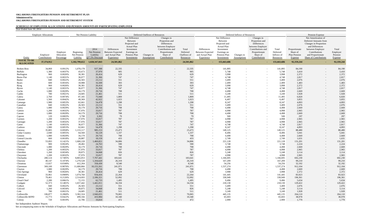## **SCHEDULE OF EMPLOYER ALLOCATIONS AND PENSION AMOUNTS BY PARTICIPATING EMPLOYER**

| Year Ended June 30, 2014               |                             |                                      |                                       |                                                   |                                                                         |                                                                                                                              |                                |                                                                                                                                    |                                               |                                                                         |                                                                                                                              |                                  |                                                                                                                                    |                                              |                                                             |                                                                                                                                                                              |                                                |
|----------------------------------------|-----------------------------|--------------------------------------|---------------------------------------|---------------------------------------------------|-------------------------------------------------------------------------|------------------------------------------------------------------------------------------------------------------------------|--------------------------------|------------------------------------------------------------------------------------------------------------------------------------|-----------------------------------------------|-------------------------------------------------------------------------|------------------------------------------------------------------------------------------------------------------------------|----------------------------------|------------------------------------------------------------------------------------------------------------------------------------|----------------------------------------------|-------------------------------------------------------------|------------------------------------------------------------------------------------------------------------------------------------------------------------------------------|------------------------------------------------|
|                                        | <b>Employer Allocations</b> |                                      |                                       | Net Pension Liability                             |                                                                         |                                                                                                                              | Deferred Outflows of Resources |                                                                                                                                    |                                               |                                                                         |                                                                                                                              | Deferred Inflows of Resources    |                                                                                                                                    |                                              |                                                             | Pension Expense                                                                                                                                                              |                                                |
| Entity                                 | Employer<br>Contributions   | Employer<br>Allocation<br>Percentage | Beginning<br>Net Pension<br>Liability | 2014<br>Net Pension<br>Liability<br>@7.5% Discoun | Differences<br><b>Between Expected</b><br>and Actual Plan<br>Experience | Net Difference<br>Between<br>Projected and<br><b>Actual Plan</b><br>Investment<br>Earnings on<br>Pension Plan<br>Investments | Changes in<br>Assumptions      | Changes in<br>Proportion and<br>Differences<br>between Employer<br>Contributions and<br>Proportionate<br>Share of<br>Contributions | Total<br>Deferred<br>Outflows of<br>Resources | Differences<br><b>Between Expected</b><br>and Actual Plan<br>Experience | Net Difference<br>Between<br>Projected and<br><b>Actual Plan</b><br>Investment<br>Earnings on<br>Pension Plan<br>Investments | Changes in<br><b>Assumptions</b> | Changes in<br>Proportion and<br>Differences<br>between Employer<br>Contributions and<br>Proportionate<br>Share of<br>Contributions | Total<br>Deferred<br>Inflows of<br>Resources | Proportionate<br>Share of<br>Plan Pension<br><b>Expense</b> | Net Amortization of<br>Deferred Amounts from<br>Changes in Proportion<br>and Differences<br>between Employer<br>Contributions<br>and Proportionate<br>Share of Contributions | Total<br>Employer<br>Pension<br><b>Expense</b> |
| <b>TOTAL TO BE</b><br><b>ALLOCATED</b> | 37, 374, 912                |                                      | 1,182,799,612                         | 1,028,347,843                                     | 24,501,862                                                              |                                                                                                                              |                                |                                                                                                                                    | 24,501,862                                    | $\sim$                                                                  | 155,663,686                                                                                                                  |                                  |                                                                                                                                    | 155,663,686                                  | 92,359,244                                                  |                                                                                                                                                                              | 92,359,244                                     |
| <b>Broken Bow</b>                      | 34,069                      | 0.0912%                              | 1,078,178                             | 937,388                                           | 22,335                                                                  |                                                                                                                              |                                |                                                                                                                                    | 22,335                                        | $\overline{a}$                                                          | 141,895                                                                                                                      |                                  |                                                                                                                                    | 141,895                                      | 84,190                                                      | $\sim$                                                                                                                                                                       | 84,190                                         |
| Buffalo                                | 1,380                       | 0.0037%                              | 43,673                                | 37,970                                            | 905                                                                     |                                                                                                                              |                                | $\overline{\phantom{0}}$                                                                                                           | 905                                           | $-$                                                                     | 5,748                                                                                                                        |                                  |                                                                                                                                    | 5,748                                        | 3,410                                                       | $\sim$                                                                                                                                                                       | 3,410                                          |
| Burlington                             | 960                         | 0.0026%                              | 30,381                                | 26,414                                            | 629                                                                     |                                                                                                                              |                                |                                                                                                                                    | 629                                           | $\sim$                                                                  | 3,998                                                                                                                        |                                  |                                                                                                                                    | 3,998                                        | 2,372                                                       | $\sim$                                                                                                                                                                       | 2,372                                          |
| <b>Burns Flat</b>                      | 1,140                       | 0.0031%                              | 36,077                                | 31,366                                            | 747                                                                     |                                                                                                                              |                                |                                                                                                                                    | 747                                           | $\overline{\phantom{a}}$                                                | 4,748                                                                                                                        |                                  |                                                                                                                                    | 4,748                                        | 2,817                                                       | $\sim$                                                                                                                                                                       | 2,817                                          |
| <b>Butler</b>                          | 840                         | 0.0022%                              | 26,583                                | 23,112                                            | 551                                                                     |                                                                                                                              |                                |                                                                                                                                    | 551                                           | $\overline{a}$                                                          | 3,499                                                                                                                        |                                  |                                                                                                                                    | 3,499                                        | 2,076                                                       | $\sim$                                                                                                                                                                       | 2,076                                          |
| <b>Byars</b>                           | 600                         | 0.0016%                              | 18,988                                | 16,509                                            | 393                                                                     |                                                                                                                              |                                |                                                                                                                                    | 393                                           | $\sim$                                                                  | 2,499                                                                                                                        |                                  |                                                                                                                                    | 2,499                                        | 1,483                                                       | $\sim$                                                                                                                                                                       | 1,483                                          |
| <b>Byng</b>                            | 960                         | 0.0026%                              | 30,381                                | 26,414                                            | 629                                                                     |                                                                                                                              |                                |                                                                                                                                    | 629                                           | $\overline{a}$                                                          | 3,998                                                                                                                        |                                  |                                                                                                                                    | 3,998                                        | 2,372                                                       | $\sim$                                                                                                                                                                       | 2,372                                          |
| <b>Byron</b>                           | 1,140                       | 0.0031%                              | 36,077                                | 31,366                                            | 747                                                                     |                                                                                                                              |                                |                                                                                                                                    | 747                                           | $\overline{a}$                                                          | 4,748                                                                                                                        |                                  |                                                                                                                                    | 4,748                                        | 2,817                                                       | $\sim$                                                                                                                                                                       | 2,817                                          |
| Cache                                  | 1,080                       | 0.0029%                              | 34,179                                | 29,716                                            | 708                                                                     |                                                                                                                              |                                |                                                                                                                                    | 708                                           | $\sim$                                                                  | 4,498                                                                                                                        |                                  |                                                                                                                                    | 4,498                                        | 2,669                                                       | $\sim$                                                                                                                                                                       | 2,669                                          |
| Caddo                                  | 780                         | 0.0021%                              | 24,685                                | 21,461                                            | 511                                                                     |                                                                                                                              |                                |                                                                                                                                    | 511                                           | $\overline{\phantom{a}}$                                                | 3,249                                                                                                                        |                                  |                                                                                                                                    | 3,249                                        | 1,928                                                       | $\sim$                                                                                                                                                                       | 1,928                                          |
| Calera                                 | 2,760                       | 0.0074%                              | 87,345                                | 75,940                                            | 1,809                                                                   |                                                                                                                              |                                |                                                                                                                                    | 1,809                                         | $\overline{a}$                                                          | 11,495                                                                                                                       |                                  | $\sim$                                                                                                                             | 11,495                                       | 6,820                                                       | $\sim$                                                                                                                                                                       | 6,820                                          |
| Calumet                                | 1,560                       | 0.0042%                              | 49,369                                | 42,922                                            | 1,023                                                                   |                                                                                                                              |                                |                                                                                                                                    | 1,023                                         | $\overline{a}$                                                          | 6,497                                                                                                                        |                                  |                                                                                                                                    | 6,497                                        | 3,855                                                       | $\sim$                                                                                                                                                                       | 3,855                                          |
| Camargo                                | 1,980                       | 0.0053%                              | 62,661                                | 54,478                                            | 1,298                                                                   |                                                                                                                              |                                | $\overline{\phantom{0}}$                                                                                                           | 1,298                                         | $\sim$                                                                  | 8,247                                                                                                                        |                                  |                                                                                                                                    | 8,247                                        | 4,893                                                       | $\sim$                                                                                                                                                                       | 4,893                                          |
| Canadian                               | 840                         | 0.0022%                              | 26,583                                | 23,112                                            | 551                                                                     |                                                                                                                              |                                | $\sim$                                                                                                                             | 551                                           | $\overline{a}$                                                          | 3,499                                                                                                                        |                                  |                                                                                                                                    | 3,499                                        | 2,076                                                       | $\sim$                                                                                                                                                                       | 2,076                                          |
| Caney                                  | 1,080                       | 0.0029%                              | 34,179                                | 29,716                                            | 708                                                                     |                                                                                                                              |                                |                                                                                                                                    | 708                                           |                                                                         | 4,498                                                                                                                        |                                  |                                                                                                                                    | 4,498                                        | 2,669                                                       |                                                                                                                                                                              | 2,669                                          |
|                                        | 1,200                       | 0.0032%                              | 37,976                                | 33,017                                            | 787                                                                     |                                                                                                                              |                                |                                                                                                                                    | 787                                           | $\overline{a}$                                                          | 4,998                                                                                                                        |                                  |                                                                                                                                    | 4,998                                        | 2,965                                                       | $\sim$                                                                                                                                                                       | 2,965                                          |
| Canton                                 | 1,080                       | 0.0029%                              | 34,179                                | 29,716                                            | 708                                                                     |                                                                                                                              |                                |                                                                                                                                    | 708                                           | $\overline{a}$                                                          | 4,498                                                                                                                        |                                  |                                                                                                                                    | 4,498                                        | 2,669                                                       | $\sim$                                                                                                                                                                       | 2,669                                          |
| Canute                                 |                             |                                      |                                       |                                                   |                                                                         |                                                                                                                              |                                |                                                                                                                                    |                                               | $\overline{a}$                                                          |                                                                                                                              |                                  | $-$                                                                                                                                |                                              |                                                             | $\sim$                                                                                                                                                                       |                                                |
| Capron                                 | 120                         | 0.0003%                              | 3,798                                 | 3,302                                             | 79                                                                      |                                                                                                                              |                                | $\overline{\phantom{0}}$                                                                                                           | 79                                            | $\sim$                                                                  | 500                                                                                                                          |                                  |                                                                                                                                    | 500                                          | 297                                                         | $\sim$                                                                                                                                                                       | 297                                            |
| Carmen                                 | 1,200                       | 0.0032%                              | 37,976                                | 33,017                                            | 787                                                                     |                                                                                                                              |                                | $\overline{\phantom{0}}$                                                                                                           | 787                                           | $\overline{\phantom{a}}$                                                | 4,998                                                                                                                        |                                  |                                                                                                                                    | 4,998                                        | 2,965                                                       | $\sim$                                                                                                                                                                       | 2,965                                          |
| Carnegie                               | 1,200                       | 0.0032%                              | 37,976                                | 33,017                                            | 787                                                                     |                                                                                                                              |                                | $\overline{\phantom{0}}$                                                                                                           | 787                                           |                                                                         | 4,998                                                                                                                        |                                  |                                                                                                                                    | 4,998                                        | 2,965                                                       | $\overline{a}$                                                                                                                                                               | 2,965                                          |
| Carter                                 | 1,140                       | 0.0031%                              | 36,077                                | 31,366                                            | 747                                                                     |                                                                                                                              |                                |                                                                                                                                    | 747                                           |                                                                         | 4,748                                                                                                                        |                                  |                                                                                                                                    | 4,748                                        | 2,817                                                       |                                                                                                                                                                              | 2,817                                          |
| Cashion                                | 1,980                       | 0.0053%                              | 62,661                                | 54,478                                            | 1,298                                                                   |                                                                                                                              |                                |                                                                                                                                    | 1,298                                         | $\sim$                                                                  | 8,247                                                                                                                        |                                  |                                                                                                                                    | 8,247                                        | 4,893                                                       | $\overline{\phantom{a}}$                                                                                                                                                     | 4,893                                          |
| Catoosa                                | 35,805                      | 0.0958%                              | 1,133,117                             | 985,153                                           | 23,473                                                                  |                                                                                                                              |                                | $\overline{\phantom{0}}$                                                                                                           | 23,473                                        | $\overline{a}$                                                          | 149,125                                                                                                                      | $\sim$                           | $-$                                                                                                                                | 149,125                                      | 88,480                                                      | $\sim$                                                                                                                                                                       | 88,480                                         |
| <b>Cedar Country</b>                   | 2,040                       | 0.0055%                              | 64,560                                | 56,129                                            | 1,337                                                                   |                                                                                                                              |                                | $\sim$                                                                                                                             | 1,337                                         | $\overline{a}$                                                          | 8,496                                                                                                                        |                                  |                                                                                                                                    | 8,496                                        | 5,041                                                       | $\sim$                                                                                                                                                                       | 5,041                                          |
| Cement                                 | 1,080                       | 0.0029%                              | 34,179                                | 29,716                                            | 708                                                                     |                                                                                                                              |                                | $\sim$                                                                                                                             | 708                                           | $\sim$                                                                  | 4,498                                                                                                                        |                                  | $-$                                                                                                                                | 4,498                                        | 2,669                                                       | $\sim$                                                                                                                                                                       | 2,669                                          |
| Central Lincoln                        | 660                         | 0.0018%                              | 20,887                                | 18,159                                            | 433                                                                     |                                                                                                                              |                                | $\sim$                                                                                                                             | 433                                           | $\sim$                                                                  | 2,749                                                                                                                        | $\sim$                           |                                                                                                                                    | 2,749                                        | 1,631                                                       | $\sim$                                                                                                                                                                       | 1,631                                          |
| Chandler                               | 53,093                      | 0.1421%                              | 1,680,228                             | 1,460,821                                         | 34,806                                                                  |                                                                                                                              |                                | $\sim$                                                                                                                             | 34,806                                        | $\sim$                                                                  | 221,128                                                                                                                      |                                  |                                                                                                                                    | 221,128                                      | 131,201                                                     | $\sim$                                                                                                                                                                       | 131,201                                        |
| Chattanooga                            | 900                         | 0.0024%                              | 28,482                                | 24,763                                            | 590                                                                     |                                                                                                                              |                                | $\sim$                                                                                                                             | 590                                           | $\sim$                                                                  | 3,748                                                                                                                        | $\overline{\phantom{a}}$         | $-$                                                                                                                                | 3,748                                        | 2,224                                                       | $\sim$                                                                                                                                                                       | 2,224                                          |
| Checotah                               | 1,080                       | 0.0029%                              | 34,179                                | 29,716                                            | 708                                                                     |                                                                                                                              |                                | $\sim$                                                                                                                             | 708                                           | $\overline{a}$                                                          | 4,498                                                                                                                        | $\sim$                           |                                                                                                                                    | 4,498                                        | 2,669                                                       | $\sim$                                                                                                                                                                       | 2,669                                          |
| Chelsea                                | 1,200                       | 0.0032%                              | 37,976                                | 33,017                                            | 787                                                                     |                                                                                                                              |                                |                                                                                                                                    | 787                                           | $\overline{a}$                                                          | 4,998                                                                                                                        |                                  |                                                                                                                                    | 4,998                                        | 2,965                                                       | $\sim$                                                                                                                                                                       | 2,965                                          |
| Cherokee                               | 1,260                       | 0.0034%                              | 39,875                                | 34,668                                            | 826                                                                     |                                                                                                                              |                                | $\overline{\phantom{0}}$                                                                                                           | 826                                           | $\overline{a}$                                                          | 5,248                                                                                                                        | $\overline{\phantom{a}}$         | $-$                                                                                                                                | 5,248                                        | 3,114                                                       | $\sim$                                                                                                                                                                       | 3,114                                          |
| Cheyenne                               | 1,200                       | 0.0032%                              | 37,976                                | 33,017                                            | 787                                                                     |                                                                                                                              |                                | $\sim$                                                                                                                             | 787                                           | $\overline{a}$                                                          | 4,998                                                                                                                        | $\sim$                           |                                                                                                                                    | 4,998                                        | 2,965                                                       | $\sim$                                                                                                                                                                       | 2,965                                          |
| Chickasha                              | 280,124                     | 0.7495%                              | 8,865,053                             | 7,707,441                                         | 183,641                                                                 |                                                                                                                              |                                | $\overline{\phantom{0}}$                                                                                                           | 183,641                                       | $\overline{a}$                                                          | 1,166,695                                                                                                                    | $\overline{\phantom{a}}$         |                                                                                                                                    | 1,166,695                                    | 692,230                                                     | $\sim$                                                                                                                                                                       | 692,230                                        |
| Choctaw                                | 40,147                      | 0.1074%                              | 1,270,528                             | 1,104,620                                         | 26,319                                                                  |                                                                                                                              |                                | $\sim$                                                                                                                             | 26,319                                        | $\overline{a}$                                                          | 167,209                                                                                                                      | $\sim$                           | $\overline{\phantom{0}}$                                                                                                           | 167,209                                      | 99,210                                                      | $\sim$                                                                                                                                                                       | 99,210                                         |
| Chouteau                               | 13,027                      | 0.0349%                              | 412,264                               | 358,430                                           | 8,540                                                                   |                                                                                                                              |                                | $\sim$                                                                                                                             | 8,540                                         | $\overline{a}$                                                          | 54,256                                                                                                                       | $\sim$                           |                                                                                                                                    | 54,256                                       | 32,192                                                      | $\sim$                                                                                                                                                                       | 32,192                                         |
| Claremore                              | 369,100                     | 0.9876%                              | 11,680,866                            | 10,155,561                                        | 241,971                                                                 |                                                                                                                              |                                | $\sim$                                                                                                                             | 241,971                                       | $\overline{a}$                                                          | 1,537,274                                                                                                                    | $\overline{\phantom{0}}$         |                                                                                                                                    | 1,537,274                                    | 912,104                                                     | $\sim$                                                                                                                                                                       | 912,104                                        |
| Clayton                                | 1,080                       | 0.0029%                              | 34,179                                | 29,716                                            | 708                                                                     |                                                                                                                              | $\overline{\phantom{a}}$       | $\sim$                                                                                                                             | 708                                           | $\sim$                                                                  | 4,498                                                                                                                        | $\sim$                           |                                                                                                                                    | 4,498                                        | 2,669                                                       | $\sim$                                                                                                                                                                       | 2,669                                          |
| Cleo Springs                           | 960                         | 0.0026%                              | 30,381                                | 26,414                                            | 629                                                                     |                                                                                                                              |                                | $\sim$                                                                                                                             | 629                                           | $\sim$                                                                  | 3,998                                                                                                                        | $\sim$                           |                                                                                                                                    | 3,998                                        | 2,372                                                       | $\sim$                                                                                                                                                                       | 2,372                                          |
| Cleveland                              | 33,961                      | 0.0909%                              | 1,074,760                             | 934,416                                           | 22,264                                                                  |                                                                                                                              |                                | $\sim$                                                                                                                             | 22,264                                        | $\sim$                                                                  | 141,445                                                                                                                      | $\sim$                           |                                                                                                                                    | 141,445                                      | 83,923                                                      | $\sim$                                                                                                                                                                       | 83,923                                         |
| Clinton                                | 79,461                      | 0.2126%                              | 2,514,693                             | 2,186,321                                         | 52,092                                                                  |                                                                                                                              |                                | $\sim$                                                                                                                             | 52,092                                        | $\overline{a}$                                                          | 330,949                                                                                                                      | $\overline{\phantom{a}}$         | $-$                                                                                                                                | 330,949                                      | 196,361                                                     | $\sim$                                                                                                                                                                       | 196,361                                        |
| Cloud Chief                            | 2,280                       | 0.0061%                              | 72,155                                | 62,733                                            | 1,495                                                                   |                                                                                                                              |                                | $\sim$                                                                                                                             | 1,495                                         | $\overline{a}$                                                          | 9,496                                                                                                                        | $\sim$                           |                                                                                                                                    | 9,496                                        | 5,634                                                       | $\sim$                                                                                                                                                                       | 5,634                                          |
| Coalgate                               | 52,373                      | 0.1401%                              | 1,657,442                             | 1,441,011                                         | 34,334                                                                  |                                                                                                                              |                                | $\sim$                                                                                                                             | 34,334                                        | $\overline{a}$                                                          | 218,130                                                                                                                      | $\sim$                           |                                                                                                                                    | 218,130                                      | 129,422                                                     | $\sim$                                                                                                                                                                       | 129,422                                        |
| Colbert                                | 840                         | 0.0022%                              | 26,583                                | 23,112                                            | 551                                                                     |                                                                                                                              | $\overline{\phantom{a}}$       | $\sim$                                                                                                                             | 551                                           | $\sim$                                                                  | 3,499                                                                                                                        | $\sim$                           | $-$                                                                                                                                | 3,499                                        | 2,076                                                       | $\sim$                                                                                                                                                                       | 2,076                                          |
| Colcord                                | 1,260                       | 0.0034%                              | 39,875                                | 34,668                                            | 826                                                                     |                                                                                                                              |                                |                                                                                                                                    | 826                                           |                                                                         | 5,248                                                                                                                        |                                  |                                                                                                                                    | 5,248                                        | 3,114                                                       |                                                                                                                                                                              | 3,114                                          |
|                                        |                             | 0.0021%                              | 24,685                                |                                                   |                                                                         |                                                                                                                              | $\overline{\phantom{0}}$       | $\overline{\phantom{0}}$                                                                                                           | 511                                           | $\sim$                                                                  | 3,249                                                                                                                        | $-$                              |                                                                                                                                    | 3,249                                        | 1,928                                                       | $\sim$                                                                                                                                                                       | 1,928                                          |
| Cole                                   | 780                         |                                      |                                       | 21,461                                            | 511                                                                     |                                                                                                                              |                                | $\overline{\phantom{0}}$                                                                                                           |                                               | $\sim$                                                                  |                                                                                                                              | $\sim$                           |                                                                                                                                    |                                              |                                                             | $\sim$                                                                                                                                                                       |                                                |
| Collinsville                           | 106,877                     | 0.2860%                              | 3,382,324                             | 2,940,655                                         | 70,065                                                                  |                                                                                                                              |                                | $\overline{\phantom{0}}$                                                                                                           | 70,065                                        | $\overline{a}$                                                          | 445,135                                                                                                                      |                                  |                                                                                                                                    | 445,135                                      | 264,110                                                     | $\sim$                                                                                                                                                                       | 264,110                                        |
| Collinsville RFPD                      | 15,773                      | 0.0422%                              | 499,166                               | 433,984                                           | 10,340                                                                  |                                                                                                                              |                                | $\sim$                                                                                                                             | 10,340                                        | $\sim$                                                                  | 65,693                                                                                                                       | $\overline{\phantom{0}}$         | $\overline{\phantom{a}}$                                                                                                           | 65,693                                       | 38,978                                                      | $\sim$                                                                                                                                                                       | 38,978                                         |
| Colony                                 | 720                         | 0.0019%                              | 22,786                                | 19,810                                            | 472                                                                     |                                                                                                                              |                                | $\sim$                                                                                                                             | 472                                           | $\sim$                                                                  | 2,999                                                                                                                        | $\sim$                           |                                                                                                                                    | 2,999                                        | 1,779                                                       | $\sim$                                                                                                                                                                       | 1,779                                          |

See Independent Auditors' Report.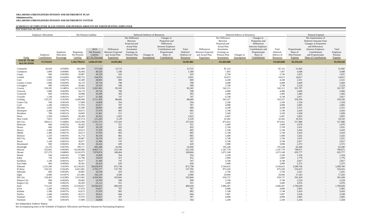## **SCHEDULE OF EMPLOYER ALLOCATIONS AND PENSION AMOUNTS BY PARTICIPATING EMPLOYER**

| Year Ended June 30, 2014               |                             |                                      |                                       |                                                    |                                                                         |                                                                                                                              |                                  |                                                                                                                                    |                                               |                                                                         |                                                                                                                              |                               |                                                                                                                                    |                                              |                                                      |                                                                                                                                                                              |                                         |
|----------------------------------------|-----------------------------|--------------------------------------|---------------------------------------|----------------------------------------------------|-------------------------------------------------------------------------|------------------------------------------------------------------------------------------------------------------------------|----------------------------------|------------------------------------------------------------------------------------------------------------------------------------|-----------------------------------------------|-------------------------------------------------------------------------|------------------------------------------------------------------------------------------------------------------------------|-------------------------------|------------------------------------------------------------------------------------------------------------------------------------|----------------------------------------------|------------------------------------------------------|------------------------------------------------------------------------------------------------------------------------------------------------------------------------------|-----------------------------------------|
|                                        | <b>Employer Allocations</b> |                                      |                                       | Net Pension Liability                              |                                                                         |                                                                                                                              | Deferred Outflows of Resources   |                                                                                                                                    |                                               |                                                                         |                                                                                                                              | Deferred Inflows of Resources |                                                                                                                                    |                                              |                                                      | Pension Expense                                                                                                                                                              |                                         |
| Entity                                 | Employer<br>Contributions   | Employer<br>Allocation<br>Percentage | Beginning<br>Net Pension<br>Liability | 2014<br>Net Pension<br>Liability<br>@7.5% Discount | Differences<br><b>Between Expected</b><br>and Actual Plan<br>Experience | Net Difference<br>Between<br>Projected and<br><b>Actual Plan</b><br>Investment<br>Earnings on<br>Pension Plan<br>Investments | Changes in<br><b>Assumptions</b> | Changes in<br>Proportion and<br>Differences<br>between Employer<br>Contributions and<br>Proportionate<br>Share of<br>Contributions | Total<br>Deferred<br>Outflows of<br>Resources | Differences<br><b>Between Expected</b><br>and Actual Plan<br>Experience | Net Difference<br>Between<br>Projected and<br><b>Actual Plan</b><br>Investment<br>Earnings on<br>Pension Plan<br>Investments | Changes in<br>Assumptions     | Changes in<br>Proportion and<br>Differences<br>between Employer<br>Contributions and<br>Proportionate<br>Share of<br>Contributions | Total<br>Deferred<br>Inflows of<br>Resources | Proportionate<br>Share of<br>Plan Pension<br>Expense | Net Amortization of<br>Deferred Amounts from<br>Changes in Proportion<br>and Differences<br>between Employer<br>Contributions<br>and Proportionate<br>Share of Contributions | Total<br>Employer<br>Pension<br>Expense |
| <b>TOTAL TO BE</b><br><b>ALLOCATED</b> | 37, 374, 912                |                                      | 1,182,799,612                         | 1,028,347,843                                      | 24,501,862                                                              |                                                                                                                              |                                  |                                                                                                                                    | 24,501,862                                    | $\sim$                                                                  | 155,663,686                                                                                                                  |                               |                                                                                                                                    | 155,663,686                                  | 92,359,244                                           |                                                                                                                                                                              | 92,359,244                              |
| Comanche                               | 20,918                      | 0.0560%                              | 661,990                               | 575,546                                            | 13,713                                                                  |                                                                                                                              |                                  |                                                                                                                                    | 13,713                                        | $\overline{\phantom{0}}$                                                | 87,122                                                                                                                       |                               |                                                                                                                                    | 87,122                                       | 51,692                                               | $\overline{\phantom{a}}$                                                                                                                                                     | 51,692                                  |
| Commerce                               | 1,800                       | 0.0048%                              | 56,964                                | 49,526                                             | 1,180                                                                   |                                                                                                                              |                                  | $\overline{\phantom{a}}$                                                                                                           | 1,180                                         | $\sim$                                                                  | 7,497                                                                                                                        |                               |                                                                                                                                    | 7,497                                        | 4,448                                                | $\sim$                                                                                                                                                                       | 4,448                                   |
| Copan                                  | 660                         | 0.0018%                              | 20,887                                | 18,159                                             | 433                                                                     |                                                                                                                              |                                  |                                                                                                                                    | 433                                           | $\sim$                                                                  | 2,749                                                                                                                        |                               |                                                                                                                                    | 2,749                                        | 1,631                                                | $\sim$                                                                                                                                                                       | 1,631                                   |
| Cordell                                | 5,996                       | 0.0160%                              | 189,755                               | 164,976                                            | 3,931                                                                   |                                                                                                                              |                                  | $\overline{\phantom{a}}$                                                                                                           | 3,931                                         | $\overline{\phantom{0}}$                                                | 24,973                                                                                                                       |                               |                                                                                                                                    | 24,973                                       | 14,817                                               | $\overline{\phantom{a}}$                                                                                                                                                     | 14,817                                  |
| Corn                                   | 1,020                       | 0.0027%                              | 32,280                                | 28,065                                             | 669                                                                     |                                                                                                                              |                                  | $\overline{\phantom{a}}$                                                                                                           | 669                                           | $\sim$                                                                  | 4,248                                                                                                                        |                               | $\overline{a}$                                                                                                                     | 4,248                                        | 2,521                                                | $\overline{\phantom{a}}$                                                                                                                                                     | 2,521                                   |
| <b>Country Corner</b>                  | 1,080                       | 0.0029%                              | 34,179                                | 29,716                                             | 708                                                                     |                                                                                                                              |                                  | $\sim$                                                                                                                             | 708                                           | $\sim$                                                                  | 4,498                                                                                                                        |                               |                                                                                                                                    | 4,498                                        | 2,669                                                | $\sim$                                                                                                                                                                       | 2,669                                   |
| Covington                              | 900                         | 0.0024%                              | 28,482                                | 24,763                                             | 590                                                                     |                                                                                                                              |                                  | $\overline{\phantom{a}}$                                                                                                           | 590                                           | $\sim$                                                                  | 3,748                                                                                                                        |                               |                                                                                                                                    | 3,748                                        | 2,224                                                | $\overline{a}$                                                                                                                                                               | 2,224                                   |
| Coweta                                 | 130,185                     | 0.3483%                              | 4,119,950                             | 3,581,961                                          | 85,345                                                                  |                                                                                                                              |                                  | $\overline{\phantom{a}}$                                                                                                           | 85,345                                        | $\overline{\phantom{0}}$                                                | 542,211                                                                                                                      |                               | $\sim$                                                                                                                             | 542,211                                      | 321,707                                              | $\sim$                                                                                                                                                                       | 321,707                                 |
| Crescent                               | 1,080                       | 0.0029%                              | 34,179                                | 29,716                                             | 708                                                                     |                                                                                                                              |                                  |                                                                                                                                    | 708                                           | $\overline{\phantom{0}}$                                                | 4,498                                                                                                                        |                               |                                                                                                                                    | 4,498                                        | 2,669                                                | $\sim$                                                                                                                                                                       | 2,669                                   |
| Cromwell                               | 600                         | 0.0016%                              | 18,988                                | 16,509                                             | 393                                                                     |                                                                                                                              |                                  |                                                                                                                                    | 393                                           | $\overline{a}$                                                          | 2,499                                                                                                                        |                               |                                                                                                                                    | 2,499                                        | 1,483                                                | $\overline{\phantom{a}}$                                                                                                                                                     | 1,483                                   |
| Crowder                                | 1,140                       | 0.0031%                              | 36,077                                | 31,366                                             | 747                                                                     |                                                                                                                              |                                  | $\overline{\phantom{a}}$                                                                                                           | 747                                           | $\sim$                                                                  | 4,748                                                                                                                        |                               |                                                                                                                                    | 4,748                                        | 2,817                                                | $\overline{\phantom{a}}$                                                                                                                                                     | 2,817                                   |
| Cushing                                | 135,255                     | 0.3619%                              | 4,280,400                             | 3,721,459                                          | 88,669                                                                  |                                                                                                                              |                                  | $\overline{\phantom{a}}$                                                                                                           | 88,669                                        | $\sim$                                                                  | 563,327                                                                                                                      |                               |                                                                                                                                    | 563,327                                      | 334,236                                              | $-$                                                                                                                                                                          | 334,236                                 |
| <b>Custer City</b>                     | 540                         | 0.0014%                              | 17,089                                | 14,858                                             | 354                                                                     |                                                                                                                              |                                  | $\overline{\phantom{a}}$                                                                                                           | 354                                           | $\overline{\phantom{0}}$                                                | 2,249                                                                                                                        |                               |                                                                                                                                    | 2,249                                        | 1,334                                                | $\sim$                                                                                                                                                                       | 1,334                                   |
| Cyril                                  | 1,200                       | 0.0032%                              | 37,976                                | 33,017                                             | 787                                                                     |                                                                                                                              |                                  | $\overline{\phantom{a}}$                                                                                                           | 787                                           | $\sim$                                                                  | 4,998                                                                                                                        |                               | $\sim$                                                                                                                             | 4,998                                        | 2,965                                                | $\sim$                                                                                                                                                                       | 2,965                                   |
| Dacoma                                 | 1,020                       | 0.0027%                              | 32,280                                | 28,065                                             | 669                                                                     |                                                                                                                              |                                  |                                                                                                                                    | 669                                           | $\overline{\phantom{0}}$                                                | 4,248                                                                                                                        |                               |                                                                                                                                    | 4,248                                        | 2,521                                                | $\overline{\phantom{a}}$                                                                                                                                                     | 2,521                                   |
| Davenport                              | 1,380                       | 0.0037%                              | 43,673                                | 37,970                                             | 905                                                                     |                                                                                                                              |                                  | $\overline{\phantom{0}}$                                                                                                           | 905                                           | $\overline{\phantom{0}}$                                                | 5,748                                                                                                                        |                               | $\overline{\phantom{0}}$                                                                                                           | 5,748                                        | 3,410                                                | $\overline{\phantom{a}}$                                                                                                                                                     | 3,410                                   |
| Davidson                               | 780                         | 0.0021%                              | 24,685                                | 21,461                                             | 511                                                                     |                                                                                                                              |                                  | $\overline{\phantom{a}}$                                                                                                           | 511                                           | $\sim$                                                                  | 3,249                                                                                                                        |                               | $\sim$                                                                                                                             | 3,249                                        | 1,928                                                | $\overline{\phantom{a}}$                                                                                                                                                     | 1,928                                   |
| Davis                                  | 1,560                       | 0.0042%                              | 49,369                                | 42,922                                             | 1,023                                                                   |                                                                                                                              |                                  |                                                                                                                                    | 1,023                                         | $\overline{\phantom{0}}$                                                | 6,497                                                                                                                        | $\sim$                        |                                                                                                                                    | 6,497                                        | 3,855                                                | $\overline{a}$                                                                                                                                                               | 3,855                                   |
| Deer Creek                             | 7,823                       | 0.0209%                              | 247,574                               | 215,245                                            | 5,129                                                                   |                                                                                                                              |                                  | $\overline{\phantom{a}}$                                                                                                           | 5,129                                         |                                                                         | 32,582                                                                                                                       |                               |                                                                                                                                    | 32,582                                       | 19,332                                               | $-$                                                                                                                                                                          | 19,332                                  |
| Del City                               | 209,613                     | 0.5608%                              | 6,633,599                             | 5,767,373                                          | 137,416                                                                 |                                                                                                                              |                                  | $\overline{\phantom{a}}$                                                                                                           | 137,416                                       |                                                                         | 873,022                                                                                                                      |                               |                                                                                                                                    | 873,022                                      | 517,986                                              | $\sim$                                                                                                                                                                       | 517,986                                 |
| Delaware                               | 840                         | 0.0022%                              | 26,583                                | 23,112                                             | 551                                                                     |                                                                                                                              |                                  |                                                                                                                                    | 551                                           |                                                                         | 3,499                                                                                                                        |                               |                                                                                                                                    | 3,499                                        | 2,076                                                |                                                                                                                                                                              | 2,076                                   |
| Dewar                                  | 660                         | 0.0018%                              | 20,887                                | 18,159                                             | 433                                                                     |                                                                                                                              |                                  |                                                                                                                                    | 433                                           |                                                                         | 2,749                                                                                                                        |                               |                                                                                                                                    | 2,749                                        | 1,631                                                |                                                                                                                                                                              | 1,631                                   |
|                                        |                             | 0.0037%                              | 43,673                                | 37,970                                             |                                                                         |                                                                                                                              |                                  |                                                                                                                                    |                                               | $\sim$                                                                  | 5,748                                                                                                                        |                               |                                                                                                                                    | 5,748                                        |                                                      | $-$                                                                                                                                                                          | 3,410                                   |
| Dewey                                  | 1,380                       |                                      |                                       |                                                    | 905                                                                     |                                                                                                                              |                                  | $\overline{\phantom{a}}$                                                                                                           | 905                                           | $\sim$                                                                  |                                                                                                                              | $\overline{\phantom{0}}$      | $\sim$                                                                                                                             |                                              | 3,410                                                | $\sim$                                                                                                                                                                       |                                         |
| Dibble                                 | 1,380                       | 0.0037%                              | 43,673                                | 37,970                                             | 905                                                                     |                                                                                                                              |                                  |                                                                                                                                    | 905                                           | $\overline{\phantom{0}}$                                                | 5,748                                                                                                                        |                               | $\sim$                                                                                                                             | 5,748                                        | 3,410                                                | $\sim$                                                                                                                                                                       | 3,410                                   |
| Dickson                                | 1,320                       | 0.0035%                              | 41,774                                | 36,319                                             | 865                                                                     |                                                                                                                              |                                  | $\overline{\phantom{a}}$                                                                                                           | 865                                           | $\overline{\phantom{0}}$                                                | 5,498                                                                                                                        | $\overline{\phantom{0}}$      | $\sim$                                                                                                                             | 5,498                                        | 3,262                                                | $\sim$                                                                                                                                                                       | 3,262                                   |
| Dill City                              | 660                         | 0.0018%                              | 20,887                                | 18,159                                             | 433                                                                     |                                                                                                                              |                                  | $\overline{\phantom{a}}$                                                                                                           | 433                                           | $\sim$                                                                  | 2,749                                                                                                                        | $\sim$                        | $\sim$                                                                                                                             | 2,749                                        | 1,631                                                | $\sim$                                                                                                                                                                       | 1,631                                   |
| Dover                                  | 1,140                       | 0.0031%                              | 36,077                                | 31,366                                             | 747                                                                     |                                                                                                                              |                                  |                                                                                                                                    | 747                                           | $\sim$                                                                  | 4,748                                                                                                                        | $\sim$                        |                                                                                                                                    | 4,748                                        | 2,817                                                | $\sim$                                                                                                                                                                       | 2,817                                   |
| Drummond                               | 960                         | 0.0026%                              | 30,381                                | 26,414                                             | 629                                                                     |                                                                                                                              |                                  | $\sim$                                                                                                                             | 629                                           | $\sim$                                                                  | 3,998                                                                                                                        | $\sim$                        | $\overline{a}$                                                                                                                     | 3,998                                        | 2,372                                                | $\sim$                                                                                                                                                                       | 2,372                                   |
| Drumright                              | 25,270                      | 0.0676%                              | 799,717                               | 695,289                                            | 16,566                                                                  |                                                                                                                              |                                  | $\sim$                                                                                                                             | 16,566                                        | $\sim$                                                                  | 105,248                                                                                                                      | $\sim$                        |                                                                                                                                    | 105,248                                      | 62,446                                               | $\sim$                                                                                                                                                                       | 62,446                                  |
| Duncan                                 | 323,602                     | 0.8658%                              | 10,240,996                            | 8,903,711                                          | 212,144                                                                 |                                                                                                                              |                                  | $\sim$                                                                                                                             | 212,144                                       | $\sim$                                                                  | 1,347,778                                                                                                                    | $\overline{\phantom{0}}$      |                                                                                                                                    | 1,347,778                                    | 799,671                                              | $\sim$                                                                                                                                                                       | 799,671                                 |
| Durant                                 | 257,279                     | 0.6884%                              | 8,142,079                             | 7,078,874                                          | 168,664                                                                 |                                                                                                                              |                                  | $\sim$                                                                                                                             | 168,664                                       | $-$                                                                     | 1,071,548                                                                                                                    | $\overline{\phantom{a}}$      | $\overline{a}$                                                                                                                     | 1,071,548                                    | 635,777                                              | $\sim$                                                                                                                                                                       | 635,777                                 |
| Dustin                                 | 540                         | 0.0014%                              | 17,089                                | 14,858                                             | 354                                                                     |                                                                                                                              |                                  | $\sim$                                                                                                                             | 354                                           | $\sim$                                                                  | 2,249                                                                                                                        | $\overline{\phantom{0}}$      | $\overline{\phantom{0}}$                                                                                                           | 2,249                                        | 1,334                                                | $\sim$                                                                                                                                                                       | 1,334                                   |
| Eakly                                  | 720                         | 0.0019%                              | 22,786                                | 19,810                                             | 472                                                                     |                                                                                                                              |                                  |                                                                                                                                    | 472                                           | $\sim$                                                                  | 2,999                                                                                                                        | $\sim$                        |                                                                                                                                    | 2,999                                        | 1,779                                                | $\sim$                                                                                                                                                                       | 1,779                                   |
| Earlsboro                              | 1,140                       | 0.0031%                              | 36,077                                | 31,366                                             | 747                                                                     |                                                                                                                              |                                  | $\overline{\phantom{a}}$                                                                                                           | 747                                           | $\sim$                                                                  | 4,748                                                                                                                        | $\sim$                        | $\overline{\phantom{0}}$                                                                                                           | 4,748                                        | 2,817                                                | $\sim$                                                                                                                                                                       | 2,817                                   |
| <b>East Duke</b>                       | 960                         | 0.0026%                              | 30,381                                | 26,414                                             | 629                                                                     |                                                                                                                              |                                  | $\sim$                                                                                                                             | 629                                           | $\sim$                                                                  | 3,998                                                                                                                        | $\sim$                        |                                                                                                                                    | 3,998                                        | 2,372                                                | $\sim$                                                                                                                                                                       | 2,372                                   |
| Edmond                                 | 1,331,266                   | 3.5619%                              | 42,130,425                            | 36,628,970                                         | 872,738                                                                 |                                                                                                                              |                                  | $\sim$                                                                                                                             | 872,738                                       | $\sim$                                                                  | 5,544,622                                                                                                                    | $\sim$                        |                                                                                                                                    | 5,544,622                                    | 3,289,766                                            | $-$                                                                                                                                                                          | 3,289,766                               |
| El Reno                                | 210,191                     | 0.5624%                              | 6,651,891                             | 5,783,277                                          | 137,795                                                                 |                                                                                                                              |                                  | $\sim$                                                                                                                             | 137,795                                       | $\overline{\phantom{0}}$                                                | 875,430                                                                                                                      | $\sim$                        | $\overline{\phantom{0}}$                                                                                                           | 875,430                                      | 519,415                                              | $\sim$                                                                                                                                                                       | 519,415                                 |
| Eldorado                               | 660                         | 0.0018%                              | 20,887                                | 18,159                                             | 433                                                                     |                                                                                                                              |                                  | $\sim$                                                                                                                             | 433                                           | $\sim$                                                                  | 2,749                                                                                                                        | $\overline{\phantom{0}}$      |                                                                                                                                    | 2,749                                        | 1,631                                                | $\sim$                                                                                                                                                                       | 1,631                                   |
| Elgin                                  | 6,986                       | 0.0187%                              | 221,085                               | 192,216                                            | 4,580                                                                   |                                                                                                                              |                                  | $\sim$                                                                                                                             | 4,580                                         | $\sim$                                                                  | 29,096                                                                                                                       | $\sim$                        |                                                                                                                                    | 29,096                                       | 17,263                                               | $\sim$                                                                                                                                                                       | 17,263                                  |
| Elk City                               | 158,403                     | 0.4238%                              | 5,012,962                             | 4,358,362                                          | 103,844                                                                 |                                                                                                                              |                                  | $\sim$                                                                                                                             | 103,844                                       | $\sim$                                                                  | 659,737                                                                                                                      |                               | $\overline{a}$                                                                                                                     | 659,737                                      | 391,439                                              | $\sim$                                                                                                                                                                       | 391,439                                 |
| <b>Elmore City</b>                     | 900                         | 0.0024%                              | 28,482                                | 24,763                                             | 590                                                                     |                                                                                                                              |                                  | $\sim$                                                                                                                             | 590                                           | $\sim$                                                                  | 3,748                                                                                                                        | $\sim$                        | $\sim$                                                                                                                             | 3,748                                        | 2,224                                                | $\sim$                                                                                                                                                                       | 2,224                                   |
| <b>Empire City</b>                     | 840                         | 0.0022%                              | 26,583                                | 23,112                                             | 551                                                                     |                                                                                                                              |                                  | $\sim$                                                                                                                             | 551                                           | $\sim$                                                                  | 3,499                                                                                                                        | $\sim$                        |                                                                                                                                    | 3,499                                        | 2,076                                                | $\sim$                                                                                                                                                                       | 2,076                                   |
| Enid                                   | 712,233                     | 1.9056%                              | 22,539,957                            | 19,596,655                                         | 466,918                                                                 |                                                                                                                              |                                  | $\sim$                                                                                                                             | 466,918                                       | $\sim$                                                                  | 2,966,397                                                                                                                    | $\sim$                        | $\overline{\phantom{0}}$                                                                                                           | 2,966,397                                    | 1,760,039                                            | $\sim$                                                                                                                                                                       | 1,760,039                               |
| Erick                                  | 1,200                       | 0.0032%                              | 37,976                                | 33,017                                             | 787                                                                     |                                                                                                                              |                                  | $\sim$                                                                                                                             | 787                                           | $\sim$                                                                  | 4,998                                                                                                                        | $\sim$                        |                                                                                                                                    | 4,998                                        | 2,965                                                | $\sim$                                                                                                                                                                       | 2,965                                   |
| Eufaula                                | 1,380                       | 0.0037%                              | 43,673                                | 37,970                                             | 905                                                                     |                                                                                                                              |                                  | $\overline{\phantom{a}}$                                                                                                           | 905                                           | $\sim$                                                                  | 5,748                                                                                                                        | $\sim$                        |                                                                                                                                    | 5,748                                        | 3,410                                                | $\sim$                                                                                                                                                                       | 3,410                                   |
| Fairfax                                | 1,440                       | 0.0039%                              | 45,572                                | 39,621                                             | 944                                                                     |                                                                                                                              |                                  |                                                                                                                                    | 944                                           | $\sim$                                                                  | 5,997                                                                                                                        |                               | $\sim$                                                                                                                             | 5,997                                        | 3,558                                                | $\sim$                                                                                                                                                                       | 3,558                                   |
| Fairland                               | 1,200                       | 0.0032%                              | 37,976                                | 33,017                                             | 787                                                                     |                                                                                                                              |                                  |                                                                                                                                    | 787                                           | $\sim$                                                                  | 4,998                                                                                                                        | $\overline{\phantom{0}}$      | $\sim$                                                                                                                             | 4,998                                        | 2,965                                                | $\sim$                                                                                                                                                                       | 2,965                                   |
| Fairmont                               | 540                         | 0.0014%                              | 17,089                                | 14,858                                             | 354                                                                     |                                                                                                                              |                                  |                                                                                                                                    | 354                                           |                                                                         | 2,249                                                                                                                        | $\sim$                        | $\sim$                                                                                                                             | 2,249                                        | 1,334                                                | $\sim$                                                                                                                                                                       | 1,334                                   |

See Independent Auditors' Report.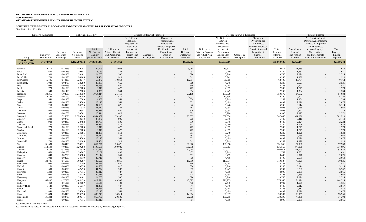## **SCHEDULE OF EMPLOYER ALLOCATIONS AND PENSION AMOUNTS BY PARTICIPATING EMPLOYER**

| Year Ended June 30, 2014               |                             |                                      |                                       |                                                   |                                                                         |                                                                                                                              |                                |                                                                                                                                    |                                               |                                                                         |                                                                                                                              |                                  |                                                                                                                                    |                                              |                                                             |                                                                                                                                                                              |                                                |
|----------------------------------------|-----------------------------|--------------------------------------|---------------------------------------|---------------------------------------------------|-------------------------------------------------------------------------|------------------------------------------------------------------------------------------------------------------------------|--------------------------------|------------------------------------------------------------------------------------------------------------------------------------|-----------------------------------------------|-------------------------------------------------------------------------|------------------------------------------------------------------------------------------------------------------------------|----------------------------------|------------------------------------------------------------------------------------------------------------------------------------|----------------------------------------------|-------------------------------------------------------------|------------------------------------------------------------------------------------------------------------------------------------------------------------------------------|------------------------------------------------|
|                                        | <b>Employer Allocations</b> |                                      |                                       | Net Pension Liability                             |                                                                         |                                                                                                                              | Deferred Outflows of Resources |                                                                                                                                    |                                               |                                                                         |                                                                                                                              | Deferred Inflows of Resources    |                                                                                                                                    |                                              |                                                             | Pension Expense                                                                                                                                                              |                                                |
| Entity                                 | Employer<br>Contributions   | Employer<br>Allocation<br>Percentage | Beginning<br>Net Pension<br>Liability | 2014<br>Net Pension<br>Liability<br>@7.5% Discoun | Differences<br><b>Between Expected</b><br>and Actual Plan<br>Experience | Net Difference<br>Between<br>Projected and<br><b>Actual Plan</b><br>Investment<br>Earnings on<br>Pension Plan<br>Investments | Changes in<br>Assumptions      | Changes in<br>Proportion and<br>Differences<br>between Employer<br>Contributions and<br>Proportionate<br>Share of<br>Contributions | Total<br>Deferred<br>Outflows of<br>Resources | Differences<br><b>Between Expected</b><br>and Actual Plan<br>Experience | Net Difference<br>Between<br>Projected and<br><b>Actual Plan</b><br>Investment<br>Earnings on<br>Pension Plan<br>Investments | Changes in<br><b>Assumptions</b> | Changes in<br>Proportion and<br>Differences<br>between Employer<br>Contributions and<br>Proportionate<br>Share of<br>Contributions | Total<br>Deferred<br>Inflows of<br>Resources | Proportionate<br>Share of<br>Plan Pension<br><b>Expense</b> | Net Amortization of<br>Deferred Amounts from<br>Changes in Proportion<br>and Differences<br>between Employer<br>Contributions<br>and Proportionate<br>Share of Contributions | Total<br>Employer<br>Pension<br><b>Expense</b> |
| <b>TOTAL TO BE</b><br><b>ALLOCATED</b> | 37, 374, 912                |                                      | 1,182,799,612                         | 1,028,347,843                                     | 24,501,862                                                              |                                                                                                                              |                                |                                                                                                                                    | 24,501,862                                    | $\sim$                                                                  | 155,663,686                                                                                                                  |                                  |                                                                                                                                    | 155,663,686                                  | 92,359,244                                                  |                                                                                                                                                                              | 92,359,244                                     |
| Fairview                               | 4,710                       | 0.0126%                              | 149,057                               | 129,593                                           | 3,088                                                                   |                                                                                                                              |                                |                                                                                                                                    | 3,088                                         | $\overline{\phantom{a}}$                                                | 19,617                                                                                                                       |                                  |                                                                                                                                    | 19,617                                       | 11,639                                                      | $\sim$                                                                                                                                                                       | 11,639                                         |
| Fargo                                  | 660                         | 0.0018%                              | 20,887                                | 18,159                                            | 433                                                                     |                                                                                                                              |                                | $\overline{\phantom{0}}$                                                                                                           | 433                                           | $\overline{a}$                                                          | 2,749                                                                                                                        |                                  |                                                                                                                                    | 2,749                                        | 1,631                                                       | $\sim$                                                                                                                                                                       | 1,631                                          |
| <b>Forest Park</b>                     | 900                         | 0.0024%                              | 28,482                                | 24,763                                            | 590                                                                     |                                                                                                                              |                                |                                                                                                                                    | 590                                           | $\sim$                                                                  | 3,748                                                                                                                        |                                  |                                                                                                                                    | 3,748                                        | 2,224                                                       | $\sim$                                                                                                                                                                       | 2,224                                          |
| Fort Cobb                              | 780                         | 0.0021%                              | 24,685                                | 21,461                                            | 511                                                                     |                                                                                                                              |                                |                                                                                                                                    | 511                                           | $\overline{a}$                                                          | 3,249                                                                                                                        |                                  |                                                                                                                                    | 3,249                                        | 1,928                                                       | $\sim$                                                                                                                                                                       | 1,928                                          |
| Fort Gibson                            | 16,496                      | 0.0441%                              | 522,047                               | 453,877                                           | 10,814                                                                  |                                                                                                                              |                                | $\overline{\phantom{a}}$                                                                                                           | 10,814                                        | $\overline{a}$                                                          | 68,705                                                                                                                       |                                  | $\sim$                                                                                                                             | 68,705                                       | 40,764                                                      | $\sim$                                                                                                                                                                       | 40,764                                         |
| Fort Supply                            | 1,020                       | 0.0027%                              | 32,280                                | 28,065                                            | 669                                                                     |                                                                                                                              |                                | $\sim$                                                                                                                             | 669                                           | $\overline{a}$                                                          | 4,248                                                                                                                        |                                  |                                                                                                                                    | 4,248                                        | 2,521                                                       | $\sim$                                                                                                                                                                       | 2,521                                          |
| Foss                                   | 1,020                       | 0.0027%                              | 32,280                                | 28,065                                            | 669                                                                     |                                                                                                                              |                                | $\overline{\phantom{a}}$                                                                                                           | 669                                           | $\overline{a}$                                                          | 4,248                                                                                                                        |                                  |                                                                                                                                    | 4,248                                        | 2,521                                                       | $\sim$                                                                                                                                                                       | 2,521                                          |
| Foyil                                  | 720                         | 0.0019%                              | 22,786                                | 19,810                                            | 472                                                                     |                                                                                                                              |                                | $\overline{\phantom{a}}$                                                                                                           | 472                                           | $\overline{a}$                                                          | 2,999                                                                                                                        |                                  | $-$                                                                                                                                | 2,999                                        | 1,779                                                       | $\sim$                                                                                                                                                                       | 1,779                                          |
| Francis                                | 540                         | 0.0014%                              | 17,089                                | 14,858                                            | 354                                                                     |                                                                                                                              |                                |                                                                                                                                    | 354                                           | $\sim$                                                                  | 2,249                                                                                                                        |                                  |                                                                                                                                    | 2,249                                        | 1,334                                                       | $\sim$                                                                                                                                                                       | 1,334                                          |
| Frederick                              | 38,315                      | 0.1025%                              | 1,212,550                             | 1,054,214                                         | 25,118                                                                  |                                                                                                                              |                                |                                                                                                                                    | 25,118                                        | $\overline{a}$                                                          | 159,579                                                                                                                      |                                  |                                                                                                                                    | 159,579                                      | 94,682                                                      | $\sim$                                                                                                                                                                       | 94,682                                         |
| Freedom                                | 2,520                       | 0.0067%                              | 79,750                                | 69,336                                            | 1,652                                                                   |                                                                                                                              |                                | $\overline{\phantom{a}}$                                                                                                           | 1,652                                         | $\overline{a}$                                                          | 10,496                                                                                                                       |                                  | $-$                                                                                                                                | 10,496                                       | 6,227                                                       | $\sim$                                                                                                                                                                       | 6,227                                          |
| Gage                                   | 540                         | 0.0014%                              | 17,089                                | 14,858                                            | 354                                                                     |                                                                                                                              |                                | $\overline{\phantom{a}}$                                                                                                           | 354                                           | $\overline{a}$                                                          | 2,249                                                                                                                        |                                  |                                                                                                                                    | 2,249                                        | 1,334                                                       | $\sim$                                                                                                                                                                       | 1,334                                          |
| Garber                                 | 840                         | 0.0022%                              | 26,583                                | 23,112                                            | 551                                                                     |                                                                                                                              |                                | $\overline{\phantom{0}}$                                                                                                           | 551                                           | $\sim$                                                                  | 3,499                                                                                                                        |                                  |                                                                                                                                    | 3,499                                        | 2,076                                                       | $\sim$                                                                                                                                                                       | 2,076                                          |
| Gate                                   | 1,260                       | 0.0034%                              | 39,875                                | 34,668                                            | 826                                                                     |                                                                                                                              |                                |                                                                                                                                    | 826                                           |                                                                         | 5,248                                                                                                                        |                                  |                                                                                                                                    | 5,248                                        | 3,114                                                       |                                                                                                                                                                              | 3,114                                          |
|                                        |                             | 0.0032%                              | 37,976                                |                                                   | 787                                                                     |                                                                                                                              |                                | $\overline{\phantom{a}}$                                                                                                           |                                               | $\overline{a}$                                                          | 4,998                                                                                                                        |                                  |                                                                                                                                    | 4,998                                        | 2,965                                                       | $\sim$                                                                                                                                                                       |                                                |
| Geary                                  | 1,200                       |                                      |                                       | 33,017                                            |                                                                         |                                                                                                                              |                                |                                                                                                                                    | 787                                           | $\overline{a}$                                                          |                                                                                                                              |                                  |                                                                                                                                    |                                              |                                                             | $\sim$                                                                                                                                                                       | 2,965                                          |
| Geronimo                               | 960                         | 0.0026%                              | 30,381                                | 26,414                                            | 629                                                                     |                                                                                                                              |                                | $\overline{\phantom{0}}$                                                                                                           | 629                                           | $\overline{\phantom{a}}$                                                | 3,998                                                                                                                        |                                  |                                                                                                                                    | 3,998                                        | 2,372                                                       | $\sim$                                                                                                                                                                       | 2,372                                          |
| Glencoe                                | 960                         | 0.0026%                              | 30,381                                | 26,414                                            | 629                                                                     |                                                                                                                              |                                | $\overline{\phantom{a}}$                                                                                                           | 629                                           | $\overline{a}$                                                          | 3,998                                                                                                                        |                                  | $-$                                                                                                                                | 3,998                                        | 2,372                                                       | $\sim$                                                                                                                                                                       | 2,372                                          |
| Glenpool                               | 121,935                     | 0.3262%                              | 3,858,863                             | 3,354,967                                         | 79,937                                                                  |                                                                                                                              |                                | $\overline{\phantom{a}}$                                                                                                           | 79,937                                        | $\sim$                                                                  | 507,850                                                                                                                      |                                  | $\sim$                                                                                                                             | 507,850                                      | 301,320                                                     | $\sim$                                                                                                                                                                       | 301,320                                        |
| Goldsby                                | 1,380                       | 0.0037%                              | 43,673                                | 37,970                                            | 905                                                                     |                                                                                                                              |                                | $\overline{\phantom{0}}$                                                                                                           | 905                                           | $\overline{a}$                                                          | 5,748                                                                                                                        |                                  |                                                                                                                                    | 5,748                                        | 3,410                                                       | $-$                                                                                                                                                                          | 3,410                                          |
| Goltry                                 | 900                         | 0.0024%                              | 28,482                                | 24,763                                            | 590                                                                     |                                                                                                                              |                                | $\sim$                                                                                                                             | 590                                           |                                                                         | 3,748                                                                                                                        |                                  |                                                                                                                                    | 3,748                                        | 2,224                                                       | $\sim$                                                                                                                                                                       | 2,224                                          |
| Goodwell                               | 780                         | 0.0021%                              | 24,685                                | 21,461                                            | 511                                                                     |                                                                                                                              |                                |                                                                                                                                    | 511                                           |                                                                         | 3,249                                                                                                                        |                                  |                                                                                                                                    | 3,249                                        | 1,928                                                       |                                                                                                                                                                              | 1,928                                          |
| Gooseneck Bend                         | 720                         | 0.0019%                              | 22,786                                | 19,810                                            | 472                                                                     |                                                                                                                              |                                |                                                                                                                                    | 472                                           | $\sim$                                                                  | 2,999                                                                                                                        |                                  |                                                                                                                                    | 2,999                                        | 1,779                                                       | $\overline{a}$                                                                                                                                                               | 1,779                                          |
| Gotebo                                 | 720                         | 0.0019%                              | 22,786                                | 19,810                                            | 472                                                                     |                                                                                                                              |                                | $\overline{\phantom{a}}$                                                                                                           | 472                                           | $\overline{a}$                                                          | 2,999                                                                                                                        | $\sim$                           | $-$                                                                                                                                | 2,999                                        | 1,779                                                       | $\sim$                                                                                                                                                                       | 1,779                                          |
| Gracemont                              | 780                         | 0.0021%                              | 24,685                                | 21,461                                            | 511                                                                     |                                                                                                                              |                                |                                                                                                                                    | 511                                           | $\sim$                                                                  | 3,249                                                                                                                        |                                  |                                                                                                                                    | 3,249                                        | 1,928                                                       | $\sim$                                                                                                                                                                       | 1,928                                          |
| Grandfield                             | 1,200                       | 0.0032%                              | 37,976                                | 33,017                                            | 787                                                                     |                                                                                                                              |                                | $\overline{\phantom{0}}$                                                                                                           | 787                                           | $\sim$                                                                  | 4,998                                                                                                                        | $\overline{\phantom{0}}$         | $\overline{\phantom{0}}$                                                                                                           | 4,998                                        | 2,965                                                       | $\sim$                                                                                                                                                                       | 2,965                                          |
| Granite                                | 840                         | 0.0022%                              | 26,583                                | 23,112                                            | 551                                                                     |                                                                                                                              |                                | $\sim$                                                                                                                             | 551                                           | $\sim$                                                                  | 3,499                                                                                                                        | $\sim$                           | $\overline{\phantom{0}}$                                                                                                           | 3,499                                        | 2,076                                                       | $\sim$                                                                                                                                                                       | 2,076                                          |
| Greenfield                             | 780                         | 0.0021%                              | 24,685                                | 21,461                                            | 511                                                                     |                                                                                                                              |                                | $\overline{\phantom{0}}$                                                                                                           | 511                                           | $\sim$                                                                  | 3,249                                                                                                                        | $\sim$                           |                                                                                                                                    | 3,249                                        | 1,928                                                       | $\sim$                                                                                                                                                                       | 1,928                                          |
| Grove                                  | 31,539                      | 0.0844%                              | 998,111                               | 867,776                                           | 20,676                                                                  |                                                                                                                              |                                | $\sim$                                                                                                                             | 20,676                                        | $\sim$                                                                  | 131,358                                                                                                                      | $-$                              | $-$                                                                                                                                | 131,358                                      | 77,938                                                      | $\sim$                                                                                                                                                                       | 77,938                                         |
| Guthrie                                | 152,599                     | 0.4083%                              | 4,829,283                             | 4,198,668                                         | 100,039                                                                 |                                                                                                                              |                                | $\sim$                                                                                                                             | 100,039                                       | $\overline{a}$                                                          | 635,563                                                                                                                      | $\sim$                           |                                                                                                                                    | 635,563                                      | 377,096                                                     | $\sim$                                                                                                                                                                       | 377,096                                        |
| Guymon                                 | 118,132                     | 0.3161%                              | 3,738,510                             | 3,250,330                                         | 77,444                                                                  |                                                                                                                              |                                | $\sim$                                                                                                                             | 77,444                                        | $\overline{a}$                                                          | 492,011                                                                                                                      |                                  |                                                                                                                                    | 492,011                                      | 291,923                                                     | $\sim$                                                                                                                                                                       | 291,923                                        |
| Haileyville                            | 660                         | 0.0018%                              | 20,887                                | 18,159                                            | 433                                                                     |                                                                                                                              |                                | $\sim$                                                                                                                             | 433                                           | $\sim$                                                                  | 2,749                                                                                                                        | $\overline{\phantom{a}}$         | $-$                                                                                                                                | 2,749                                        | 1,631                                                       | $\sim$                                                                                                                                                                       | 1,631                                          |
| Hammon                                 | 840                         | 0.0022%                              | 26,583                                | 23,112                                            | 551                                                                     |                                                                                                                              |                                | $\sim$                                                                                                                             | 551                                           | $\sim$                                                                  | 3,499                                                                                                                        | $\sim$                           | $\overline{\phantom{0}}$                                                                                                           | 3,499                                        | 2,076                                                       | $\sim$                                                                                                                                                                       | 2,076                                          |
| Hardesty                               | 1,080                       | 0.0029%                              | 34,179                                | 29,716                                            | 708                                                                     |                                                                                                                              |                                |                                                                                                                                    | 708                                           | $\sim$                                                                  | 4,498                                                                                                                        | $\sim$                           |                                                                                                                                    | 4,498                                        | 2,669                                                       | $\sim$                                                                                                                                                                       | 2,669                                          |
| Harrah                                 | 28,701                      | 0.0768%                              | 908,297                               | 789,690                                           | 18,816                                                                  |                                                                                                                              |                                | $\sim$                                                                                                                             | 18,816                                        | $\sim$                                                                  | 119,537                                                                                                                      | $\overline{\phantom{a}}$         | $-$                                                                                                                                | 119,537                                      | 70,925                                                      | $\sim$                                                                                                                                                                       | 70,925                                         |
| Hartshorne                             | 1,020                       | 0.0027%                              | 32,280                                | 28,065                                            | 669                                                                     |                                                                                                                              |                                | $\sim$                                                                                                                             | 669                                           | $\sim$                                                                  | 4,248                                                                                                                        | $\sim$                           |                                                                                                                                    | 4,248                                        | 2,521                                                       | $\sim$                                                                                                                                                                       | 2,521                                          |
| Haskell                                | 1,260                       | 0.0034%                              | 39,875                                | 34,668                                            | 826                                                                     |                                                                                                                              |                                | $\overline{\phantom{0}}$                                                                                                           | 826                                           | $\overline{a}$                                                          | 5,248                                                                                                                        |                                  |                                                                                                                                    | 5,248                                        | 3,114                                                       | $\sim$                                                                                                                                                                       | 3,114                                          |
| Haworth                                | 1,500                       | 0.0040%                              | 47,470                                | 41,272                                            | 983                                                                     |                                                                                                                              |                                | $\sim$                                                                                                                             | 983                                           | $\sim$                                                                  | 6,247                                                                                                                        | $-$                              | $-$                                                                                                                                | 6,247                                        | 3,707                                                       | $\sim$                                                                                                                                                                       | 3,707                                          |
| Heavener                               | 1,200                       | 0.0032%                              | 37,976                                | 33,017                                            | 787                                                                     |                                                                                                                              |                                | $\overline{\phantom{0}}$                                                                                                           | 787                                           | $\sim$                                                                  | 4,998                                                                                                                        | $\sim$                           |                                                                                                                                    | 4,998                                        | 2,965                                                       | $\sim$                                                                                                                                                                       | 2,965                                          |
| Helena                                 | 1,080                       | 0.0029%                              | 34,179                                | 29,716                                            | 708                                                                     |                                                                                                                              |                                | $\sim$                                                                                                                             | 708                                           | $\overline{a}$                                                          | 4,498                                                                                                                        |                                  |                                                                                                                                    | 4,498                                        | 2,669                                                       | $\sim$                                                                                                                                                                       | 2,669                                          |
| Hennessey                              | 900                         | 0.0024%                              | 28,482                                | 24,763                                            | 590                                                                     |                                                                                                                              |                                | $\sim$                                                                                                                             | 590                                           | $\sim$                                                                  | 3,748                                                                                                                        | $\sim$                           | $-$                                                                                                                                | 3,748                                        | 2,224                                                       | $\sim$                                                                                                                                                                       | 2,224                                          |
| Henryetta                              | 66,497                      | 0.1779%                              | 2,104,423                             | 1,829,624                                         | 43,593                                                                  |                                                                                                                              |                                | $\sim$                                                                                                                             | 43,593                                        | $\sim$                                                                  | 276,955                                                                                                                      | $\sim$                           | $\sim$                                                                                                                             | 276,955                                      | 164,324                                                     | $\sim$                                                                                                                                                                       | 164,324                                        |
| Hickory                                | 660                         | 0.0018%                              | 20,887                                | 18,159                                            | 433                                                                     |                                                                                                                              |                                | $\sim$                                                                                                                             | 433                                           |                                                                         | 2,749                                                                                                                        | $\sim$                           |                                                                                                                                    | 2,749                                        | 1,631                                                       |                                                                                                                                                                              | 1,631                                          |
| <b>Hickory Hills</b>                   | 1,140                       | 0.0031%                              | 36,077                                | 31,366                                            | 747                                                                     |                                                                                                                              |                                |                                                                                                                                    | 747                                           | $\overline{a}$                                                          | 4,748                                                                                                                        |                                  |                                                                                                                                    | 4,748                                        | 2,817                                                       | $\sim$                                                                                                                                                                       | 2,817                                          |
|                                        |                             |                                      |                                       |                                                   |                                                                         |                                                                                                                              | $\overline{\phantom{a}}$       | $\sim$                                                                                                                             |                                               | $\sim$                                                                  |                                                                                                                              | $\sim$                           | $-$                                                                                                                                |                                              |                                                             | $\sim$                                                                                                                                                                       |                                                |
| Hinton                                 | 1,140                       | 0.0031%                              | 36,077                                | 31,366                                            | 747                                                                     |                                                                                                                              | $\overline{\phantom{0}}$       | $\sim$                                                                                                                             | 747                                           | $\sim$                                                                  | 4,748                                                                                                                        | $\sim$                           |                                                                                                                                    | 4,748                                        | 2,817                                                       | $\sim$                                                                                                                                                                       | 2,817                                          |
| Hitchcock                              | 840                         | 0.0022%                              | 26,583                                | 23,112                                            | 551                                                                     |                                                                                                                              |                                | $\sim$                                                                                                                             | 551                                           | $\sim$                                                                  | 3,499                                                                                                                        | $\sim$                           |                                                                                                                                    | 3,499                                        | 2,076                                                       | $\sim$                                                                                                                                                                       | 2,076                                          |
| Hobart                                 | 21,834                      | 0.0584%                              | 690,978                               | 600,749                                           | 14,314                                                                  |                                                                                                                              |                                | $\sim$                                                                                                                             | 14,314                                        | $\overline{a}$                                                          | 90,937                                                                                                                       |                                  | $-$                                                                                                                                | 90,937                                       | 53,955                                                      | $\sim$                                                                                                                                                                       | 53,955                                         |
| Holdenville                            | 31,284                      | 0.0837%                              | 990,041                               | 860,760                                           | 20,509                                                                  |                                                                                                                              |                                | $\sim$                                                                                                                             | 20,509                                        | $\sim$                                                                  | 130,295                                                                                                                      | $\overline{\phantom{0}}$         | $-$                                                                                                                                | 130,295                                      | 77,308                                                      | $\sim$                                                                                                                                                                       | 77,308                                         |
| Hollis                                 | 1,200                       | 0.0032%                              | 37,976                                | 33,017                                            | 787                                                                     |                                                                                                                              |                                | $\sim$                                                                                                                             | 787                                           | $\sim$                                                                  | 4,998                                                                                                                        | $\sim$                           |                                                                                                                                    | 4,998                                        | 2,965                                                       | $\sim$                                                                                                                                                                       | 2,965                                          |

See Independent Auditors' Report.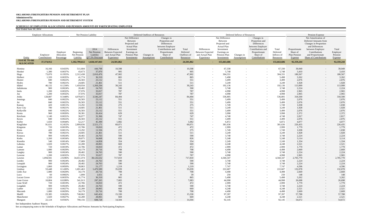## **SCHEDULE OF EMPLOYER ALLOCATIONS AND PENSION AMOUNTS BY PARTICIPATING EMPLOYER**

| Year Ended June 30, 2014               |                             |                                      |                                       |                                                   |                                                                         |                                                                                                                              |                                  |                                                                                                                                    |                                               |                                                                         |                                                                                                                              |                               |                                                                                                                                    |                                              |                                                      |                                                                                                                                                                              |                                         |
|----------------------------------------|-----------------------------|--------------------------------------|---------------------------------------|---------------------------------------------------|-------------------------------------------------------------------------|------------------------------------------------------------------------------------------------------------------------------|----------------------------------|------------------------------------------------------------------------------------------------------------------------------------|-----------------------------------------------|-------------------------------------------------------------------------|------------------------------------------------------------------------------------------------------------------------------|-------------------------------|------------------------------------------------------------------------------------------------------------------------------------|----------------------------------------------|------------------------------------------------------|------------------------------------------------------------------------------------------------------------------------------------------------------------------------------|-----------------------------------------|
|                                        | <b>Employer Allocations</b> |                                      |                                       | Net Pension Liability                             |                                                                         |                                                                                                                              | Deferred Outflows of Resources   |                                                                                                                                    |                                               |                                                                         |                                                                                                                              | Deferred Inflows of Resources |                                                                                                                                    |                                              |                                                      | Pension Expense                                                                                                                                                              |                                         |
| Entity                                 | Employer<br>Contributions   | Employer<br>Allocation<br>Percentage | Beginning<br>Net Pension<br>Liability | 2014<br>Net Pension<br>Liability<br>@7.5% Discoun | Differences<br><b>Between Expected</b><br>and Actual Plan<br>Experience | Net Difference<br>Between<br>Projected and<br><b>Actual Plan</b><br>Investment<br>Earnings on<br>Pension Plan<br>Investments | Changes in<br><b>Assumptions</b> | Changes in<br>Proportion and<br>Differences<br>between Employer<br>Contributions and<br>Proportionate<br>Share of<br>Contributions | Total<br>Deferred<br>Outflows of<br>Resources | Differences<br><b>Between Expected</b><br>and Actual Plan<br>Experience | Net Difference<br>Between<br>Projected and<br><b>Actual Plan</b><br>Investment<br>Earnings on<br>Pension Plan<br>Investments | Changes in<br>Assumptions     | Changes in<br>Proportion and<br>Differences<br>between Employer<br>Contributions and<br>Proportionate<br>Share of<br>Contributions | Total<br>Deferred<br>Inflows of<br>Resources | Proportionate<br>Share of<br>Plan Pension<br>Expense | Net Amortization of<br>Deferred Amounts from<br>Changes in Proportion<br>and Differences<br>between Employer<br>Contributions<br>and Proportionate<br>Share of Contributions | Total<br>Employer<br>Pension<br>Expense |
| <b>TOTAL TO BE</b><br><b>ALLOCATED</b> | 37, 374, 912                |                                      | 1,182,799,612                         | 1,028,347,843                                     | 24,501,862                                                              |                                                                                                                              |                                  |                                                                                                                                    | 24,501,862                                    |                                                                         | 155,663,686                                                                                                                  |                               |                                                                                                                                    | 155,663,686                                  | 92,359,244                                           |                                                                                                                                                                              | 92,359,244                              |
| Hominy                                 | 16,166                      | 0.0433%                              | 511,604                               | 444,798                                           | 10,598                                                                  |                                                                                                                              |                                  | $\overline{\phantom{a}}$                                                                                                           | 10,598                                        | $\sim$                                                                  | 67,330                                                                                                                       |                               |                                                                                                                                    | 67,330                                       | 39,949                                               | $\sim$                                                                                                                                                                       | 39,949                                  |
| Hooker                                 | 1,380                       | 0.0037%                              | 43,673                                | 37,970                                            | 905                                                                     |                                                                                                                              |                                  | $\sim$                                                                                                                             | 905                                           | $\sim$                                                                  | 5,748                                                                                                                        | $\overline{\phantom{0}}$      |                                                                                                                                    | 5,748                                        | 3,410                                                | $\sim$                                                                                                                                                                       | 3,410                                   |
| Hugo                                   | 73,070                      | 0.1955%                              | 2,312,438                             | 2,010,476                                         | 47,902                                                                  |                                                                                                                              |                                  | $\overline{\phantom{a}}$                                                                                                           | 47,902                                        | $\sim$                                                                  | 304,331                                                                                                                      | $\overline{\phantom{0}}$      | $\overline{a}$                                                                                                                     | 304,331                                      | 180,567                                              | $-$                                                                                                                                                                          | 180,567                                 |
| Hulbert                                | 1,320                       | 0.0035%                              | 41,774                                | 36,319                                            | 865                                                                     |                                                                                                                              |                                  | $\overline{\phantom{a}}$                                                                                                           | 865                                           | $\sim$                                                                  | 5,498                                                                                                                        | $\overline{\phantom{a}}$      | $\overline{\phantom{0}}$                                                                                                           | 5,498                                        | 3,262                                                | $\sim$                                                                                                                                                                       | 3,262                                   |
| Hunter                                 | 840                         | 0.0022%                              | 26,583                                | 23,112                                            | 551                                                                     |                                                                                                                              |                                  | $\overline{\phantom{a}}$                                                                                                           | 551                                           | $\sim$                                                                  | 3,499                                                                                                                        | $\sim$                        | $\sim$                                                                                                                             | 3,499                                        | 2,076                                                | $\sim$                                                                                                                                                                       | 2,076                                   |
| Hydro                                  | 780                         | 0.0021%                              | 24,685                                | 21,461                                            | 511                                                                     |                                                                                                                              |                                  | $\overline{\phantom{a}}$                                                                                                           | 511                                           | $\sim$                                                                  | 3,249                                                                                                                        | $\overline{\phantom{0}}$      | $\sim$                                                                                                                             | 3,249                                        | 1,928                                                | $-$                                                                                                                                                                          | 1,928                                   |
| Idabel                                 | 46,132                      | 0.1234%                              | 1,459,934                             | 1,269,294                                         | 30,243                                                                  |                                                                                                                              |                                  | $\overline{\phantom{a}}$                                                                                                           | 30,243                                        | $\sim$                                                                  | 192,136                                                                                                                      | $\overline{\phantom{a}}$      | $\sim$                                                                                                                             | 192,136                                      | 113,999                                              | $\sim$                                                                                                                                                                       | 113,999                                 |
| Indiahoma                              | 900                         | 0.0024%                              | 28,482                                | 24,763                                            | 590                                                                     |                                                                                                                              |                                  | $\overline{\phantom{a}}$                                                                                                           | 590                                           | $\sim$                                                                  | 3,748                                                                                                                        | $\overline{\phantom{0}}$      |                                                                                                                                    | 3,748                                        | 2,224                                                | $\sim$                                                                                                                                                                       | 2,224                                   |
| Inola                                  | 1,200                       | 0.0032%                              | 37,976                                | 33,017                                            | 787                                                                     |                                                                                                                              |                                  | $\overline{\phantom{a}}$                                                                                                           | 787                                           | $\sim$                                                                  | 4,998                                                                                                                        | $\overline{\phantom{a}}$      |                                                                                                                                    | 4,998                                        | 2,965                                                | $\overline{\phantom{a}}$                                                                                                                                                     | 2,965                                   |
| Jay                                    | 1,200                       | 0.0032%                              | 37,976                                | 33,017                                            | 787                                                                     |                                                                                                                              |                                  | $\overline{\phantom{a}}$                                                                                                           | 787                                           | $\sim$                                                                  | 4,998                                                                                                                        |                               |                                                                                                                                    | 4,998                                        | 2,965                                                | $\overline{\phantom{a}}$                                                                                                                                                     | 2,965                                   |
| Jenks                                  | 128,887                     | 0.3448%                              | 4,078,872                             | 3,546,247                                         | 84,494                                                                  |                                                                                                                              |                                  | $\sim$                                                                                                                             | 84,494                                        | $\sim$                                                                  | 536,805                                                                                                                      |                               |                                                                                                                                    | 536,805                                      | 318,500                                              | $-$                                                                                                                                                                          | 318,500                                 |
| Jennings                               | 840                         | 0.0022%                              | 26,583                                | 23,112                                            | 551                                                                     |                                                                                                                              |                                  |                                                                                                                                    | 551                                           | $\overline{\phantom{0}}$                                                | 3,499                                                                                                                        |                               |                                                                                                                                    | 3,499                                        | 2,076                                                | $\sim$                                                                                                                                                                       | 2,076                                   |
| Jet                                    | 840                         | 0.0022%                              | 26,583                                | 23,112                                            | 551                                                                     |                                                                                                                              |                                  | $\overline{\phantom{a}}$                                                                                                           | 551                                           | $\sim$                                                                  | 3,499                                                                                                                        |                               | $\overline{a}$                                                                                                                     | 3,499                                        | 2,076                                                | $\sim$                                                                                                                                                                       | 2,076                                   |
| Kansas                                 | 420                         | 0.0011%                              | 13,292                                | 11,556                                            | 275                                                                     |                                                                                                                              |                                  | $-$                                                                                                                                | 275                                           | $\overline{\phantom{0}}$                                                | 1,749                                                                                                                        | $\overline{\phantom{a}}$      | $\sim$                                                                                                                             | 1,749                                        | 1,038                                                | $\sim$                                                                                                                                                                       | 1,038                                   |
| Kaw City                               | 780                         | 0.0021%                              | 24,685                                | 21,461                                            | 511                                                                     |                                                                                                                              |                                  |                                                                                                                                    | 511                                           | $\overline{\phantom{0}}$                                                | 3,249                                                                                                                        |                               |                                                                                                                                    | 3,249                                        | 1,928                                                | $\overline{\phantom{a}}$                                                                                                                                                     | 1,928                                   |
| Kellyville                             | 840                         | 0.0022%                              | 26,583                                | 23,112                                            | 551                                                                     |                                                                                                                              |                                  |                                                                                                                                    | 551                                           | $\sim$                                                                  | 3,499                                                                                                                        |                               | $\overline{a}$                                                                                                                     | 3,499                                        | 2,076                                                | $\overline{\phantom{a}}$                                                                                                                                                     | 2,076                                   |
| Keota                                  | 960                         | 0.0026%                              | 30,381                                | 26,414                                            | 629                                                                     |                                                                                                                              |                                  | $\overline{\phantom{a}}$                                                                                                           | 629                                           | $\sim$                                                                  | 3,998                                                                                                                        |                               | $\sim$                                                                                                                             | 3,998                                        | 2,372                                                | $\sim$                                                                                                                                                                       | 2,372                                   |
| Ketchum                                | 1,140                       | 0.0031%                              | 36,077                                | 31,366                                            | 747                                                                     |                                                                                                                              |                                  |                                                                                                                                    | 747                                           | $\overline{\phantom{0}}$                                                | 4,748                                                                                                                        | $\overline{\phantom{a}}$      |                                                                                                                                    | 4,748                                        | 2,817                                                | $-$                                                                                                                                                                          | 2,817                                   |
| Keyes                                  | 840                         | 0.0022%                              | 26,583                                | 23,112                                            | 551                                                                     |                                                                                                                              |                                  | $-$                                                                                                                                | 551                                           | $\overline{\phantom{0}}$                                                | 3,499                                                                                                                        |                               | $\overline{a}$                                                                                                                     | 3,499                                        | 2,076                                                | $\overline{a}$                                                                                                                                                               | 2,076                                   |
| Kiefer                                 | 1,650                       | 0.0044%                              | 52,217                                | 45,399                                            | 1,082                                                                   |                                                                                                                              |                                  |                                                                                                                                    | 1,082                                         |                                                                         | 6,872                                                                                                                        |                               |                                                                                                                                    | 6,872                                        | 4,077                                                |                                                                                                                                                                              | 4,077                                   |
| Kingfisher                             | 91,631                      | 0.2452%                              | 2,899,836                             | 2,521,171                                         | 60,071                                                                  |                                                                                                                              |                                  |                                                                                                                                    | 60,071                                        |                                                                         | 381,636                                                                                                                      |                               |                                                                                                                                    | 381,636                                      | 226,435                                              |                                                                                                                                                                              | 226,435                                 |
| Kingston                               | 720                         | 0.0019%                              | 22,786                                | 19,810                                            | 472                                                                     |                                                                                                                              |                                  |                                                                                                                                    | 472                                           | $-$                                                                     | 2,999                                                                                                                        |                               | $\overline{\phantom{a}}$                                                                                                           | 2,999                                        | 1,779                                                | $\overline{\phantom{a}}$                                                                                                                                                     | 1,779                                   |
| Kinta                                  | 420                         | 0.0011%                              | 13,292                                | 11,556                                            | 275                                                                     |                                                                                                                              |                                  | $\sim$                                                                                                                             | 275                                           | $\sim$                                                                  | 1,749                                                                                                                        | $\sim$                        | $\sim$                                                                                                                             | 1,749                                        | 1,038                                                | $\sim$                                                                                                                                                                       | 1,038                                   |
| Kiowa                                  | 780                         | 0.0021%                              | 24,685                                | 21,461                                            | 511                                                                     |                                                                                                                              |                                  | $\sim$                                                                                                                             | 511                                           | $\sim$                                                                  | 3,249                                                                                                                        | $\sim$                        | $\sim$                                                                                                                             | 3,249                                        | 1,928                                                | $\sim$ $-$                                                                                                                                                                   | 1,928                                   |
| Konawa                                 | 900                         | 0.0024%                              | 28,482                                | 24,763                                            | 590                                                                     |                                                                                                                              |                                  | $\sim$                                                                                                                             | 590                                           | $-$                                                                     | 3,748                                                                                                                        | $\sim$                        | $-$                                                                                                                                | 3,748                                        | 2,224                                                | $-$                                                                                                                                                                          | 2,224                                   |
| Krebs                                  | 1,260                       | 0.0034%                              | 39,875                                | 34,668                                            | 826                                                                     |                                                                                                                              |                                  |                                                                                                                                    | 826                                           |                                                                         | 5,248                                                                                                                        |                               |                                                                                                                                    | 5,248                                        | 3,114                                                |                                                                                                                                                                              | 3,114                                   |
|                                        | 540                         | 0.0014%                              | 17,089                                | 14,858                                            | 354                                                                     |                                                                                                                              |                                  | $\overline{\phantom{a}}$                                                                                                           | 354                                           | $\sim$                                                                  | 2,249                                                                                                                        | $\sim$                        |                                                                                                                                    | 2,249                                        | 1,334                                                | $\sim$                                                                                                                                                                       | 1,334                                   |
| Kremlin                                |                             | 0.0027%                              | 32,280                                |                                                   |                                                                         |                                                                                                                              |                                  | $\sim$                                                                                                                             |                                               | $\sim$                                                                  | 4,248                                                                                                                        | $\sim$                        | $\sim$                                                                                                                             | 4,248                                        |                                                      | $\sim$                                                                                                                                                                       |                                         |
| Lahoma                                 | 1,020                       |                                      |                                       | 28,065                                            | 669                                                                     |                                                                                                                              |                                  |                                                                                                                                    | 669                                           | $\sim$                                                                  |                                                                                                                              | $\overline{\phantom{0}}$      | $\sim$                                                                                                                             |                                              | 2,521                                                | $-$                                                                                                                                                                          | 2,521                                   |
| Lamar                                  | 720                         | 0.0019%                              | 22,786                                | 19,810                                            | 472                                                                     |                                                                                                                              |                                  | $\sim$                                                                                                                             | 472                                           | $\overline{\phantom{0}}$                                                | 2,999                                                                                                                        | $\overline{\phantom{0}}$      | $\sim$                                                                                                                             | 2,999                                        | 1,779                                                | $\sim$                                                                                                                                                                       | 1,779                                   |
| Lamont                                 | 1,080                       | 0.0029%                              | 34,179                                | 29,716                                            | 708                                                                     |                                                                                                                              |                                  | $\overline{\phantom{a}}$                                                                                                           | 708                                           | $\sim$                                                                  | 4,498                                                                                                                        | $\sim$                        | $\sim$                                                                                                                             | 4,498                                        | 2,669                                                | $-$                                                                                                                                                                          | 2,669                                   |
| Langley                                | 900                         | 0.0024%                              | 28,482                                | 24,763                                            | 590                                                                     |                                                                                                                              |                                  | $\sim$                                                                                                                             | 590                                           | $\sim$                                                                  | 3,748                                                                                                                        | $\sim$                        | $-$                                                                                                                                | 3,748                                        | 2,224                                                | $-$                                                                                                                                                                          | 2,224                                   |
| Laverne                                | 1,200                       | 0.0032%                              | 37,976                                | 33,017                                            | 787                                                                     |                                                                                                                              |                                  | $\overline{\phantom{a}}$                                                                                                           | 787                                           | $\sim$                                                                  | 4,998                                                                                                                        | $\sim$                        |                                                                                                                                    | 4,998                                        | 2,965                                                | $\sim$                                                                                                                                                                       | 2,965                                   |
| Lawton                                 | 1,094,941                   | 2.9296%                              | 34,651,474                            | 30,126,632                                        | 717,810                                                                 |                                                                                                                              |                                  | $\sim$                                                                                                                             | 717,810                                       | $\sim$                                                                  | 4,560,347                                                                                                                    | $\sim$                        |                                                                                                                                    | 4,560,347                                    | 2,705,770                                            | $\sim$                                                                                                                                                                       | 2,705,770                               |
| Leedey                                 | 900                         | 0.0024%                              | 28,482                                | 24,763                                            | 590                                                                     |                                                                                                                              |                                  | $\sim$                                                                                                                             | 590                                           | $\sim$                                                                  | 3,748                                                                                                                        | $\sim$                        | $\sim$                                                                                                                             | 3,748                                        | 2,224                                                | $\sim$                                                                                                                                                                       | 2,224                                   |
| Lenapah                                | 900                         | 0.0024%                              | 28,482                                | 24,763                                            | 590                                                                     |                                                                                                                              |                                  | $\sim$                                                                                                                             | 590                                           | $\sim$                                                                  | 3,748                                                                                                                        | $\sim$                        | $\overline{a}$                                                                                                                     | 3,748                                        | 2,224                                                | $-$                                                                                                                                                                          | 2,224                                   |
| Lexington                              | 1,860                       | 0.0050%                              | 58,863                                | 51,177                                            | 1,219                                                                   |                                                                                                                              |                                  | $\sim$                                                                                                                             | 1,219                                         | $\sim$                                                                  | 7,747                                                                                                                        | $\sim$                        | $\overline{\phantom{0}}$                                                                                                           | 7,747                                        | 4,596                                                | $\sim$ $-$                                                                                                                                                                   | 4,596                                   |
| Lindsay                                | 53,448                      | 0.1430%                              | 1,691,463                             | 1,470,589                                         | 35,039                                                                  |                                                                                                                              |                                  | $\sim$                                                                                                                             | 35,039                                        | $\sim$                                                                  | 222,607                                                                                                                      | $\overline{\phantom{0}}$      | $-$                                                                                                                                | 222,607                                      | 132,078                                              | $\sim$ $-$                                                                                                                                                                   | 132,078                                 |
| Little Axe                             | 1,080                       | 0.0029%                              | 34,179                                | 29,716                                            | 708                                                                     |                                                                                                                              |                                  | $\sim$                                                                                                                             | 708                                           | $\sim$                                                                  | 4,498                                                                                                                        | $\overline{\phantom{0}}$      | $\overline{a}$                                                                                                                     | 4,498                                        | 2,669                                                | $-$                                                                                                                                                                          | 2,669                                   |
| Loco                                   | 60                          | 0.0002%                              | 1,899                                 | 1,651                                             | 39                                                                      |                                                                                                                              |                                  | $\sim$                                                                                                                             | 39                                            | $\overline{a}$                                                          | 250                                                                                                                          | $\sim$                        | $\sim$                                                                                                                             | 250                                          | 148                                                  | $\sim$                                                                                                                                                                       | 148                                     |
| <b>Locust Grove</b>                    | 1,320                       | 0.0035%                              | 41,774                                | 36,319                                            | 865                                                                     |                                                                                                                              |                                  | $\sim$                                                                                                                             | 865                                           | $\sim$                                                                  | 5,498                                                                                                                        | $\sim$                        | $\sim$                                                                                                                             | 5,498                                        | 3,262                                                | $\sim$                                                                                                                                                                       | 3,262                                   |
| Lone Grove                             | 10,804                      | 0.0289%                              | 341,913                               | 297,265                                           | 7,083                                                                   |                                                                                                                              |                                  | $\sim$                                                                                                                             | 7,083                                         | $\sim$                                                                  | 44,998                                                                                                                       | $\sim$                        | $\sim$                                                                                                                             | 44,998                                       | 26,698                                               | $\sim$                                                                                                                                                                       | 26,698                                  |
| Lone Wolf                              | 720                         | 0.0019%                              | 22,786                                | 19,810                                            | 472                                                                     |                                                                                                                              |                                  | $\sim$                                                                                                                             | 472                                           | $\sim$                                                                  | 2,999                                                                                                                        | $\sim$                        | $\sim$                                                                                                                             | 2,999                                        | 1,779                                                | $\sim$                                                                                                                                                                       | 1,779                                   |
| Longdale                               | 900                         | 0.0024%                              | 28,482                                | 24,763                                            | 590                                                                     |                                                                                                                              | $\overline{a}$                   | $\sim$                                                                                                                             | 590                                           | $\sim$                                                                  | 3,748                                                                                                                        | $\sim$                        | $-$                                                                                                                                | 3,748                                        | 2,224                                                | $-$                                                                                                                                                                          | 2,224                                   |
| Luther                                 | 1,020                       | 0.0027%                              | 32,280                                | 28,065                                            | 669                                                                     |                                                                                                                              |                                  | $\overline{\phantom{a}}$                                                                                                           | 669                                           | $\sim$                                                                  | 4,248                                                                                                                        | $\overline{\phantom{0}}$      | $\sim$                                                                                                                             | 4,248                                        | 2,521                                                | $-$                                                                                                                                                                          | 2,521                                   |
| Macomb                                 | 1,080                       | 0.0029%                              | 34,179                                | 29,716                                            | 708                                                                     |                                                                                                                              |                                  | $\overline{\phantom{a}}$                                                                                                           | 708                                           | $\sim$                                                                  | 4,498                                                                                                                        | $\overline{\phantom{a}}$      | $\sim$                                                                                                                             | 4,498                                        | 2,669                                                | $\sim$                                                                                                                                                                       | 2,669                                   |
| Madill                                 | 23,385                      | 0.0626%                              | 740,062                               | 643,424                                           | 15,330                                                                  |                                                                                                                              |                                  | $\sim$ $ \sim$                                                                                                                     | 15,330                                        | $\sim$                                                                  | 97,397                                                                                                                       | $\sim$                        | $\sim$                                                                                                                             | 97,397                                       | 57,788                                               | $-$                                                                                                                                                                          | 57,788                                  |
| Manchester                             | 1,020                       | 0.0027%                              | 32,280                                | 28,065                                            | 669                                                                     |                                                                                                                              |                                  | $\sim$                                                                                                                             | 669                                           | $\sim$                                                                  | 4,248                                                                                                                        | $\overline{\phantom{0}}$      | $\sim$                                                                                                                             | 4,248                                        | 2,521                                                | $-$                                                                                                                                                                          | 2,521                                   |
| Mangum                                 | 22,124                      | 0.0592%                              | 700,156                               | 608,728                                           | 14,504                                                                  |                                                                                                                              | $\sim$                           | $\sim$ $-$                                                                                                                         | 14,504                                        | $\sim$                                                                  | 92,145                                                                                                                       | $\sim$                        | $\sim$                                                                                                                             | 92,145                                       | 54,672                                               | $\sim$                                                                                                                                                                       | 54,672                                  |

See Independent Auditors' Report.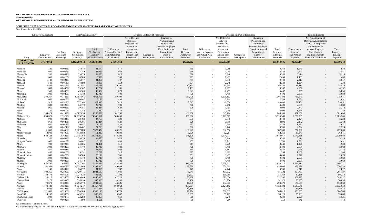## **SCHEDULE OF EMPLOYER ALLOCATIONS AND PENSION AMOUNTS BY PARTICIPATING EMPLOYER**

| Year Ended June 30, 2014               |                             |                                      |                                       |                                                   |                                                                         |                                                                                                                              |                                  |                                                                                                                                    |                                               |                                                                         |                                                                                                                              |                               |                                                                                                                                    |                                              |                                                      |                                                                                                                                                                              |                                         |
|----------------------------------------|-----------------------------|--------------------------------------|---------------------------------------|---------------------------------------------------|-------------------------------------------------------------------------|------------------------------------------------------------------------------------------------------------------------------|----------------------------------|------------------------------------------------------------------------------------------------------------------------------------|-----------------------------------------------|-------------------------------------------------------------------------|------------------------------------------------------------------------------------------------------------------------------|-------------------------------|------------------------------------------------------------------------------------------------------------------------------------|----------------------------------------------|------------------------------------------------------|------------------------------------------------------------------------------------------------------------------------------------------------------------------------------|-----------------------------------------|
|                                        | <b>Employer Allocations</b> |                                      |                                       | Net Pension Liability                             |                                                                         |                                                                                                                              | Deferred Outflows of Resources   |                                                                                                                                    |                                               |                                                                         |                                                                                                                              | Deferred Inflows of Resources |                                                                                                                                    |                                              |                                                      | Pension Expense                                                                                                                                                              |                                         |
| Entity                                 | Employer<br>Contributions   | Employer<br>Allocation<br>Percentage | Beginning<br>Net Pension<br>Liability | 2014<br>Net Pension<br>Liability<br>@7.5% Discoun | Differences<br><b>Between Expected</b><br>and Actual Plan<br>Experience | Net Difference<br>Between<br>Projected and<br><b>Actual Plan</b><br>Investment<br>Earnings on<br>Pension Plan<br>Investments | Changes in<br><b>Assumptions</b> | Changes in<br>Proportion and<br>Differences<br>between Employer<br>Contributions and<br>Proportionate<br>Share of<br>Contributions | Total<br>Deferred<br>Outflows of<br>Resources | Differences<br><b>Between Expected</b><br>and Actual Plan<br>Experience | Net Difference<br>Between<br>Projected and<br><b>Actual Plan</b><br>Investment<br>Earnings on<br>Pension Plan<br>Investments | Changes in<br>Assumptions     | Changes in<br>Proportion and<br>Differences<br>between Employer<br>Contributions and<br>Proportionate<br>Share of<br>Contributions | Total<br>Deferred<br>Inflows of<br>Resources | Proportionate<br>Share of<br>Plan Pension<br>Expense | Net Amortization of<br>Deferred Amounts from<br>Changes in Proportion<br>and Differences<br>between Employer<br>Contributions<br>and Proportionate<br>Share of Contributions | Total<br>Employer<br>Pension<br>Expense |
| <b>TOTAL TO BE</b><br><b>ALLOCATED</b> | 37, 374, 912                |                                      | 1,182,799,612                         | 1,028,347,843                                     | 24,501,862                                                              |                                                                                                                              |                                  |                                                                                                                                    | 24,501,862                                    | $\sim$                                                                  | 155,663,686                                                                                                                  |                               |                                                                                                                                    | 155,663,686                                  | 92,359,244                                           |                                                                                                                                                                              | 92,359,244                              |
| Manitou                                | 785                         | 0.0021%                              | 24,843                                | 21,599                                            | 515                                                                     |                                                                                                                              |                                  |                                                                                                                                    | 515                                           | $\sim$                                                                  | 3,269                                                                                                                        |                               |                                                                                                                                    | 3,269                                        | 1,940                                                | $\overline{\phantom{a}}$                                                                                                                                                     | 1,940                                   |
| Mannford                               | 1,020                       | 0.0027%                              | 32,280                                | 28,065                                            | 669                                                                     |                                                                                                                              |                                  |                                                                                                                                    | 669                                           | $\sim$                                                                  | 4,248                                                                                                                        |                               |                                                                                                                                    | 4,248                                        | 2,521                                                | $\overline{\phantom{a}}$                                                                                                                                                     | 2,521                                   |
| Mannsville                             | 1,260                       | 0.0034%                              | 39,875                                | 34,668                                            | 826                                                                     |                                                                                                                              |                                  |                                                                                                                                    | 826                                           | $\sim$                                                                  | 5,248                                                                                                                        |                               |                                                                                                                                    | 5,248                                        | 3,114                                                | $\sim$                                                                                                                                                                       | 3,114                                   |
| Maramec                                | 600                         | 0.0016%                              | 18,988                                | 16,509                                            | 393                                                                     |                                                                                                                              |                                  |                                                                                                                                    | 393                                           | $\sim$                                                                  | 2,499                                                                                                                        |                               |                                                                                                                                    | 2,499                                        | 1,483                                                | $\overline{\phantom{a}}$                                                                                                                                                     | 1,483                                   |
| Marietta                               | 1,140                       | 0.0031%                              | 36,077                                | 31,366                                            | 747                                                                     |                                                                                                                              |                                  | $\overline{\phantom{a}}$                                                                                                           | 747                                           | $\sim$                                                                  | 4,748                                                                                                                        |                               | $\sim$                                                                                                                             | 4,748                                        | 2,817                                                | $\overline{\phantom{a}}$                                                                                                                                                     | 2,817                                   |
| Marland                                | 540                         | 0.0014%                              | 17,089                                | 14,858                                            | 354                                                                     |                                                                                                                              |                                  | $\overline{\phantom{a}}$                                                                                                           | 354                                           | $\sim$                                                                  | 2,249                                                                                                                        | $\overline{\phantom{a}}$      |                                                                                                                                    | 2,249                                        | 1,334                                                | $\sim$                                                                                                                                                                       | 1,334                                   |
| Marlow                                 | 15,545                      | 0.0416%                              | 491,951                               | 427,711                                           | 10,191                                                                  |                                                                                                                              |                                  | $\overline{\phantom{a}}$                                                                                                           | 10,191                                        | $\sim$                                                                  | 64,744                                                                                                                       |                               |                                                                                                                                    | 64,744                                       | 38,414                                               | $\sim$                                                                                                                                                                       | 38,414                                  |
| Marshall                               | 1,680                       | 0.0045%                              | 53,167                                | 46,224                                            | 1,101                                                                   |                                                                                                                              |                                  | $\overline{\phantom{a}}$                                                                                                           | 1,101                                         | $\overline{\phantom{0}}$                                                | 6,997                                                                                                                        |                               | $\sim$                                                                                                                             | 6,997                                        | 4,152                                                | $\overline{\phantom{a}}$                                                                                                                                                     | 4,152                                   |
| Maud                                   | 1,560                       | 0.0042%                              | 49,369                                | 42,922                                            | 1,023                                                                   |                                                                                                                              |                                  | $\overline{\phantom{a}}$                                                                                                           | 1,023                                         | $\sim$                                                                  | 6,497                                                                                                                        |                               |                                                                                                                                    | 6,497                                        | 3,855                                                | $\sim$                                                                                                                                                                       | 3,855                                   |
| Maysville                              | 1,080                       | 0.0029%                              | 34,179                                | 29,716                                            | 708                                                                     |                                                                                                                              |                                  | $\overline{\phantom{a}}$                                                                                                           | 708                                           | $\overline{a}$                                                          | 4,498                                                                                                                        |                               |                                                                                                                                    | 4,498                                        | 2,669                                                | $\overline{\phantom{a}}$                                                                                                                                                     | 2,669                                   |
| McAlester                              | 289,367                     | 0.7742%                              | 9,157,565                             | 7,961,756                                         | 189,700                                                                 |                                                                                                                              |                                  | $\sim$                                                                                                                             | 189,700                                       | $\sim$                                                                  | 1,205,192                                                                                                                    |                               |                                                                                                                                    | 1,205,192                                    | 715,071                                              | $\sim$                                                                                                                                                                       | 715,071                                 |
| McCurtain                              | 660                         | 0.0018%                              | 20,887                                | 18,159                                            | 433                                                                     |                                                                                                                              |                                  | $\sim$                                                                                                                             | 433                                           | $\sim$                                                                  | 2,749                                                                                                                        | $\overline{\phantom{a}}$      |                                                                                                                                    | 2,749                                        | 1,631                                                | $\sim$                                                                                                                                                                       | 1,631                                   |
| McLoud                                 | 11,918                      | 0.0319%                              | 377,168                               | 327,916                                           | 7,813                                                                   |                                                                                                                              |                                  | $\sim$                                                                                                                             | 7,813                                         | $\sim$                                                                  | 49,638                                                                                                                       |                               | $\sim$                                                                                                                             | 49,638                                       | 29,451                                               | $\sim$                                                                                                                                                                       | 29,451                                  |
| Medford                                | 1,080                       | 0.0029%                              | 34,179                                | 29,716                                            | 708                                                                     |                                                                                                                              |                                  | $\sim$                                                                                                                             | 708                                           | $\sim$                                                                  | 4,498                                                                                                                        |                               | $\sim$                                                                                                                             | 4,498                                        | 2,669                                                | $\sim$                                                                                                                                                                       | 2,669                                   |
| Meeker                                 | 960                         | 0.0026%                              | 30,381                                | 26,414                                            | 629                                                                     |                                                                                                                              |                                  | $\overline{\phantom{a}}$                                                                                                           | 629                                           | $\sim$                                                                  | 3,998                                                                                                                        |                               |                                                                                                                                    | 3,998                                        | 2,372                                                | $\sim$                                                                                                                                                                       | 2,372                                   |
| Meno                                   | 720                         | 0.0019%                              | 22,786                                | 19,810                                            | 472                                                                     |                                                                                                                              |                                  | $\overline{\phantom{0}}$                                                                                                           | 472                                           | $\sim$                                                                  | 2,999                                                                                                                        |                               |                                                                                                                                    | 2,999                                        | 1,779                                                | $\overline{\phantom{a}}$                                                                                                                                                     | 1,779                                   |
| Miami                                  | 154,424                     | 0.4132%                              | 4,887,039                             | 4,248,882                                         | 101,236                                                                 |                                                                                                                              |                                  | $\overline{\phantom{a}}$                                                                                                           | 101,236                                       | $\overline{\phantom{0}}$                                                | 643,164                                                                                                                      |                               | $\sim$                                                                                                                             | 643,164                                      | 381,606                                              | $\overline{\phantom{a}}$                                                                                                                                                     | 381,606                                 |
| Midwest City                           | 894,029                     | 2.3921%                              | 28,293,235                            | 24,598,661                                        | 586,098                                                                 |                                                                                                                              |                                  | $\sim$                                                                                                                             | 586,098                                       | $\overline{\phantom{0}}$                                                | 3,723,563                                                                                                                    | $\sim$                        |                                                                                                                                    | 3,723,563                                    | 2,209,285                                            | $\sim$                                                                                                                                                                       | 2,209,285                               |
| Milburn                                | 900                         | 0.0024%                              | 28,482                                | 24,763                                            | 590                                                                     |                                                                                                                              |                                  | $\sim$                                                                                                                             | 590                                           | $\sim$                                                                  | 3,748                                                                                                                        |                               |                                                                                                                                    | 3,748                                        | 2,224                                                | $\overline{\phantom{a}}$                                                                                                                                                     | 2,224                                   |
| Mill Creek                             | 960                         | 0.0026%                              | 30,381                                | 26,414                                            | 629                                                                     |                                                                                                                              |                                  | $\sim$                                                                                                                             | 629                                           |                                                                         | 3,998                                                                                                                        |                               |                                                                                                                                    | 3,998                                        | 2,372                                                | $\sim$                                                                                                                                                                       | 2,372                                   |
| Millerton                              | 660                         | 0.0018%                              | 20,887                                | 18,159                                            | 433                                                                     |                                                                                                                              |                                  |                                                                                                                                    | 433                                           |                                                                         | 2,749                                                                                                                        |                               |                                                                                                                                    | 2,749                                        | 1,631                                                |                                                                                                                                                                              | 1,631                                   |
| Minco                                  | 900                         | 0.0024%                              | 28,482                                | 24,763                                            | 590                                                                     |                                                                                                                              |                                  |                                                                                                                                    | 590                                           |                                                                         | 3,748                                                                                                                        |                               |                                                                                                                                    | 3,748                                        | 2,224                                                |                                                                                                                                                                              | 2,224                                   |
| Misc                                   |                             | 0.2458%                              | 2,907,083                             | 2,527,472                                         |                                                                         |                                                                                                                              |                                  |                                                                                                                                    | 60,221                                        | $\sim$                                                                  | 382,590                                                                                                                      | $\overline{\phantom{a}}$      |                                                                                                                                    | 382,590                                      | 227,000                                              | $\overline{\phantom{a}}$                                                                                                                                                     | 227,000                                 |
|                                        | 91,860                      |                                      |                                       |                                                   | 60,221                                                                  |                                                                                                                              |                                  | $\sim$                                                                                                                             |                                               | $\sim$                                                                  |                                                                                                                              | $\sim$                        | $\sim$                                                                                                                             |                                              |                                                      | $\sim$                                                                                                                                                                       |                                         |
| Monkey Island                          | 14,949                      | 0.0400%                              | 473,089                               | 411,313                                           | 9,800                                                                   |                                                                                                                              |                                  | $-$                                                                                                                                | 9,800                                         | $\overline{\phantom{0}}$                                                | 62,261                                                                                                                       | $\overline{\phantom{0}}$      |                                                                                                                                    | 62,261                                       | 36,941                                               | $\sim$                                                                                                                                                                       | 36,941                                  |
| Moore                                  | 882,133                     | 2.3602%                              | 27,916,763                            | 24, 271, 350                                      | 578,300                                                                 |                                                                                                                              |                                  | $\sim$                                                                                                                             | 578,300                                       | $\sim$                                                                  | 3,674,017                                                                                                                    | $\overline{\phantom{0}}$      | $\sim$                                                                                                                             | 3,674,017                                    | 2,179,888                                            | $\sim$                                                                                                                                                                       | 2,179,888                               |
| Mooreland                              | 1,260                       | 0.0034%                              | 39,875                                | 34,668                                            | 826                                                                     |                                                                                                                              |                                  | $\sim$                                                                                                                             | 826                                           | $\sim$                                                                  | 5,248                                                                                                                        | $\sim$                        |                                                                                                                                    | 5,248                                        | 3,114                                                | $\sim$                                                                                                                                                                       | 3,114                                   |
| Morgans Corner                         | 660                         | 0.0018%                              | 20,887                                | 18,159                                            | 433                                                                     |                                                                                                                              |                                  | $\overline{\phantom{a}}$                                                                                                           | 433                                           | $\sim$                                                                  | 2,749                                                                                                                        | $\overline{\phantom{0}}$      |                                                                                                                                    | 2,749                                        | 1,631                                                | $\sim$                                                                                                                                                                       | 1,631                                   |
| Morris                                 | 780                         | 0.0021%                              | 24,685                                | 21,461                                            | 511                                                                     |                                                                                                                              |                                  | $\overline{\phantom{a}}$                                                                                                           | 511                                           | $\sim$                                                                  | 3,249                                                                                                                        | $\sim$                        | $\overline{a}$                                                                                                                     | 3,249                                        | 1,928                                                | $\sim$                                                                                                                                                                       | 1,928                                   |
| Morrison                               | 1,080                       | 0.0029%                              | 34,179                                | 29,716                                            | 708                                                                     |                                                                                                                              |                                  | $\overline{\phantom{a}}$                                                                                                           | 708                                           | $\sim$                                                                  | 4,498                                                                                                                        | $\sim$                        | $\sim$                                                                                                                             | 4,498                                        | 2,669                                                | $-$                                                                                                                                                                          | 2,669                                   |
| Mounds                                 | 860                         | 0.0023%                              | 27,216                                | 23,662                                            | 564                                                                     |                                                                                                                              |                                  |                                                                                                                                    | 564                                           | $\sim$                                                                  | 3,582                                                                                                                        |                               |                                                                                                                                    | 3,582                                        | 2,125                                                | $\sim$                                                                                                                                                                       | 2,125                                   |
| <b>Mountain Park</b>                   | 480                         | 0.0013%                              | 15,191                                | 13,207                                            | 315                                                                     |                                                                                                                              |                                  | $\overline{\phantom{a}}$                                                                                                           | 315                                           | $\sim$                                                                  | 1,999                                                                                                                        | $\overline{\phantom{0}}$      | $\sim$                                                                                                                             | 1,999                                        | 1,186                                                | $\sim$                                                                                                                                                                       | 1,186                                   |
| <b>Mountain View</b>                   | 840                         | 0.0022%                              | 26,583                                | 23,112                                            | 551                                                                     |                                                                                                                              |                                  | $-$                                                                                                                                | 551                                           | $\sim$                                                                  | 3,499                                                                                                                        | $\overline{\phantom{0}}$      | $\sim$                                                                                                                             | 3,499                                        | 2,076                                                | $-$                                                                                                                                                                          | 2,076                                   |
| Muldrow                                | 1,080                       | 0.0029%                              | 34,179                                | 29,716                                            | 708                                                                     |                                                                                                                              |                                  |                                                                                                                                    | 708                                           | $\overline{\phantom{0}}$                                                | 4,498                                                                                                                        | $\sim$                        |                                                                                                                                    | 4,498                                        | 2,669                                                | $\overline{\phantom{a}}$                                                                                                                                                     | 2,669                                   |
| Mulhall                                | 1,080                       | 0.0029%                              | 34,179                                | 29,716                                            | 708                                                                     |                                                                                                                              |                                  | $\sim$                                                                                                                             | 708                                           | $\sim$                                                                  | 4,498                                                                                                                        | $\sim$                        | $\overline{a}$                                                                                                                     | 4,498                                        | 2,669                                                | $\sim$                                                                                                                                                                       | 2,669                                   |
| Muskogee                               | 633,797                     | 1.6958%                              | 20,057,702                            | 17,438,537                                        | 415,498                                                                 |                                                                                                                              |                                  | $\sim$                                                                                                                             | 415,498                                       | $\sim$                                                                  | 2,639,717                                                                                                                    | $\sim$                        |                                                                                                                                    | 2,639,717                                    | 1,566,211                                            | $\sim$                                                                                                                                                                       | 1,566,211                               |
| Mustang                                | 152,369                     | 0.4077%                              | 4,822,005                             | 4,192,340                                         | 99,889                                                                  |                                                                                                                              |                                  | $\sim$                                                                                                                             | 99,889                                        | $\sim$                                                                  | 634,605                                                                                                                      | $\overline{\phantom{0}}$      |                                                                                                                                    | 634,605                                      | 376,528                                              | $\overline{a}$                                                                                                                                                               | 376,528                                 |
| Nash                                   | 1,140                       | 0.0031%                              | 36,077                                | 31,366                                            | 747                                                                     |                                                                                                                              | $\overline{\phantom{a}}$         | $\sim$                                                                                                                             | 747                                           | $\sim$                                                                  | 4,748                                                                                                                        | $\sim$                        | $-$                                                                                                                                | 4,748                                        | 2,817                                                | $-$                                                                                                                                                                          | 2,817                                   |
| Newcastle                              | 108,365                     | 0.2899%                              | 3,429,415                             | 2,981,597                                         | 71,041                                                                  |                                                                                                                              |                                  | $\sim$                                                                                                                             | 71,041                                        | $\sim$                                                                  | 451,332                                                                                                                      | $\overline{\phantom{0}}$      |                                                                                                                                    | 451,332                                      | 267,787                                              | $\sim$                                                                                                                                                                       | 267,787                                 |
| Newkirk                                | 32,478                      | 0.0869%                              | 1,027,828                             | 893,612                                           | 21,292                                                                  |                                                                                                                              |                                  | $\sim$                                                                                                                             | 21,292                                        | $\sim$                                                                  | 135,268                                                                                                                      | $\sim$                        |                                                                                                                                    | 135,268                                      | 80,258                                               | $\sim$                                                                                                                                                                       | 80,258                                  |
| Nichols Hills                          | 125,418                     | 0.3356%                              | 3,969,089                             | 3,450,800                                         | 82,220                                                                  |                                                                                                                              |                                  | $\sim$                                                                                                                             | 82,220                                        | $\sim$                                                                  | 522,356                                                                                                                      | $\sim$                        | $\overline{a}$                                                                                                                     | 522,356                                      | 309,927                                              | $\sim$                                                                                                                                                                       | 309,927                                 |
| Nicoma Park                            | 12,478                      | 0.0334%                              | 394,890                               | 343,325                                           | 8,180                                                                   |                                                                                                                              |                                  | $\sim$                                                                                                                             | 8,180                                         | $\sim$                                                                  | 51,970                                                                                                                       | $\sim$                        |                                                                                                                                    | 51,970                                       | 30,835                                               | $\sim$                                                                                                                                                                       | 30,835                                  |
| Noble                                  | 70,679                      | 0.1891%                              | 2,236,770                             | 1,944,689                                         | 46,335                                                                  |                                                                                                                              |                                  | $\sim$                                                                                                                             | 46,335                                        | $\overline{a}$                                                          | 294,373                                                                                                                      | $\sim$                        |                                                                                                                                    | 294,373                                      | 174,659                                              | $\sim$                                                                                                                                                                       | 174,659                                 |
| Norman                                 | 1,470,421                   | 3.9342%                              | 46,534,247                            | 40,457,734                                        | 963,964                                                                 |                                                                                                                              |                                  | $\sim$                                                                                                                             | 963,964                                       | $\sim$                                                                  | 6,124,192                                                                                                                    | $\sim$                        |                                                                                                                                    | 6,124,192                                    | 3,633,640                                            | $\sim$                                                                                                                                                                       | 3,633,640                               |
| Nowata                                 | 18,545                      | 0.0496%                              | 586,892                               | 510,254                                           | 12,158                                                                  |                                                                                                                              | $\overline{\phantom{0}}$         | $\sim$                                                                                                                             | 12,158                                        | $\sim$                                                                  | 77,239                                                                                                                       | $\sim$                        |                                                                                                                                    | 77,239                                       | 45,828                                               | $-$                                                                                                                                                                          | 45,828                                  |
| <b>NW Rogers</b>                       | 121,686                     | 0.3256%                              | 3,850,983                             | 3,348,116                                         | 79,774                                                                  |                                                                                                                              |                                  | $\sim$                                                                                                                             | 79,774                                        | $\sim$                                                                  | 506,813                                                                                                                      | $\sim$                        | $\sim$                                                                                                                             | 506,813                                      | 300,705                                              | $\sim$                                                                                                                                                                       | 300,705                                 |
| Oak Cliff                              | 14,197                      | 0.0380%                              | 449,291                               | 390,622                                           | 9,307                                                                   |                                                                                                                              |                                  | $\sim$                                                                                                                             | 9,307                                         | $\sim$                                                                  | 59,129                                                                                                                       |                               | $\sim$                                                                                                                             | 59,129                                       | 35,083                                               | $\sim$                                                                                                                                                                       | 35,083                                  |
| Oak Grove Rural                        | 1,020                       | 0.0027%                              | 32,280                                | 28,065                                            | 669                                                                     |                                                                                                                              |                                  | $-$                                                                                                                                | 669                                           | $\sim$                                                                  | 4,248                                                                                                                        | $\overline{\phantom{0}}$      |                                                                                                                                    | 4,248                                        | 2,521                                                | $\sim$                                                                                                                                                                       | 2,521                                   |
| Oakwood                                | 60                          | 0.0002%                              | 1,899                                 | 1,651                                             | 39                                                                      |                                                                                                                              |                                  | $\sim$                                                                                                                             | 39                                            | $\sim$                                                                  | 250                                                                                                                          | $\sim$                        |                                                                                                                                    | 250                                          | 148                                                  | $\sim$                                                                                                                                                                       | 148                                     |

See Independent Auditors' Report.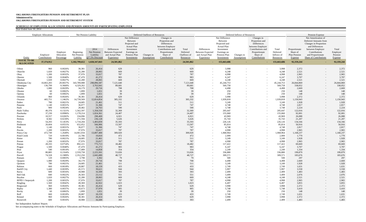## **SCHEDULE OF EMPLOYER ALLOCATIONS AND PENSION AMOUNTS BY PARTICIPATING EMPLOYER**

| Year Ended June 30, 2014               |                             |                                      |                                       |                                                   |                                                                                |                                                                                                                              |                                |                                                                                                                                    |                                               |                                                                         |                                                                                                                              |                                  |                                                                                                                                    |                                              |                                                      |                                                                                                                                                                              |                                                |
|----------------------------------------|-----------------------------|--------------------------------------|---------------------------------------|---------------------------------------------------|--------------------------------------------------------------------------------|------------------------------------------------------------------------------------------------------------------------------|--------------------------------|------------------------------------------------------------------------------------------------------------------------------------|-----------------------------------------------|-------------------------------------------------------------------------|------------------------------------------------------------------------------------------------------------------------------|----------------------------------|------------------------------------------------------------------------------------------------------------------------------------|----------------------------------------------|------------------------------------------------------|------------------------------------------------------------------------------------------------------------------------------------------------------------------------------|------------------------------------------------|
|                                        | <b>Employer Allocations</b> |                                      |                                       | Net Pension Liability                             |                                                                                |                                                                                                                              | Deferred Outflows of Resources |                                                                                                                                    |                                               |                                                                         |                                                                                                                              | Deferred Inflows of Resources    |                                                                                                                                    |                                              |                                                      | Pension Expense                                                                                                                                                              |                                                |
| Entity                                 | Employer<br>Contributions   | Employer<br>Allocation<br>Percentage | Beginning<br>Net Pension<br>Liability | 2014<br>Net Pension<br>Liability<br>@7.5% Discoun | <b>Differences</b><br><b>Between Expected</b><br>and Actual Plan<br>Experience | Net Difference<br>Between<br>Projected and<br><b>Actual Plan</b><br>Investment<br>Earnings on<br>Pension Plan<br>Investments | Changes in<br>Assumptions      | Changes in<br>Proportion and<br>Differences<br>between Employer<br>Contributions and<br>Proportionate<br>Share of<br>Contributions | Total<br>Deferred<br>Outflows of<br>Resources | Differences<br><b>Between Expected</b><br>and Actual Plan<br>Experience | Net Difference<br>Between<br>Projected and<br><b>Actual Plan</b><br>Investment<br>Earnings on<br>Pension Plan<br>Investments | Changes in<br><b>Assumptions</b> | Changes in<br>Proportion and<br>Differences<br>between Employer<br>Contributions and<br>Proportionate<br>Share of<br>Contributions | Total<br>Deferred<br>Inflows of<br>Resources | Proportionate<br>Share of<br>Plan Pension<br>Expense | Net Amortization of<br>Deferred Amounts from<br>Changes in Proportion<br>and Differences<br>between Employer<br>Contributions<br>and Proportionate<br>Share of Contributions | Total<br>Employer<br>Pension<br><b>Expense</b> |
| <b>TOTAL TO BE</b><br><b>ALLOCATED</b> | 37, 374, 912                |                                      | 1,182,799,612                         | 1,028,347,843                                     | 24,501,862                                                                     |                                                                                                                              |                                |                                                                                                                                    | 24,501,862                                    | <b>Contract</b>                                                         | 155,663,686                                                                                                                  |                                  |                                                                                                                                    | 155,663,686                                  | 92,359,244                                           |                                                                                                                                                                              | 92,359,244                                     |
| Oilton                                 | 960                         | 0.0026%                              | 30,381                                | 26,414                                            | 629                                                                            |                                                                                                                              |                                |                                                                                                                                    | 629                                           | $\overline{a}$                                                          | 3,998                                                                                                                        |                                  |                                                                                                                                    | 3,998                                        | 2,372                                                | $\sim$                                                                                                                                                                       | 2,372                                          |
| Okarche                                | 1,020                       | 0.0027%                              | 32,280                                | 28,065                                            | 669                                                                            |                                                                                                                              |                                |                                                                                                                                    | 669                                           | $\sim$                                                                  | 4,248                                                                                                                        |                                  |                                                                                                                                    | 4,248                                        | 2,521                                                | $\sim$                                                                                                                                                                       | 2,521                                          |
| Okay                                   | 1,200                       | 0.0032%                              | 37,976                                | 33,017                                            | 787                                                                            |                                                                                                                              |                                |                                                                                                                                    | 787                                           | $\overline{a}$                                                          | 4,998                                                                                                                        |                                  |                                                                                                                                    | 4,998                                        | 2,965                                                | $\sim$                                                                                                                                                                       | 2,965                                          |
| Okeene                                 | 1,500                       | 0.0040%                              | 47,470                                | 41,272                                            | 983                                                                            |                                                                                                                              |                                |                                                                                                                                    | 983                                           | $\overline{a}$                                                          | 6,247                                                                                                                        |                                  |                                                                                                                                    | 6,247                                        | 3,707                                                | $\overline{a}$                                                                                                                                                               | 3,707                                          |
| Okemah                                 | 1,020                       | 0.0027%                              | 32,280                                | 28,065                                            | 669                                                                            |                                                                                                                              |                                |                                                                                                                                    | 669                                           | $\overline{a}$                                                          | 4,248                                                                                                                        |                                  |                                                                                                                                    | 4,248                                        | 2,521                                                | $\sim$                                                                                                                                                                       | 2,521                                          |
| Oklahoma City                          | 10,863,283                  | 29.0657%                             | 343,789,088                           | 298,896,587                                       | 7,121,640                                                                      |                                                                                                                              |                                |                                                                                                                                    | 7,121,640                                     | $\overline{a}$                                                          | 45, 244, 753                                                                                                                 |                                  |                                                                                                                                    | 45,244,753                                   | 26,844,869                                           | $\sim$                                                                                                                                                                       | 26,844,869                                     |
| Okmulgee                               | 136,799                     | 0.3660%                              | 4,329,262                             | 3,763,941                                         | 89,681                                                                         |                                                                                                                              |                                | $\overline{\phantom{0}}$                                                                                                           | 89,681                                        |                                                                         | 569,758                                                                                                                      |                                  |                                                                                                                                    | 569,758                                      | 338,052                                              |                                                                                                                                                                              | 338,052                                        |
| Oktaha                                 | 1,080                       | 0.0029%                              | 34,179                                | 29,716                                            | 708                                                                            |                                                                                                                              |                                |                                                                                                                                    | 708                                           | $\overline{\phantom{a}}$                                                | 4,498                                                                                                                        |                                  |                                                                                                                                    | 4,498                                        | 2,669                                                | $\sim$                                                                                                                                                                       | 2,669                                          |
| Olustee                                | 60                          | 0.0002%                              | 1,899                                 | 1,651                                             | 39                                                                             |                                                                                                                              |                                |                                                                                                                                    | 39                                            | $\overline{a}$                                                          | 250                                                                                                                          |                                  |                                                                                                                                    | 250                                          | 148                                                  | $\sim$                                                                                                                                                                       | 148                                            |
| Optima                                 | 60                          | 0.0002%                              | 1,899                                 | 1,651                                             | 39                                                                             |                                                                                                                              |                                |                                                                                                                                    | 39                                            | $\overline{\phantom{a}}$                                                | 250                                                                                                                          |                                  |                                                                                                                                    | 250                                          | 148                                                  | $\sim$                                                                                                                                                                       | 148                                            |
|                                        | 960                         |                                      |                                       |                                                   | 629                                                                            |                                                                                                                              |                                | $\overline{\phantom{0}}$                                                                                                           |                                               | $\sim$                                                                  | 3,998                                                                                                                        |                                  |                                                                                                                                    |                                              | 2,372                                                | $\sim$                                                                                                                                                                       | 2,372                                          |
| Orlando                                |                             | 0.0026%                              | 30,381                                | 26,414                                            |                                                                                |                                                                                                                              |                                |                                                                                                                                    | 629                                           | $\overline{\phantom{a}}$                                                |                                                                                                                              |                                  |                                                                                                                                    | 3,998                                        |                                                      | $\sim$                                                                                                                                                                       |                                                |
| Owasso                                 | 465,751                     | 1.2462%                              | 14,739,569                            | 12,814,854                                        | 305,332                                                                        |                                                                                                                              |                                |                                                                                                                                    | 305,332                                       | $\overline{\phantom{a}}$                                                | 1,939,818                                                                                                                    |                                  |                                                                                                                                    | 1,939,818                                    | 1,150,943                                            | $\sim$                                                                                                                                                                       | 1,150,943                                      |
| Paden                                  | 780                         | 0.0021%                              | 24,685                                | 21,461                                            | 511                                                                            |                                                                                                                              |                                | $\overline{\phantom{0}}$                                                                                                           | 511                                           | $\overline{a}$                                                          | 3,249                                                                                                                        |                                  |                                                                                                                                    | 3,249                                        | 1,928                                                | $\sim$                                                                                                                                                                       | 1,928                                          |
| Panama                                 | 1,140                       | 0.0031%                              | 36,077                                | 31,366                                            | 747                                                                            |                                                                                                                              |                                | $\overline{\phantom{0}}$                                                                                                           | 747                                           | $\overline{\phantom{a}}$                                                | 4,748                                                                                                                        |                                  |                                                                                                                                    | 4,748                                        | 2,817                                                | $\sim$                                                                                                                                                                       | 2,817                                          |
| Paoli                                  | 900                         | 0.0024%                              | 28,482                                | 24,763                                            | 590                                                                            |                                                                                                                              |                                | $\overline{\phantom{0}}$                                                                                                           | 590                                           | $\overline{\phantom{a}}$                                                | 3,748                                                                                                                        |                                  |                                                                                                                                    | 3,748                                        | 2,224                                                | $\sim$                                                                                                                                                                       | 2,224                                          |
| Pauls Valley                           | 49,376                      | 0.1321%                              | 1,562,597                             | 1,358,550                                         | 32,369                                                                         |                                                                                                                              |                                | $\overline{\phantom{a}}$                                                                                                           | 32,369                                        | $\overline{a}$                                                          | 205,647                                                                                                                      |                                  |                                                                                                                                    | 205,647                                      | 122,016                                              | $\sim$                                                                                                                                                                       | 122,016                                        |
| Pawhuska                               | 37,230                      | 0.0996%                              | 1,178,214                             | 1,024,361                                         | 24,407                                                                         |                                                                                                                              |                                | $\overline{\phantom{a}}$                                                                                                           | 24,407                                        | $-$                                                                     | 155,060                                                                                                                      |                                  | $\sim$                                                                                                                             | 155,060                                      | 92,001                                               | $\sim$                                                                                                                                                                       | 92,001                                         |
| Pawnee                                 | 10,557                      | 0.0282%                              | 334,096                               | 290,469                                           | 6,921                                                                          |                                                                                                                              |                                | $\overline{\phantom{0}}$                                                                                                           | 6,921                                         | $\sim$                                                                  | 43,969                                                                                                                       |                                  |                                                                                                                                    | 43,969                                       | 26,088                                               | $\sim$                                                                                                                                                                       | 26,088                                         |
| Perkins                                | 8,582                       | 0.0230%                              | 271,594                               | 236,128                                           | 5,626                                                                          |                                                                                                                              |                                |                                                                                                                                    | 5,626                                         | $\overline{\phantom{a}}$                                                | 35,743                                                                                                                       |                                  |                                                                                                                                    | 35,743                                       | 21,207                                               | $\sim$                                                                                                                                                                       | 21,207                                         |
| Perry                                  | 54,293                      | 0.1453%                              | 1,718,204                             | 1,493,839                                         | 35,593                                                                         |                                                                                                                              |                                |                                                                                                                                    | 35,593                                        |                                                                         | 226,126                                                                                                                      |                                  |                                                                                                                                    | 226,126                                      | 134,166                                              | $\overline{a}$                                                                                                                                                               | 134,166                                        |
| Piedmont                               | 20,604                      | 0.0551%                              | 652,052                               | 566,906                                           | 13,507                                                                         |                                                                                                                              |                                |                                                                                                                                    | 13,507                                        |                                                                         | 85,814                                                                                                                       |                                  |                                                                                                                                    | 85,814                                       | 50,916                                               |                                                                                                                                                                              | 50,916                                         |
| Pink                                   | 1,140                       | 0.0031%                              | 36,077                                | 31,366                                            | 747                                                                            |                                                                                                                              |                                | $\sim$                                                                                                                             | 747                                           | $-$                                                                     | 4,748                                                                                                                        |                                  |                                                                                                                                    | 4,748                                        | 2,817                                                | $\sim$                                                                                                                                                                       | 2,817                                          |
| Pocola                                 | 1,200                       | 0.0032%                              | 37,976                                | 33,017                                            | 787                                                                            |                                                                                                                              |                                | $\sim$                                                                                                                             | 787                                           | $\overline{a}$                                                          | 4,998                                                                                                                        | $-$                              |                                                                                                                                    | 4,998                                        | 2,965                                                | $\sim$                                                                                                                                                                       | 2,965                                          |
| Ponca City                             | 472,749                     | 1.2649%                              | 14,961,034                            | 13,007,400                                        | 309,920                                                                        |                                                                                                                              |                                | $\sim$                                                                                                                             | 309,920                                       | $\sim$                                                                  | 1,968,964                                                                                                                    | $\overline{\phantom{0}}$         |                                                                                                                                    | 1,968,964                                    | 1,168,237                                            | $\sim$                                                                                                                                                                       | 1,168,237                                      |
| Pond Creek                             | 720                         | 0.0019%                              | 22,786                                | 19,810                                            | 472                                                                            |                                                                                                                              |                                | $\sim$                                                                                                                             | 472                                           | $\sim$                                                                  | 2,999                                                                                                                        | $\overline{\phantom{0}}$         |                                                                                                                                    | 2,999                                        | 1,779                                                | $\sim$                                                                                                                                                                       | 1,779                                          |
| Porter                                 | 780                         | 0.0021%                              | 24,685                                | 21,461                                            | 511                                                                            |                                                                                                                              |                                | $\overline{\phantom{0}}$                                                                                                           | 511                                           | $\sim$                                                                  | 3,249                                                                                                                        | $\sim$                           |                                                                                                                                    | 3,249                                        | 1,928                                                | $\sim$                                                                                                                                                                       | 1,928                                          |
| Porum                                  | 1,200                       | 0.0032%                              | 37,976                                | 33,017                                            | 787                                                                            |                                                                                                                              |                                | $\sim$                                                                                                                             | 787                                           | $\sim$                                                                  | 4,998                                                                                                                        |                                  |                                                                                                                                    | 4,998                                        | 2,965                                                | $\sim$                                                                                                                                                                       | 2,965                                          |
| Poteau                                 | 28,193                      | 0.0754%                              | 892,221                               | 775,713                                           | 18,482                                                                         |                                                                                                                              |                                | $\sim$                                                                                                                             | 18,482                                        | $\sim$                                                                  | 117,422                                                                                                                      | $\sim$                           |                                                                                                                                    | 117,422                                      | 69,669                                               | $\sim$                                                                                                                                                                       | 69,669                                         |
| Prague                                 | 1,500                       | 0.0040%                              | 47,470                                | 41,272                                            | 983                                                                            |                                                                                                                              |                                | $\sim$                                                                                                                             | 983                                           | $\sim$                                                                  | 6,247                                                                                                                        | $\sim$                           |                                                                                                                                    | 6,247                                        | 3,707                                                | $\sim$                                                                                                                                                                       | 3,707                                          |
| Prue                                   | 540                         | 0.0014%                              | 17,089                                | 14,858                                            | 354                                                                            |                                                                                                                              |                                | $\sim$                                                                                                                             | 354                                           | $\sim$                                                                  | 2,249                                                                                                                        | $-$                              |                                                                                                                                    | 2,249                                        | 1,334                                                | $\sim$                                                                                                                                                                       | 1,334                                          |
| Pryor                                  | 80,885                      | 0.2164%                              | 2,559,758                             | 2,225,501                                         | 53,026                                                                         |                                                                                                                              |                                | $\sim$                                                                                                                             | 53,026                                        | $\sim$                                                                  | 336,880                                                                                                                      | $\sim$                           |                                                                                                                                    | 336,880                                      | 199,879                                              | $\sim$                                                                                                                                                                       | 199,879                                        |
| Purcell                                | 74,328                      | 0.1989%                              | 2,352,250                             | 2,045,089                                         | 48,727                                                                         |                                                                                                                              |                                | $\overline{\phantom{0}}$                                                                                                           | 48,727                                        | $\sim$                                                                  | 309,571                                                                                                                      | $-$                              |                                                                                                                                    | 309,571                                      | 183,676                                              | $\sim$                                                                                                                                                                       | 183,676                                        |
| Putnam                                 | 120                         | 0.0003%                              | 3,798                                 | 3,302                                             | 79                                                                             |                                                                                                                              |                                | $\overline{\phantom{0}}$                                                                                                           | 79                                            | $\sim$                                                                  | 500                                                                                                                          | $\sim$                           |                                                                                                                                    | 500                                          | 297                                                  | $\sim$                                                                                                                                                                       | 297                                            |
| Quapaw                                 | 1,080                       | 0.0029%                              | 34,179                                | 29,716                                            | 708                                                                            |                                                                                                                              |                                | $\overline{\phantom{a}}$                                                                                                           | 708                                           | $\sim$                                                                  | 4,498                                                                                                                        | $\sim$                           | $\overline{\phantom{0}}$                                                                                                           | 4,498                                        | 2,669                                                | $\sim$                                                                                                                                                                       | 2,669                                          |
| Quinton                                | 780                         | 0.0021%                              | 24,685                                | 21,461                                            | 511                                                                            |                                                                                                                              |                                |                                                                                                                                    | 511                                           | $\overline{a}$                                                          | 3,249                                                                                                                        |                                  |                                                                                                                                    | 3,249                                        | 1,928                                                | $\sim$                                                                                                                                                                       | 1,928                                          |
| Ralston                                | 660                         | 0.0018%                              | 20,887                                | 18,159                                            | 433                                                                            |                                                                                                                              |                                | $\overline{\phantom{0}}$                                                                                                           | 433                                           | $\sim$                                                                  | 2,749                                                                                                                        | $\overline{\phantom{a}}$         | $-$                                                                                                                                | 2,749                                        | 1,631                                                | $\sim$                                                                                                                                                                       | 1,631                                          |
| <b>Ratliff City</b>                    | 1,440                       | 0.0039%                              | 45,572                                | 39,621                                            | 944                                                                            |                                                                                                                              |                                | $\overline{\phantom{0}}$                                                                                                           | 944                                           | $\sim$                                                                  | 5,997                                                                                                                        | $\sim$                           |                                                                                                                                    | 5,997                                        | 3,558                                                | $\sim$                                                                                                                                                                       | 3,558                                          |
| Ravia                                  | 600                         | 0.0016%                              | 18,988                                | 16,509                                            | 393                                                                            |                                                                                                                              |                                |                                                                                                                                    | 393                                           | $\overline{a}$                                                          | 2,499                                                                                                                        | $\overline{\phantom{0}}$         |                                                                                                                                    | 2,499                                        | 1,483                                                | $\sim$                                                                                                                                                                       | 1,483                                          |
| Red Oak                                | 840                         | 0.0022%                              | 26,583                                | 23,112                                            | 551                                                                            |                                                                                                                              |                                |                                                                                                                                    | 551                                           | $\sim$                                                                  | 3,499                                                                                                                        | $\sim$                           | $-$                                                                                                                                | 3,499                                        | 2,076                                                | $\sim$                                                                                                                                                                       | 2,076                                          |
| Reydon                                 | 1,020                       | 0.0027%                              | 32,280                                | 28,065                                            | 669                                                                            |                                                                                                                              |                                | $\overline{\phantom{a}}$                                                                                                           | 669                                           | $\overline{a}$                                                          | 4,248                                                                                                                        | $\sim$                           |                                                                                                                                    | 4,248                                        | 2,521                                                | $\sim$                                                                                                                                                                       | 2,521                                          |
| RFPD 1 Sequoyah                        | 1,200                       | 0.0032%                              | 37,976                                | 33,017                                            | 787                                                                            |                                                                                                                              |                                |                                                                                                                                    | 787                                           | $\overline{a}$                                                          | 4,998                                                                                                                        |                                  |                                                                                                                                    | 4,998                                        | 2,965                                                | $\sim$                                                                                                                                                                       | 2,965                                          |
| Ringling                               | 1,560                       | 0.0042%                              | 49,369                                | 42,922                                            | 1,023                                                                          |                                                                                                                              |                                | $\sim$                                                                                                                             | 1,023                                         | $\overline{a}$                                                          | 6,497                                                                                                                        | $\overline{\phantom{a}}$         | $-$                                                                                                                                | 6,497                                        | 3,855                                                | $\sim$                                                                                                                                                                       | 3,855                                          |
| Ringwood                               | 960                         | 0.0026%                              | 30,381                                | 26,414                                            | 629                                                                            |                                                                                                                              |                                | $\overline{\phantom{0}}$                                                                                                           | 629                                           | $\overline{a}$                                                          | 3,998                                                                                                                        | $\sim$                           | $\overline{\phantom{0}}$                                                                                                           | 3,998                                        | 2,372                                                | $\sim$                                                                                                                                                                       | 2,372                                          |
|                                        | 1,380                       | 0.0037%                              | 43,673                                | 37,970                                            | 905                                                                            |                                                                                                                              |                                |                                                                                                                                    | 905                                           | $\overline{a}$                                                          | 5,748                                                                                                                        |                                  |                                                                                                                                    | 5,748                                        | 3,410                                                | $\sim$                                                                                                                                                                       | 3,410                                          |
| Ripley                                 | 60                          | 0.0002%                              | 1,899                                 | 1,651                                             | 39                                                                             |                                                                                                                              |                                |                                                                                                                                    | 39                                            |                                                                         | 250                                                                                                                          |                                  |                                                                                                                                    | 250                                          | 148                                                  |                                                                                                                                                                              | 148                                            |
| Rocky                                  |                             |                                      |                                       |                                                   |                                                                                |                                                                                                                              |                                | $\overline{\phantom{a}}$                                                                                                           |                                               | $\sim$                                                                  |                                                                                                                              | $\sim$                           | $-$                                                                                                                                |                                              |                                                      | $\sim$                                                                                                                                                                       |                                                |
| Roff                                   | 660                         | 0.0018%                              | 20,887                                | 18,159                                            | 433                                                                            |                                                                                                                              |                                | $\overline{\phantom{a}}$                                                                                                           | 433                                           | $\overline{a}$                                                          | 2,749                                                                                                                        |                                  |                                                                                                                                    | 2,749                                        | 1,631                                                | $\sim$                                                                                                                                                                       | 1,631                                          |
| Roland                                 | 960                         | 0.0026%                              | 30,381                                | 26,414                                            | 629                                                                            |                                                                                                                              |                                | $\overline{\phantom{0}}$                                                                                                           | 629                                           | $\sim$                                                                  | 3,998                                                                                                                        |                                  |                                                                                                                                    | 3,998                                        | 2,372                                                | $\sim$                                                                                                                                                                       | 2,372                                          |
| Roosevelt                              | 600                         | 0.0016%                              | 18,988                                | 16,509                                            | 393                                                                            | $\sim$                                                                                                                       | $\sim$                         | $\sim$ $-$                                                                                                                         | 393                                           | $\sim$                                                                  | 2,499                                                                                                                        | $\sim$                           | $\sim$ $-$                                                                                                                         | 2,499                                        | 1,483                                                | $\sim$                                                                                                                                                                       | 1,483                                          |

See Independent Auditors' Report.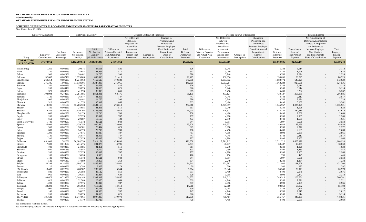## **SCHEDULE OF EMPLOYER ALLOCATIONS AND PENSION AMOUNTS BY PARTICIPATING EMPLOYER**

| Year Ended June 30, 2014               |                             |                                      |                                       |                                                   |                                                                         |                                                                                                                              |                                  |                                                                                                                                    |                                               |                                                                         |                                                                                                                              |                               |                                                                                                                                    |                                              |                                                      |                                                                                                                                                                              |                                         |
|----------------------------------------|-----------------------------|--------------------------------------|---------------------------------------|---------------------------------------------------|-------------------------------------------------------------------------|------------------------------------------------------------------------------------------------------------------------------|----------------------------------|------------------------------------------------------------------------------------------------------------------------------------|-----------------------------------------------|-------------------------------------------------------------------------|------------------------------------------------------------------------------------------------------------------------------|-------------------------------|------------------------------------------------------------------------------------------------------------------------------------|----------------------------------------------|------------------------------------------------------|------------------------------------------------------------------------------------------------------------------------------------------------------------------------------|-----------------------------------------|
|                                        | <b>Employer Allocations</b> |                                      |                                       | Net Pension Liability                             |                                                                         |                                                                                                                              | Deferred Outflows of Resources   |                                                                                                                                    |                                               |                                                                         |                                                                                                                              | Deferred Inflows of Resources |                                                                                                                                    |                                              |                                                      | Pension Expense                                                                                                                                                              |                                         |
| Entity                                 | Employer<br>Contributions   | Employer<br>Allocation<br>Percentage | Beginning<br>Net Pension<br>Liability | 2014<br>Net Pension<br>Liability<br>@7.5% Discoun | Differences<br><b>Between Expected</b><br>and Actual Plan<br>Experience | Net Difference<br>Between<br>Projected and<br><b>Actual Plan</b><br>Investment<br>Earnings on<br>Pension Plan<br>Investments | Changes in<br><b>Assumptions</b> | Changes in<br>Proportion and<br>Differences<br>between Employer<br>Contributions and<br>Proportionate<br>Share of<br>Contributions | Total<br>Deferred<br>Outflows of<br>Resources | Differences<br><b>Between Expected</b><br>and Actual Plan<br>Experience | Net Difference<br>Between<br>Projected and<br><b>Actual Plan</b><br>Investment<br>Earnings on<br>Pension Plan<br>Investments | Changes in<br>Assumptions     | Changes in<br>Proportion and<br>Differences<br>between Employer<br>Contributions and<br>Proportionate<br>Share of<br>Contributions | Total<br>Deferred<br>Inflows of<br>Resources | Proportionate<br>Share of<br>Plan Pension<br>Expense | Net Amortization of<br>Deferred Amounts from<br>Changes in Proportion<br>and Differences<br>between Employer<br>Contributions<br>and Proportionate<br>Share of Contributions | Total<br>Employer<br>Pension<br>Expense |
| <b>TOTAL TO BE</b><br><b>ALLOCATED</b> | 37, 374, 912                |                                      | 1,182,799,612                         | 1,028,347,843                                     | 24,501,862                                                              |                                                                                                                              |                                  |                                                                                                                                    | 24,501,862                                    | $\sim$                                                                  | 155,663,686                                                                                                                  |                               |                                                                                                                                    | 155,663,686                                  | 92,359,244                                           |                                                                                                                                                                              | 92,359,244                              |
| <b>Rush Springs</b>                    | 1,260                       | 0.0034%                              | 39,875                                | 34,668                                            | 826                                                                     |                                                                                                                              |                                  |                                                                                                                                    | 826                                           | $\sim$                                                                  | 5,248                                                                                                                        |                               |                                                                                                                                    | 5,248                                        | 3,114                                                | $\overline{\phantom{a}}$                                                                                                                                                     | 3,114                                   |
| Ryan                                   | 780                         | 0.0021%                              | 24,685                                | 21,461                                            | 511                                                                     |                                                                                                                              |                                  | $\sim$                                                                                                                             | 511                                           | $\sim$                                                                  | 3,249                                                                                                                        |                               |                                                                                                                                    | 3,249                                        | 1,928                                                | $\sim$                                                                                                                                                                       | 1,928                                   |
| Salina                                 | 900                         | 0.0024%                              | 28,482                                | 24,763                                            | 590                                                                     |                                                                                                                              |                                  | $\overline{\phantom{a}}$                                                                                                           | 590                                           | $\sim$                                                                  | 3,748                                                                                                                        | $\overline{\phantom{0}}$      |                                                                                                                                    | 3,748                                        | 2,224                                                | $\overline{\phantom{a}}$                                                                                                                                                     | 2,224                                   |
| Sallisaw                               | 32,667                      | 0.0874%                              | 1,033,809                             | 898,813                                           | 21,415                                                                  |                                                                                                                              |                                  | $-$                                                                                                                                | 21,415                                        | $\sim$                                                                  | 136,056                                                                                                                      |                               |                                                                                                                                    | 136,056                                      | 80,725                                               | $\overline{\phantom{a}}$                                                                                                                                                     | 80,725                                  |
| Sand Springs                           | 260,214                     | 0.6962%                              | 8,234,963                             | 7,159,629                                         | 170,588                                                                 |                                                                                                                              |                                  | $\overline{\phantom{a}}$                                                                                                           | 170,588                                       | $\sim$                                                                  | 1,083,772                                                                                                                    | $\sim$                        |                                                                                                                                    | 1,083,772                                    | 643,029                                              | $\overline{\phantom{a}}$                                                                                                                                                     | 643,029                                 |
| Sapulpa                                | 375,345                     | 1.0043%                              | 11,878,501                            | 10,327,388                                        | 246,065                                                                 |                                                                                                                              |                                  | $\sim$                                                                                                                             | 246,065                                       | $\sim$                                                                  | 1,563,284                                                                                                                    | $\overline{\phantom{0}}$      |                                                                                                                                    | 1,563,284                                    | 927,536                                              | $\sim$                                                                                                                                                                       | 927,536                                 |
| Savanna                                | 1,260                       | 0.0034%                              | 39,875                                | 34,668                                            | 826                                                                     |                                                                                                                              |                                  | $-$                                                                                                                                | 826                                           | $\sim$                                                                  | 5,248                                                                                                                        |                               |                                                                                                                                    | 5,248                                        | 3,114                                                | $\sim$                                                                                                                                                                       | 3,114                                   |
| Sayre                                  | 1,260                       | 0.0034%                              | 39,875                                | 34,668                                            | 826                                                                     |                                                                                                                              |                                  | $\sim$                                                                                                                             | 826                                           | $\sim$                                                                  | 5,248                                                                                                                        | $\overline{\phantom{a}}$      |                                                                                                                                    | 5,248                                        | 3,114                                                | $\overline{a}$                                                                                                                                                               | 3,114                                   |
| Seiling                                | 1,320                       | 0.0035%                              | 41,774                                | 36,319                                            | 865                                                                     |                                                                                                                              |                                  | $\overline{\phantom{a}}$                                                                                                           | 865                                           | $\sim$                                                                  | 5,498                                                                                                                        | $\overline{\phantom{a}}$      |                                                                                                                                    | 5,498                                        | 3,262                                                | $\overline{\phantom{a}}$                                                                                                                                                     | 3,262                                   |
| Seminole                               | 103,994                     | 0.2782%                              | 3,291,086                             | 2,861,331                                         | 68,175                                                                  |                                                                                                                              |                                  | $\overline{\phantom{a}}$                                                                                                           | 68,175                                        | $\overline{a}$                                                          | 433,127                                                                                                                      |                               |                                                                                                                                    | 433,127                                      | 256,985                                              | $\sim$                                                                                                                                                                       | 256,985                                 |
| Sentinel                               | 1,140                       | 0.0031%                              | 36,077                                | 31,366                                            | 747                                                                     |                                                                                                                              |                                  | $\sim$                                                                                                                             | 747                                           | $\sim$                                                                  | 4,748                                                                                                                        |                               |                                                                                                                                    | 4,748                                        | 2,817                                                | $\overline{a}$                                                                                                                                                               | 2,817                                   |
| <b>Shady Point</b>                     | 900                         | 0.0024%                              | 28,482                                | 24,763                                            | 590                                                                     |                                                                                                                              |                                  |                                                                                                                                    | 590                                           | $\sim$                                                                  | 3,748                                                                                                                        |                               |                                                                                                                                    | 3,748                                        | 2,224                                                | $\overline{\phantom{a}}$                                                                                                                                                     | 2,224                                   |
| Shattuck                               | 1,320                       | 0.0035%                              | 41,774                                | 36,319                                            | 865                                                                     |                                                                                                                              |                                  | $\overline{\phantom{a}}$                                                                                                           | 865                                           | $\sim$                                                                  | 5,498                                                                                                                        |                               | $\overline{a}$                                                                                                                     | 5,498                                        | 3,262                                                | $\sim$                                                                                                                                                                       | 3,262                                   |
| Shawnee                                | 419,205                     | 1.1216%                              | 13,266,533                            | 11,534,169                                        | 274,818                                                                 |                                                                                                                              |                                  | $\sim$                                                                                                                             | 274,818                                       | $\sim$                                                                  | 1,745,957                                                                                                                    | $\overline{\phantom{a}}$      | $\sim$                                                                                                                             | 1,745,957                                    | 1,035,921                                            | $\sim$                                                                                                                                                                       | 1,035,921                               |
| Shidler                                | 780                         | 0.0021%                              | 24,685                                | 21,461                                            | 511                                                                     |                                                                                                                              |                                  |                                                                                                                                    | 511                                           | $\overline{a}$                                                          | 3,249                                                                                                                        |                               |                                                                                                                                    | 3,249                                        | 1,928                                                | $\overline{\phantom{a}}$                                                                                                                                                     | 1,928                                   |
| Skiatook                               | 114,365                     | 0.3060%                              | 3,619,296                             | 3,146,683                                         | 74,974                                                                  |                                                                                                                              |                                  | $\overline{\phantom{a}}$                                                                                                           | 74,974                                        | $\sim$                                                                  | 476,322                                                                                                                      |                               | $\overline{a}$                                                                                                                     | 476,322                                      | 282,614                                              | $\sim$                                                                                                                                                                       | 282,614                                 |
| Slaughterville                         | 1,080                       | 0.0029%                              | 34,179                                | 29,716                                            | 708                                                                     |                                                                                                                              |                                  | $-$                                                                                                                                | 708                                           | $\sim$                                                                  | 4,498                                                                                                                        | $\overline{\phantom{a}}$      |                                                                                                                                    | 4,498                                        | 2,669                                                | $\sim$                                                                                                                                                                       | 2,669                                   |
| Snyder                                 | 1,200                       | 0.0032%                              | 37,976                                | 33,017                                            | 787                                                                     |                                                                                                                              |                                  | $\overline{\phantom{a}}$                                                                                                           | 787                                           | $\overline{\phantom{0}}$                                                | 4,998                                                                                                                        |                               |                                                                                                                                    | 4,998                                        | 2,965                                                | $\overline{a}$                                                                                                                                                               | 2,965                                   |
| Soper                                  | 660                         | 0.0018%                              | 20,887                                | 18,159                                            | 433                                                                     |                                                                                                                              |                                  | $-$                                                                                                                                | 433                                           | $\overline{\phantom{0}}$                                                | 2,749                                                                                                                        |                               |                                                                                                                                    | 2,749                                        | 1,631                                                | $\overline{a}$                                                                                                                                                               | 1,631                                   |
| South Coffeyville                      | 1,440                       | 0.0039%                              | 45,572                                | 39,621                                            | 944                                                                     |                                                                                                                              |                                  |                                                                                                                                    | 944                                           |                                                                         | 5,997                                                                                                                        |                               |                                                                                                                                    | 5,997                                        | 3,558                                                | $\overline{\phantom{a}}$                                                                                                                                                     | 3,558                                   |
| Spencer                                | 35,999                      | 0.0963%                              | 1,139,256                             | 990,490                                           | 23,600                                                                  |                                                                                                                              |                                  |                                                                                                                                    | 23,600                                        |                                                                         | 149,933                                                                                                                      |                               |                                                                                                                                    | 149,933                                      | 88,959                                               |                                                                                                                                                                              | 88,959                                  |
|                                        | 960                         | 0.0026%                              | 30,381                                | 26,414                                            | 629                                                                     |                                                                                                                              |                                  |                                                                                                                                    | 629                                           |                                                                         | 3,998                                                                                                                        |                               |                                                                                                                                    | 3,998                                        | 2,372                                                |                                                                                                                                                                              | 2,372                                   |
| Sperry                                 |                             | 0.0029%                              |                                       |                                                   |                                                                         |                                                                                                                              |                                  |                                                                                                                                    |                                               | $\overline{\phantom{0}}$                                                | 4,498                                                                                                                        |                               |                                                                                                                                    |                                              |                                                      | $\overline{\phantom{a}}$                                                                                                                                                     | 2,669                                   |
| Spiro                                  | 1,080                       |                                      | 34,179                                | 29,716                                            | 708                                                                     |                                                                                                                              |                                  | $\overline{\phantom{a}}$                                                                                                           | 708                                           | $\sim$                                                                  |                                                                                                                              | $\sim$                        | $\sim$                                                                                                                             | 4,498                                        | 2,669                                                | $\sim$                                                                                                                                                                       |                                         |
| Springer                               | 1,200                       | 0.0032%                              | 37,976                                | 33,017                                            | 787                                                                     |                                                                                                                              |                                  | $-$                                                                                                                                | 787                                           | $\sim$                                                                  | 4,998                                                                                                                        | $\sim$                        | $\sim$                                                                                                                             | 4,998                                        | 2,965                                                | $\sim$                                                                                                                                                                       | 2,965                                   |
| Sterling                               | 1,140                       | 0.0031%                              | 36,077                                | 31,366                                            | 747                                                                     |                                                                                                                              |                                  | $\sim$                                                                                                                             | 747                                           | $\sim$                                                                  | 4,748                                                                                                                        | $\sim$                        | $\overline{a}$                                                                                                                     | 4,748                                        | 2,817                                                | $-$                                                                                                                                                                          | 2,81'                                   |
| Stigler                                | 1,200                       | 0.0032%                              | 37,976                                | 33,017                                            | 787                                                                     |                                                                                                                              |                                  | $-$                                                                                                                                | 787                                           | $\sim$                                                                  | 4,998                                                                                                                        | $\sim$                        |                                                                                                                                    | 4,998                                        | 2,965                                                | $\sim$                                                                                                                                                                       | 2,965                                   |
| Stillwater                             | 651,083                     | 1.7420%                              | 20,604,750                            | 17,914,151                                        | 426,830                                                                 |                                                                                                                              |                                  | $\sim$                                                                                                                             | 426,830                                       | $\sim$                                                                  | 2,711,712                                                                                                                    | $\sim$                        |                                                                                                                                    | 2,711,712                                    | 1,608,928                                            | $\sim$                                                                                                                                                                       | 1,608,928                               |
| Stilwell                               | 7,308                       | 0.0196%                              | 231,275                               | 201,075                                           | 4,791                                                                   |                                                                                                                              |                                  | $-$                                                                                                                                | 4,791                                         | $-$                                                                     | 30,437                                                                                                                       | $\overline{\phantom{0}}$      | $\overline{a}$                                                                                                                     | 30,437                                       | 18,059                                               | $\sim$                                                                                                                                                                       | 18,059                                  |
| Stonebluff                             | 780                         | 0.0021%                              | 24,685                                | 21,461                                            | 511                                                                     |                                                                                                                              |                                  | $-$                                                                                                                                | 511                                           | $\sim$                                                                  | 3,249                                                                                                                        | $\overline{\phantom{0}}$      | $\overline{\phantom{0}}$                                                                                                           | 3,249                                        | 1,928                                                | $-$                                                                                                                                                                          | 1,928                                   |
| Stonewall                              | 600                         | 0.0016%                              | 18,988                                | 16,509                                            | 393                                                                     |                                                                                                                              |                                  | $\overline{\phantom{a}}$                                                                                                           | 393                                           | $\sim$                                                                  | 2,499                                                                                                                        | $\overline{\phantom{0}}$      | $\sim$                                                                                                                             | 2,499                                        | 1,483                                                | $-$                                                                                                                                                                          | 1,483                                   |
| Stratford                              | 1,200                       | 0.0032%                              | 37,976                                | 33,017                                            | 787                                                                     |                                                                                                                              |                                  | $-$                                                                                                                                | 787                                           | $\sim$                                                                  | 4,998                                                                                                                        | $\overline{\phantom{0}}$      | $-$                                                                                                                                | 4,998                                        | 2,965                                                | $\sim$                                                                                                                                                                       | 2,965                                   |
| Stringtown                             | 180                         | 0.0005%                              | 5,696                                 | 4,953                                             | 118                                                                     |                                                                                                                              |                                  |                                                                                                                                    | 118                                           | $\sim$                                                                  | 750                                                                                                                          | $\sim$                        |                                                                                                                                    | 750                                          | 445                                                  | $-$                                                                                                                                                                          | 445                                     |
| Stroud                                 | 1,440                       | 0.0039%                              | 45,572                                | 39,621                                            | 944                                                                     |                                                                                                                              |                                  | $\overline{\phantom{a}}$                                                                                                           | 944                                           | $\sim$                                                                  | 5,997                                                                                                                        | $\sim$                        |                                                                                                                                    | 5,997                                        | 3,558                                                | $\sim$                                                                                                                                                                       | 3,558                                   |
| Stuart                                 | 540                         | 0.0014%                              | 17,089                                | 14,858                                            | 354                                                                     |                                                                                                                              |                                  | $\sim$                                                                                                                             | 354                                           | $\sim$                                                                  | 2,249                                                                                                                        | $\sim$                        |                                                                                                                                    | 2,249                                        | 1,334                                                | $\sim$                                                                                                                                                                       | 1,334                                   |
| Sulphur                                | 53,298                      | 0.1426%                              | 1,686,716                             | 1,466,462                                         | 34,941                                                                  |                                                                                                                              |                                  | $\sim$                                                                                                                             | 34,941                                        | $\sim$                                                                  | 221,982                                                                                                                      | $\sim$                        | $\overline{\phantom{0}}$                                                                                                           | 221,982                                      | 131,708                                              | $\sim$                                                                                                                                                                       | 131,708                                 |
| Summit                                 | 120                         | 0.0003%                              | 3,798                                 | 3,302                                             | 79                                                                      |                                                                                                                              |                                  | $\sim$                                                                                                                             | 79                                            | $\sim$                                                                  | 500                                                                                                                          | $\sim$                        | $\sim$                                                                                                                             | 500                                          | 297                                                  | $\sim$                                                                                                                                                                       | 297                                     |
| SW Lincoln                             | 8,487                       | 0.0227%                              | 268,587                               | 233,515                                           | 5,564                                                                   |                                                                                                                              |                                  | $\sim$                                                                                                                             | 5,564                                         | $\sim$                                                                  | 35,348                                                                                                                       | $\overline{\phantom{0}}$      | $-$                                                                                                                                | 35,348                                       | 20,973                                               | $-$                                                                                                                                                                          | 20,973                                  |
| Sweetwater                             | 840                         | 0.0022%                              | 26,583                                | 23,112                                            | 551                                                                     |                                                                                                                              |                                  | $\overline{\phantom{a}}$                                                                                                           | 551                                           | $\sim$                                                                  | 3,499                                                                                                                        | $\overline{\phantom{0}}$      |                                                                                                                                    | 3,499                                        | 2,076                                                | $\sim$                                                                                                                                                                       | 2,076                                   |
| Taft                                   | 960                         | 0.0026%                              | 30,381                                | 26,414                                            | 629                                                                     |                                                                                                                              |                                  | $\sim$                                                                                                                             | 629                                           | $\sim$                                                                  | 3,998                                                                                                                        | $\sim$                        |                                                                                                                                    | 3,998                                        | 2,372                                                | $\sim$                                                                                                                                                                       | 2,372                                   |
| Tahlequah                              | 83,678                      | 0.2239%                              | 2,648,148                             | 2,302,349                                         | 54,857                                                                  |                                                                                                                              |                                  | $\sim$                                                                                                                             | 54,857                                        | $\sim$                                                                  | 348,513                                                                                                                      |                               | $\sim$                                                                                                                             | 348,513                                      | 206,781                                              | $\sim$                                                                                                                                                                       | 206,781                                 |
| Talihina                               | 1,020                       | 0.0027%                              | 32,280                                | 28,065                                            | 669                                                                     |                                                                                                                              |                                  | $\sim$                                                                                                                             | 669                                           | $\sim$                                                                  | 4,248                                                                                                                        | $\sim$                        |                                                                                                                                    | 4,248                                        | 2,521                                                | $\sim$                                                                                                                                                                       | 2,521                                   |
| Taloga                                 | 1,200                       | 0.0032%                              | 37,976                                | 33,017                                            | 787                                                                     |                                                                                                                              |                                  | $\sim$                                                                                                                             | 787                                           | $\sim$                                                                  | 4,998                                                                                                                        | $\overline{\phantom{0}}$      | $\sim$                                                                                                                             | 4,998                                        | 2,965                                                | $\sim$                                                                                                                                                                       | 2,965                                   |
| Tecumseh                               | 22,298                      | 0.0597%                              | 705,662                               | 613,516                                           | 14,618                                                                  |                                                                                                                              |                                  | $\sim$                                                                                                                             | 14,618                                        | $\sim$                                                                  | 92,869                                                                                                                       | $\overline{\phantom{0}}$      | $\sim$                                                                                                                             | 92,869                                       | 55,102                                               | $\sim$                                                                                                                                                                       | 55,102                                  |
| Temple                                 | 900                         | 0.0024%                              | 28,482                                | 24,763                                            | 590                                                                     |                                                                                                                              |                                  | $\overline{\phantom{a}}$                                                                                                           | 590                                           | $\sim$                                                                  | 3,748                                                                                                                        | $\overline{\phantom{0}}$      |                                                                                                                                    | 3,748                                        | 2,224                                                | $\sim$                                                                                                                                                                       | 2,224                                   |
| Terral                                 | 1,140                       | 0.0031%                              | 36,077                                | 31,366                                            | 747                                                                     |                                                                                                                              |                                  | $\overline{\phantom{a}}$                                                                                                           | 747                                           | $\sim$                                                                  | 4,748                                                                                                                        |                               | $\sim$                                                                                                                             | 4,748                                        | 2,817                                                | $\sim$                                                                                                                                                                       | 2,817                                   |
| Texhoma                                | 1,260                       | 0.0034%                              | 39,875                                | 34,668                                            | 826                                                                     |                                                                                                                              |                                  | $-$                                                                                                                                | 826                                           | $\sim$                                                                  | 5,248                                                                                                                        | $\sim$                        |                                                                                                                                    | 5,248                                        | 3,114                                                | $\sim$                                                                                                                                                                       | 3,114                                   |
| The Village                            | 181,628                     | 0.4860%                              | 5,747,961                             | 4,997,383                                         | 119,070                                                                 |                                                                                                                              |                                  | $\sim$                                                                                                                             | 119,070                                       | $\sim$                                                                  | 756,467                                                                                                                      |                               | $\sim$                                                                                                                             | 756,467                                      | 448,831                                              | $\sim$                                                                                                                                                                       | 448,831                                 |
| Thomas                                 | 1,080                       | 0.0029%                              | 34,179                                | 29,716                                            | 708                                                                     | $\sim$ $-$                                                                                                                   | $\overline{a}$                   | $\sim$ $-$                                                                                                                         | 708                                           | $\sim$                                                                  | 4,498                                                                                                                        | $\sim$                        |                                                                                                                                    | 4,498                                        | 2,669                                                | $\sim$                                                                                                                                                                       | 2,669                                   |

See Independent Auditors' Report.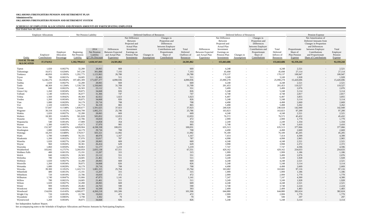## **SCHEDULE OF EMPLOYER ALLOCATIONS AND PENSION AMOUNTS BY PARTICIPATING EMPLOYER**

| Year Ended June 30, 2014               |                             |                                      |                                       |                                                   |                                                                         |                                                                                                                              |                                |                                                                                                                                    |                                               |                                                                         |                                                                                                                              |                                  |                                                                                                                                    |                                              |                                                             |                                                                                                                                                                                     |                                         |
|----------------------------------------|-----------------------------|--------------------------------------|---------------------------------------|---------------------------------------------------|-------------------------------------------------------------------------|------------------------------------------------------------------------------------------------------------------------------|--------------------------------|------------------------------------------------------------------------------------------------------------------------------------|-----------------------------------------------|-------------------------------------------------------------------------|------------------------------------------------------------------------------------------------------------------------------|----------------------------------|------------------------------------------------------------------------------------------------------------------------------------|----------------------------------------------|-------------------------------------------------------------|-------------------------------------------------------------------------------------------------------------------------------------------------------------------------------------|-----------------------------------------|
|                                        | <b>Employer Allocations</b> |                                      |                                       | Net Pension Liability                             |                                                                         |                                                                                                                              | Deferred Outflows of Resources |                                                                                                                                    |                                               |                                                                         |                                                                                                                              | Deferred Inflows of Resources    |                                                                                                                                    |                                              |                                                             | Pension Expense                                                                                                                                                                     |                                         |
| Entity                                 | Employer<br>Contributions   | Employer<br>Allocation<br>Percentage | Beginning<br>Net Pension<br>Liability | 2014<br>Net Pension<br>Liability<br>@7.5% Discoun | Differences<br><b>Between Expected</b><br>and Actual Plan<br>Experience | Net Difference<br>Between<br>Projected and<br><b>Actual Plan</b><br>Investment<br>Earnings on<br>Pension Plan<br>Investments | Changes in<br>Assumptions      | Changes in<br>Proportion and<br>Differences<br>between Employer<br>Contributions and<br>Proportionate<br>Share of<br>Contributions | Total<br>Deferred<br>Outflows of<br>Resources | Differences<br><b>Between Expected</b><br>and Actual Plan<br>Experience | Net Difference<br>Between<br>Projected and<br><b>Actual Plan</b><br>Investment<br>Earnings on<br>Pension Plan<br>Investments | Changes in<br><b>Assumptions</b> | Changes in<br>Proportion and<br>Differences<br>between Employer<br>Contributions and<br>Proportionate<br>Share of<br>Contributions | Total<br>Deferred<br>Inflows of<br>Resources | Proportionate<br>Share of<br>Plan Pension<br><b>Expense</b> | Net Amortization of<br>Deferred Amounts from<br>Changes in Proportion<br>and Differences<br>between Employer<br>Contributions<br>and Proportionate<br><b>Share of Contributions</b> | Total<br>Employer<br>Pension<br>Expense |
| <b>TOTAL TO BE</b><br><b>ALLOCATED</b> | 37, 374, 912                |                                      | 1,182,799,612                         | 1,028,347,843                                     | 24,501,862                                                              |                                                                                                                              |                                |                                                                                                                                    | 24,501,862                                    | $\sim$                                                                  | 155,663,686                                                                                                                  |                                  |                                                                                                                                    | 155,663,686                                  | 92,359,244                                                  |                                                                                                                                                                                     | 92,359,244                              |
| Tipton                                 | 1,020                       | 0.0027%                              | 32,280                                | 28,065                                            | 669                                                                     |                                                                                                                              |                                | $\overline{\phantom{0}}$                                                                                                           | 669                                           | $\overline{a}$                                                          | 4,248                                                                                                                        |                                  |                                                                                                                                    | 4,248                                        | 2,521                                                       | $\sim$                                                                                                                                                                              | 2,521                                   |
| Tishomingo                             | 10,972                      | 0.0294%                              | 347,230                               | 301,888                                           | 7,193                                                                   |                                                                                                                              |                                | $\sim$                                                                                                                             | 7,193                                         | $\sim$                                                                  | 45,698                                                                                                                       |                                  |                                                                                                                                    | 45,698                                       | 27,114                                                      | $\sim$                                                                                                                                                                              | 27,114                                  |
| Tonkawa                                | 40,850                      | 0.1093%                              | 1,292,775                             | 1,123,963                                         | 26,780                                                                  |                                                                                                                              |                                | $\overline{\phantom{0}}$                                                                                                           | 26,780                                        | $\sim$                                                                  | 170,137                                                                                                                      |                                  |                                                                                                                                    | 170,137                                      | 100,947                                                     | $\sim$                                                                                                                                                                              | 100,947                                 |
| Tryon                                  | 780                         | 0.0021%                              | 24,685                                | 21,461                                            | 511                                                                     |                                                                                                                              |                                | $\overline{\phantom{0}}$                                                                                                           | 511                                           | $\sim$                                                                  | 3,249                                                                                                                        |                                  |                                                                                                                                    | 3,249                                        | 1,928                                                       | $\sim$                                                                                                                                                                              | 1,928                                   |
| Tulsa                                  | 6,240,276                   | 16.6964%                             | 197,485,309                           | 171,697,377                                       | 4,090,936                                                               |                                                                                                                              |                                | $\sim$                                                                                                                             | 4,090,936                                     | $\sim$                                                                  | 25,990,278                                                                                                                   |                                  | $\sim$                                                                                                                             | 25,990,278                                   | 15,420,696                                                  | $\sim$                                                                                                                                                                              | 15,420,696                              |
| Tushka                                 | 1,020                       | 0.0027%                              | 32,280                                | 28,065                                            | 669                                                                     |                                                                                                                              |                                | $-$                                                                                                                                | 669                                           | $\overline{a}$                                                          | 4,248                                                                                                                        | $\overline{\phantom{0}}$         |                                                                                                                                    | 4,248                                        | 2,521                                                       | $\sim$                                                                                                                                                                              | 2,521                                   |
| Tuttle                                 | 48,369                      | 0.1294%                              | 1,530,728                             | 1,330,843                                         | 31,709                                                                  |                                                                                                                              |                                |                                                                                                                                    | 31,709                                        |                                                                         | 201,453                                                                                                                      |                                  |                                                                                                                                    | 201,453                                      | 119,527                                                     |                                                                                                                                                                                     | 119,527                                 |
|                                        | 840                         | 0.0022%                              | 26,583                                | 23,112                                            | 551                                                                     |                                                                                                                              |                                | $\overline{\phantom{0}}$                                                                                                           |                                               | $\overline{a}$                                                          | 3,499                                                                                                                        |                                  | $\sim$                                                                                                                             | 3,499                                        | 2,076                                                       | $\sim$                                                                                                                                                                              | 2,076                                   |
| Tyrone                                 |                             |                                      |                                       |                                                   |                                                                         |                                                                                                                              |                                | $\overline{\phantom{0}}$                                                                                                           | 551                                           | $\overline{a}$                                                          |                                                                                                                              |                                  |                                                                                                                                    |                                              |                                                             | $\sim$                                                                                                                                                                              |                                         |
| <b>Union City</b>                      | 1,260                       | 0.0034%                              | 39,875                                | 34,668                                            | 826                                                                     |                                                                                                                              |                                |                                                                                                                                    | 826<br>747                                    | $\overline{a}$                                                          | 5,248                                                                                                                        |                                  |                                                                                                                                    | 5,248                                        | 3,114<br>2,817                                              | $\sim$                                                                                                                                                                              | 3,114                                   |
| Valliant                               | 1,140                       | 0.0031%                              | 36,077                                | 31,366                                            | 747                                                                     |                                                                                                                              |                                |                                                                                                                                    |                                               | $\overline{\phantom{a}}$                                                | 4,748                                                                                                                        |                                  |                                                                                                                                    | 4,748                                        |                                                             | $\sim$                                                                                                                                                                              | 2,817                                   |
| Velma                                  | 1,560                       | 0.0042%                              | 49,369                                | 42,922                                            | 1,023                                                                   |                                                                                                                              |                                |                                                                                                                                    | 1,023                                         | $\sim$                                                                  | 6,497                                                                                                                        |                                  |                                                                                                                                    | 6,497                                        | 3,855                                                       | $\sim$                                                                                                                                                                              | 3,855                                   |
| Verden                                 | 1,260                       | 0.0034%                              | 39,875                                | 34,668                                            | 826                                                                     |                                                                                                                              |                                |                                                                                                                                    | 826                                           | $\overline{a}$                                                          | 5,248                                                                                                                        |                                  |                                                                                                                                    | 5,248                                        | 3,114                                                       | $\sim$                                                                                                                                                                              | 3,114                                   |
| Vian                                   | 1,080                       | 0.0029%                              | 34,179                                | 29,716                                            | 708                                                                     |                                                                                                                              |                                | $\overline{\phantom{0}}$                                                                                                           | 708                                           | $\overline{a}$                                                          | 4,498                                                                                                                        |                                  | $\sim$                                                                                                                             | 4,498                                        | 2,669                                                       | $\sim$                                                                                                                                                                              | 2,669                                   |
| Vici                                   | 1,320                       | 0.0035%                              | 41,774                                | 36,319                                            | 865                                                                     |                                                                                                                              |                                | $\overline{\phantom{0}}$                                                                                                           | 865                                           | $\overline{a}$                                                          | 5,498                                                                                                                        |                                  |                                                                                                                                    | 5,498                                        | 3,262                                                       | $\sim$                                                                                                                                                                              | 3,262                                   |
| Vinita                                 | 57,847                      | 0.1548%                              | 1,830,677                             | 1,591,625                                         | 37,923                                                                  |                                                                                                                              |                                |                                                                                                                                    | 37,923                                        | $\overline{a}$                                                          | 240,928                                                                                                                      |                                  |                                                                                                                                    | 240,928                                      | 142,949                                                     | $\sim$                                                                                                                                                                              | 142,949                                 |
| Wagoner                                | 39,334                      | 0.1052%                              | 1,244,799                             | 1,082,251                                         | 25,786                                                                  |                                                                                                                              |                                | $\overline{\phantom{0}}$                                                                                                           | 25,786                                        | $-$                                                                     | 163,823                                                                                                                      |                                  | $-$                                                                                                                                | 163,823                                      | 97,200                                                      | $\sim$                                                                                                                                                                              | 97,200                                  |
| Wakita                                 | 1,020                       | 0.0027%                              | 32,280                                | 28,065                                            | 669                                                                     |                                                                                                                              |                                | $\sim$                                                                                                                             | 669                                           | $\sim$                                                                  | 4,248                                                                                                                        |                                  |                                                                                                                                    | 4,248                                        | 2,521                                                       | $\sim$                                                                                                                                                                              | 2,521                                   |
| Walters                                | 18,385                      | 0.0492%                              | 581,828                               | 505,852                                           | 12,053                                                                  |                                                                                                                              |                                | $\overline{\phantom{0}}$                                                                                                           | 12,053                                        | $\overline{a}$                                                          | 76,572                                                                                                                       |                                  |                                                                                                                                    | 76,572                                       | 45,432                                                      | $\sim$                                                                                                                                                                              | 45,432                                  |
| Wanette                                | 720                         | 0.0019%                              | 22,786                                | 19,810                                            | 472                                                                     |                                                                                                                              |                                | $\overline{\phantom{0}}$                                                                                                           | 472                                           | $\overline{a}$                                                          | 2,999                                                                                                                        |                                  |                                                                                                                                    | 2,999                                        | 1,779                                                       | $\sim$                                                                                                                                                                              | 1,779                                   |
| Wapanucka                              | 540                         | 0.0014%                              | 17,089                                | 14,858                                            | 354                                                                     |                                                                                                                              |                                |                                                                                                                                    | 354                                           |                                                                         | 2,249                                                                                                                        |                                  |                                                                                                                                    | 2,249                                        | 1,334                                                       | $\overline{a}$                                                                                                                                                                      | 1,334                                   |
| Warner                                 | 1,380                       | 0.0037%                              | 43,673                                | 37,970                                            | 905                                                                     |                                                                                                                              |                                |                                                                                                                                    | 905                                           |                                                                         | 5,748                                                                                                                        |                                  |                                                                                                                                    | 5,748                                        | 3,410                                                       |                                                                                                                                                                                     | 3,410                                   |
| Warr Acres                             | 152,587                     | 0.4083%                              | 4,828,904                             | 4,198,338                                         | 100,031                                                                 |                                                                                                                              |                                |                                                                                                                                    | 100,031                                       | $\sim$                                                                  | 635,513                                                                                                                      |                                  |                                                                                                                                    | 635,513                                      | 377,066                                                     | $\sim$                                                                                                                                                                              | 377,066                                 |
| Washington                             | 1,080                       | 0.0029%                              | 34,179                                | 29,716                                            | 708                                                                     |                                                                                                                              |                                | $\sim$                                                                                                                             | 708                                           | $\sim$                                                                  | 4,498                                                                                                                        | $\overline{\phantom{a}}$         |                                                                                                                                    | 4,498                                        | 2,669                                                       | $\sim$                                                                                                                                                                              | 2,669                                   |
| Watonga                                | 18,293                      | 0.0489%                              | 578,917                               | 503,321                                           | 11,992                                                                  |                                                                                                                              |                                | $\sim$                                                                                                                             | 11,992                                        | $\sim$                                                                  | 76,189                                                                                                                       |                                  |                                                                                                                                    | 76,189                                       | 45,205                                                      | $\sim$                                                                                                                                                                              | 45,205                                  |
| Watts                                  | 1,780                       | 0.0048%                              | 56,331                                | 48,976                                            | 1,167                                                                   |                                                                                                                              |                                | $\sim$                                                                                                                             | 1,167                                         | $\sim$                                                                  | 7,414                                                                                                                        | $\sim$                           | $-$                                                                                                                                | 7,414                                        | 4,399                                                       | $\sim$                                                                                                                                                                              | 4,399                                   |
| Waukomis                               | 1,200                       | 0.0032%                              | 37,976                                | 33,017                                            | 787                                                                     |                                                                                                                              |                                | $\overline{\phantom{0}}$                                                                                                           | 787                                           | $\sim$                                                                  | 4,998                                                                                                                        |                                  |                                                                                                                                    | 4,998                                        | 2,965                                                       | $\sim$                                                                                                                                                                              | 2,965                                   |
| Waurika                                | 1,020                       | 0.0027%                              | 32,280                                | 28,065                                            | 669                                                                     |                                                                                                                              |                                |                                                                                                                                    | 669                                           | $\sim$                                                                  | 4,248                                                                                                                        |                                  |                                                                                                                                    | 4,248                                        | 2,521                                                       | $\sim$                                                                                                                                                                              | 2,521                                   |
| Wayne                                  | 960                         | 0.0026%                              | 30,381                                | 26,414                                            | 629                                                                     |                                                                                                                              |                                | $\overline{\phantom{a}}$                                                                                                           | 629                                           | $\overline{a}$                                                          | 3,998                                                                                                                        |                                  | $-$                                                                                                                                | 3,998                                        | 2,372                                                       | $\sim$                                                                                                                                                                              | 2,372                                   |
| Waynoka                                | 1,860                       | 0.0050%                              | 58,863                                | 51,177                                            | 1,219                                                                   |                                                                                                                              |                                | $\sim$                                                                                                                             | 1,219                                         | $\overline{a}$                                                          | 7,747                                                                                                                        | $\sim$                           |                                                                                                                                    | 7,747                                        | 4,596                                                       | $\sim$                                                                                                                                                                              | 4,596                                   |
| Weatherford                            | 103,042                     | 0.2757%                              | 3,260,959                             | 2,835,138                                         | 67,551                                                                  |                                                                                                                              |                                | $\overline{\phantom{0}}$                                                                                                           | 67,551                                        | $\overline{a}$                                                          | 429,162                                                                                                                      |                                  |                                                                                                                                    | 429,162                                      | 254,633                                                     | $\sim$                                                                                                                                                                              | 254,633                                 |
| <b>Webbers Falls</b>                   | 480                         | 0.0013%                              | 15,191                                | 13,207                                            | 315                                                                     |                                                                                                                              |                                | $\sim$                                                                                                                             | 315                                           | $\sim$                                                                  | 1,999                                                                                                                        |                                  |                                                                                                                                    | 1,999                                        | 1,186                                                       | $\sim$                                                                                                                                                                              | 1,186                                   |
| Welch                                  | 840                         | 0.0022%                              | 26,583                                | 23,112                                            | 551                                                                     |                                                                                                                              |                                |                                                                                                                                    | 551                                           | $\sim$                                                                  | 3,499                                                                                                                        | $\overline{\phantom{a}}$         |                                                                                                                                    | 3,499                                        | 2,076                                                       | $\sim$                                                                                                                                                                              | 2,076                                   |
| Weleetka                               | 780                         | 0.0021%                              | 24,685                                | 21,461                                            | 511                                                                     |                                                                                                                              |                                |                                                                                                                                    | 511                                           | $\sim$                                                                  | 3,249                                                                                                                        | $\sim$                           |                                                                                                                                    | 3,249                                        | 1,928                                                       | $\sim$                                                                                                                                                                              | 1,928                                   |
| Wellston                               | 1,020                       | 0.0027%                              | 32,280                                | 28,065                                            | 669                                                                     |                                                                                                                              |                                | $\overline{\phantom{a}}$                                                                                                           | 669                                           | $\overline{a}$                                                          | 4,248                                                                                                                        |                                  | $-$                                                                                                                                | 4,248                                        | 2,521                                                       | $\sim$                                                                                                                                                                              | 2,521                                   |
| Westville                              | 1,260                       | 0.0034%                              | 39,875                                | 34,668                                            | 826                                                                     |                                                                                                                              |                                | $\overline{\phantom{a}}$                                                                                                           | 826                                           | $\overline{a}$                                                          | 5,248                                                                                                                        | $\overline{\phantom{a}}$         |                                                                                                                                    | 5,248                                        | 3,114                                                       | $\sim$                                                                                                                                                                              | 3,114                                   |
| Wetumka                                | 1,080                       | 0.0029%                              | 34,179                                | 29,716                                            | 708                                                                     |                                                                                                                              |                                | $\overline{\phantom{0}}$                                                                                                           | 708                                           | $\overline{\phantom{a}}$                                                | 4,498                                                                                                                        | $\sim$                           | $\overline{\phantom{0}}$                                                                                                           | 4,498                                        | 2,669                                                       | $\sim$                                                                                                                                                                              | 2,669                                   |
| Wewoka                                 | 39,300                      | 0.1052%                              | 1,243,723                             | 1,081,315                                         | 25,764                                                                  |                                                                                                                              |                                | $\sim$                                                                                                                             | 25,764                                        | $\overline{a}$                                                          | 163,682                                                                                                                      |                                  | $\overline{\phantom{0}}$                                                                                                           | 163,682                                      | 97,116                                                      | $\sim$                                                                                                                                                                              | 97,116                                  |
| Whitefield                             | 480                         | 0.0013%                              | 15,191                                | 13,207                                            | 315                                                                     |                                                                                                                              |                                | $\overline{\phantom{0}}$                                                                                                           | 315                                           | $\overline{a}$                                                          | 1,999                                                                                                                        | $\overline{\phantom{0}}$         |                                                                                                                                    | 1,999                                        | 1,186                                                       | $\sim$                                                                                                                                                                              | 1,186                                   |
| Whitehorn                              | 720                         | 0.0019%                              | 22,786                                | 19,810                                            | 472                                                                     |                                                                                                                              |                                | $\overline{\phantom{0}}$                                                                                                           | 472                                           | $\sim$                                                                  | 2,999                                                                                                                        |                                  |                                                                                                                                    | 2,999                                        | 1,779                                                       | $\sim$                                                                                                                                                                              | 1,779                                   |
| Wilburton                              | 1,740                       | 0.0047%                              | 55,066                                | 47,875                                            | 1,141                                                                   |                                                                                                                              |                                | $\overline{\phantom{a}}$                                                                                                           | 1,141                                         |                                                                         | 7,247                                                                                                                        |                                  |                                                                                                                                    | 7,247                                        | 4,300                                                       | $\sim$                                                                                                                                                                              | 4,300                                   |
| Willow                                 | 780                         | 0.0021%                              | 24,685                                | 21,461                                            | 511                                                                     |                                                                                                                              |                                |                                                                                                                                    | 511                                           | $\sim$                                                                  | 3,249                                                                                                                        |                                  |                                                                                                                                    | 3,249                                        | 1,928                                                       |                                                                                                                                                                                     | 1,928                                   |
|                                        |                             |                                      |                                       |                                                   |                                                                         |                                                                                                                              |                                | $\overline{\phantom{a}}$                                                                                                           |                                               | $\overline{a}$                                                          |                                                                                                                              | $\overline{\phantom{a}}$         |                                                                                                                                    |                                              |                                                             | $\sim$                                                                                                                                                                              |                                         |
| Wilson                                 | 1,020                       | 0.0027%                              | 32,280                                | 28,065                                            | 669                                                                     |                                                                                                                              |                                | $\overline{\phantom{0}}$                                                                                                           | 669                                           | $\sim$                                                                  | 4,248                                                                                                                        |                                  | $-$                                                                                                                                | 4,248                                        | 2,521<br>2,224                                              | $\sim$                                                                                                                                                                              | 2,521<br>2,224                          |
| Wister                                 | 900                         | 0.0024%                              | 28,482                                | 24,763                                            | 590                                                                     |                                                                                                                              | $\overline{\phantom{a}}$       | $\sim$                                                                                                                             | 590                                           | $\overline{a}$                                                          | 3,748                                                                                                                        |                                  |                                                                                                                                    | 3,748                                        |                                                             | $\sim$                                                                                                                                                                              |                                         |
| Woodcrest                              | 600                         | 0.0016%                              | 18,988                                | 16,509                                            | 393                                                                     |                                                                                                                              |                                |                                                                                                                                    | 393                                           | $\overline{a}$                                                          | 2,499                                                                                                                        | $\sim$                           |                                                                                                                                    | 2,499                                        | 1,483                                                       | $\sim$                                                                                                                                                                              | 1,483                                   |
| Woodward                               | 154,836                     | 0.4143%                              | 4,900,077                             | 4,260,218                                         | 101,506                                                                 |                                                                                                                              |                                | $\sim$                                                                                                                             | 101,506                                       | $\sim$                                                                  | 644,880                                                                                                                      |                                  | $\sim$                                                                                                                             | 644,880                                      | 382,624                                                     | $\sim$                                                                                                                                                                              | 382,624                                 |
| Wright City                            | 720                         | 0.0019%                              | 22,786                                | 19,810                                            | 472                                                                     |                                                                                                                              |                                | $\sim$                                                                                                                             | 472                                           | $\sim$                                                                  | 2,999                                                                                                                        |                                  | $-$                                                                                                                                | 2,999                                        | 1,779                                                       | $\sim$                                                                                                                                                                              | 1,779                                   |
| Wyandotte                              | 120                         | 0.0003%                              | 3,798                                 | 3,302                                             | 79                                                                      |                                                                                                                              |                                |                                                                                                                                    | 79                                            | $\overline{a}$                                                          | 500                                                                                                                          |                                  |                                                                                                                                    | 500                                          | 297                                                         | $\sim$                                                                                                                                                                              | 297                                     |
| Wynnewood                              | 1,260                       | 0.0034%                              | 39,875                                | 34,668                                            | 826                                                                     | $\sim$                                                                                                                       | $\overline{\phantom{a}}$       | $\sim$                                                                                                                             | 826                                           | $\sim$                                                                  | 5,248                                                                                                                        | $\sim$                           |                                                                                                                                    | 5,248                                        | 3,114                                                       | $\sim$                                                                                                                                                                              | 3,114                                   |

See Independent Auditors' Report.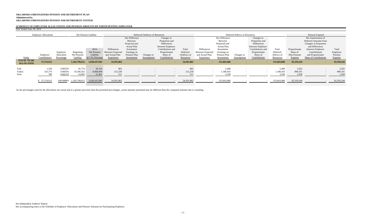*Year Ended June 30, 2014*

#### **OKLAHOMA FIREFIGHTERS PENSION AND RETIREMENT PLAN Administered by OKLAHOMA FIREFIGHTERS PENSION AND RETIREMENT SYSTEM**

## **SCHEDULE OF EMPLOYER ALLOCATIONS AND PENSION AMOUNTS BY PARTICIPATING EMPLOYER**

| <i>rear Ended June 50, 2014</i>        |                                          |                                            |                                                 |                                                    |                                                                         |                                                                                                                              |                                  |                                                                                                                                    |                                                      |                                                                  |                                                                                                                              |                                  |                                                                                                                                    |                                                     |                                                             |                                                                                                                                                                                     |                                                |
|----------------------------------------|------------------------------------------|--------------------------------------------|-------------------------------------------------|----------------------------------------------------|-------------------------------------------------------------------------|------------------------------------------------------------------------------------------------------------------------------|----------------------------------|------------------------------------------------------------------------------------------------------------------------------------|------------------------------------------------------|------------------------------------------------------------------|------------------------------------------------------------------------------------------------------------------------------|----------------------------------|------------------------------------------------------------------------------------------------------------------------------------|-----------------------------------------------------|-------------------------------------------------------------|-------------------------------------------------------------------------------------------------------------------------------------------------------------------------------------|------------------------------------------------|
|                                        | <b>Employer Allocations</b>              |                                            |                                                 | Net Pension Liability                              |                                                                         |                                                                                                                              | Deferred Outflows of Resources   |                                                                                                                                    |                                                      |                                                                  |                                                                                                                              | Deferred Inflows of Resources    |                                                                                                                                    |                                                     |                                                             | Pension Expense                                                                                                                                                                     |                                                |
| Entity                                 | Employer<br>Contributions                | Employer<br>Allocation<br>Percentage       | Beginning<br>Net Pension<br>Liability           | 2014<br>Net Pension<br>Liability<br>@7.5% Discount | Differences<br><b>Between Expected</b><br>and Actual Plan<br>Experience | Net Difference<br>Between<br>Projected and<br><b>Actual Plan</b><br>Investment<br>Earnings on<br>Pension Plan<br>Investments | Changes in<br><b>Assumptions</b> | Changes in<br>Proportion and<br>Differences<br>between Employer<br>Contributions and<br>Proportionate<br>Share of<br>Contributions | Total<br>Deferred<br>Outflows of<br><b>Resources</b> | Differences<br>Between Expected<br>and Actual Plan<br>Experience | Net Difference<br>Between<br>Projected and<br><b>Actual Plan</b><br>Investment<br>Earnings on<br>Pension Plan<br>Investments | Changes in<br><b>Assumptions</b> | Changes in<br>Proportion and<br>Differences<br>between Employer<br>Contributions and<br>Proportionate<br>Share of<br>Contributions | Total<br>Deferred<br>Inflows of<br><b>Resources</b> | Proportionate<br>Share of<br>Plan Pension<br><b>Expense</b> | Net Amortization of<br>Deferred Amounts from<br>Changes in Proportion<br>and Differences<br>between Employer<br>Contributions<br>and Proportionate<br><b>Share of Contributions</b> | Total<br>Employer<br>Pension<br><b>Expense</b> |
| <b>TOTAL TO BE</b><br><b>ALLOCATED</b> | 37, 374, 912                             |                                            | 1,182,799,612                                   | 1,028,347,843                                      | 24,501,862                                                              |                                                                                                                              |                                  | <b>Contract</b>                                                                                                                    | 24,501,862                                           | <b>Contract</b>                                                  | 155,663,686                                                                                                                  | $\sim$                           | $\sim 100$                                                                                                                         | 155,663,686                                         | 92,359,244                                                  | <b>Contract Contract Contract</b>                                                                                                                                                   | 92,359,244                                     |
| Yale<br>Yukon<br>Zena                  | 1,320<br>323,776<br>780<br>\$ 37,374,912 | 0.0035%<br>0.8663%<br>0.0021%<br>100.0000% | 41,774<br>10,246,502<br>24,685<br>1,182,799,612 | 36,319<br>8,908,499<br>21,461<br>1,028,347,843     | 865<br>212,258<br>511<br>24,501,862                                     |                                                                                                                              | $-$<br>$\overline{\phantom{0}}$  | $\sim$<br>$\sim$ 100 $\mu$                                                                                                         | 865<br>212,258<br>511<br>24,501,862                  |                                                                  | 5,498<br>,348,503<br>3,249<br>155,663,686                                                                                    | $\overline{\phantom{0}}$         | $\sim$                                                                                                                             | 5,498<br>1,348,503<br>3,249<br>155,663,686          | 3,262<br>800,101<br>1,928<br>92,359,244                     | $\sim$<br>$\sim$                                                                                                                                                                    | 3,262<br>800,101<br>1,928<br>92,359,244        |

As the percentages used for the allocations are actual and to a greater precision than the presented percentages, actual amounts presented may be different than the computed amounts due to rounding.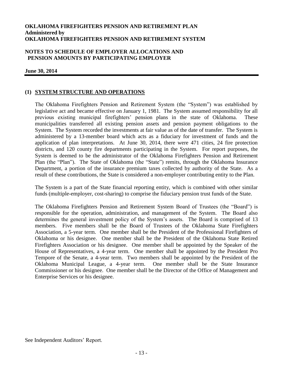#### **NOTES TO SCHEDULE OF EMPLOYER ALLOCATIONS AND PENSION AMOUNTS BY PARTICIPATING EMPLOYER**

#### **June 30, 2014**

#### **(1) SYSTEM STRUCTURE AND OPERATIONS**

The Oklahoma Firefighters Pension and Retirement System (the "System") was established by legislative act and became effective on January 1, 1981. The System assumed responsibility for all previous existing municipal firefighters' pension plans in the state of Oklahoma. These municipalities transferred all existing pension assets and pension payment obligations to the System. The System recorded the investments at fair value as of the date of transfer. The System is administered by a 13-member board which acts as a fiduciary for investment of funds and the application of plan interpretations. At June 30, 2014, there were 471 cities, 24 fire protection districts, and 120 county fire departments participating in the System. For report purposes, the System is deemed to be the administrator of the Oklahoma Firefighters Pension and Retirement Plan (the "Plan"). The State of Oklahoma (the "State") remits, through the Oklahoma Insurance Department, a portion of the insurance premium taxes collected by authority of the State. As a result of these contributions, the State is considered a non-employer contributing entity to the Plan.

The System is a part of the State financial reporting entity, which is combined with other similar funds (multiple-employer, cost-sharing) to comprise the fiduciary pension trust funds of the State.

The Oklahoma Firefighters Pension and Retirement System Board of Trustees (the "Board") is responsible for the operation, administration, and management of the System. The Board also determines the general investment policy of the System's assets. The Board is comprised of 13 members. Five members shall be the Board of Trustees of the Oklahoma State Firefighters Association, a 5-year term. One member shall be the President of the Professional Firefighters of Oklahoma or his designee. One member shall be the President of the Oklahoma State Retired Firefighters Association or his designee. One member shall be appointed by the Speaker of the House of Representatives, a 4-year term. One member shall be appointed by the President Pro Tempore of the Senate, a 4-year term. Two members shall be appointed by the President of the Oklahoma Municipal League, a 4-year term. One member shall be the State Insurance Commissioner or his designee. One member shall be the Director of the Office of Management and Enterprise Services or his designee.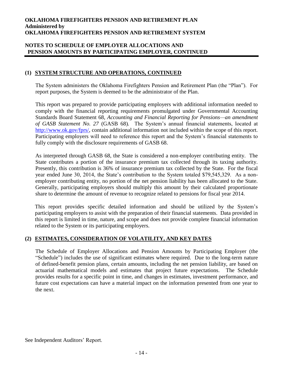#### **NOTES TO SCHEDULE OF EMPLOYER ALLOCATIONS AND PENSION AMOUNTS BY PARTICIPATING EMPLOYER, CONTINUED**

### **(1) SYSTEM STRUCTURE AND OPERATIONS, CONTINUED**

The System administers the Oklahoma Firefighters Pension and Retirement Plan (the "Plan"). For report purposes, the System is deemed to be the administrator of the Plan.

This report was prepared to provide participating employers with additional information needed to comply with the financial reporting requirements promulgated under Governmental Accounting Standards Board Statement 68*, Accounting and Financial Reporting for Pensions—an amendment of GASB Statement No. 27* (GASB 68)*.* The System's annual financial statements, located at [http://www.ok.gov/fprs/,](http://www.ok.gov/fprs/) contain additional information not included within the scope of this report. Participating employers will need to reference this report and the System's financial statements to fully comply with the disclosure requirements of GASB 68.

As interpreted through GASB 68, the State is considered a non-employer contributing entity. The State contributes a portion of the insurance premium tax collected through its taxing authority. Presently, this contribution is 36% of insurance premium tax collected by the State. For the fiscal year ended June 30, 2014, the State's contribution to the System totaled \$79,545,329. As a nonemployer contributing entity, no portion of the net pension liability has been allocated to the State. Generally, participating employers should multiply this amount by their calculated proportionate share to determine the amount of revenue to recognize related to pensions for fiscal year 2014.

This report provides specific detailed information and should be utilized by the System's participating employers to assist with the preparation of their financial statements. Data provided in this report is limited in time, nature, and scope and does not provide complete financial information related to the System or its participating employers.

#### **(2) ESTIMATES, CONSIDERATION OF VOLATILITY, AND KEY DATES**

The Schedule of Employer Allocations and Pension Amounts by Participating Employer (the "Schedule") includes the use of significant estimates where required. Due to the long-term nature of defined-benefit pension plans, certain amounts, including the net pension liability, are based on actuarial mathematical models and estimates that project future expectations. The Schedule provides results for a specific point in time, and changes in estimates, investment performance, and future cost expectations can have a material impact on the information presented from one year to the next.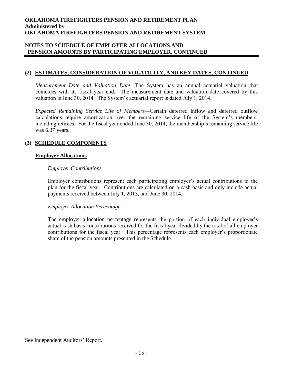#### **NOTES TO SCHEDULE OF EMPLOYER ALLOCATIONS AND PENSION AMOUNTS BY PARTICIPATING EMPLOYER, CONTINUED**

#### **(2) ESTIMATES, CONSIDERATION OF VOLATILITY, AND KEY DATES, CONTINUED**

*Measurement Date and Valuation Date—*The System has an annual actuarial valuation that coincides with its fiscal year end. The measurement date and valuation date covered by this valuation is June 30, 2014. The System's actuarial report is dated July 1, 2014.

*Expected Remaining Service Life of Members—*Certain deferred inflow and deferred outflow calculations require amortization over the remaining service life of the System's members, including retirees. For the fiscal year ended June 30, 2014, the membership's remaining service life was 6.37 years.

#### **(3) SCHEDULE COMPONENTS**

#### **Employer Allocations**

#### *Employer Contributions*

Employer contributions represent each participating employer's actual contributions to the plan for the fiscal year. Contributions are calculated on a cash basis and only include actual payments received between July 1, 2013, and June 30, 2014.

#### *Employer Allocation Percentage*

The employer allocation percentage represents the portion of each individual employer's actual cash basis contributions received for the fiscal year divided by the total of all employer contributions for the fiscal year. This percentage represents each employer's proportionate share of the pension amounts presented in the Schedule.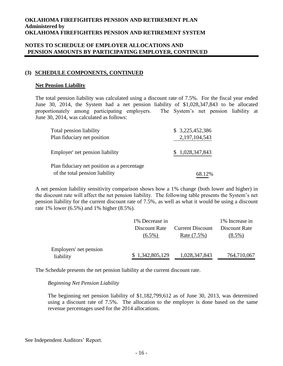#### **NOTES TO SCHEDULE OF EMPLOYER ALLOCATIONS AND PENSION AMOUNTS BY PARTICIPATING EMPLOYER, CONTINUED**

### **(3) SCHEDULE COMPONENTS, CONTINUED**

#### **Net Pension Liability**

The total pension liability was calculated using a discount rate of 7.5%. For the fiscal year ended June 30, 2014, the System had a net pension liability of \$1,028,347,843 to be allocated proportionately among participating employers. The System's net pension liability at June 30, 2014, was calculated as follows:

| Total pension liability<br>Plan fiduciary net position                        | \$3,225,452,386<br>2, 197, 104, 543 |
|-------------------------------------------------------------------------------|-------------------------------------|
| Employer' net pension liability                                               | \$1,028,347,843                     |
| Plan fiduciary net position as a percentage<br>of the total pension liability | 68.12%                              |

A net pension liability sensitivity comparison shows how a 1% change (both lower and higher) in the discount rate will affect the net pension liability. The following table presents the System's net pension liability for the current discount rate of 7.5%, as well as what it would be using a discount rate 1% lower (6.5%) and 1% higher (8.5%).

|                        | 1% Decrease in  |                         | 1% Increase in |
|------------------------|-----------------|-------------------------|----------------|
|                        | Discount Rate   | <b>Current Discount</b> | Discount Rate  |
|                        | $(6.5\%)$       | Rate (7.5%)             | $(8.5\%)$      |
| Employers' net pension |                 |                         |                |
| liability              | \$1,342,805,129 | 1,028,347,843           | 764,710,067    |

The Schedule presents the net pension liability at the current discount rate.

#### *Beginning Net Pension Liability*

The beginning net pension liability of \$1,182,799,612 as of June 30, 2013, was determined using a discount rate of 7.5%. The allocation to the employer is done based on the same revenue percentages used for the 2014 allocations.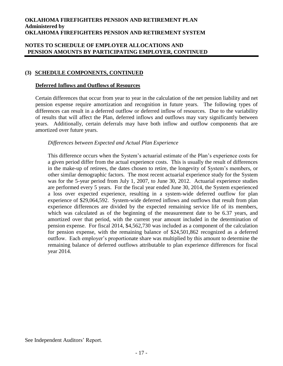#### **NOTES TO SCHEDULE OF EMPLOYER ALLOCATIONS AND PENSION AMOUNTS BY PARTICIPATING EMPLOYER, CONTINUED**

#### **(3) SCHEDULE COMPONENTS, CONTINUED**

#### **Deferred Inflows and Outflows of Resources**

Certain differences that occur from year to year in the calculation of the net pension liability and net pension expense require amortization and recognition in future years. The following types of differences can result in a deferred outflow or deferred inflow of resources. Due to the variability of results that will affect the Plan, deferred inflows and outflows may vary significantly between years. Additionally, certain deferrals may have both inflow and outflow components that are amortized over future years.

#### *Differences between Expected and Actual Plan Experience*

This difference occurs when the System's actuarial estimate of the Plan's experience costs for a given period differ from the actual experience costs. This is usually the result of differences in the make-up of retirees, the dates chosen to retire, the longevity of System's members, or other similar demographic factors. The most recent actuarial experience study for the System was for the 5-year period from July 1, 2007, to June 30, 2012. Actuarial experience studies are performed every 5 years. For the fiscal year ended June 30, 2014, the System experienced a loss over expected experience, resulting in a system-wide deferred outflow for plan experience of \$29,064,592. System-wide deferred inflows and outflows that result from plan experience differences are divided by the expected remaining service life of its members, which was calculated as of the beginning of the measurement date to be 6.37 years, and amortized over that period, with the current year amount included in the determination of pension expense. For fiscal 2014, \$4,562,730 was included as a component of the calculation for pension expense, with the remaining balance of \$24,501,862 recognized as a deferred outflow. Each employer's proportionate share was multiplied by this amount to determine the remaining balance of deferred outflows attributable to plan experience differences for fiscal year 2014.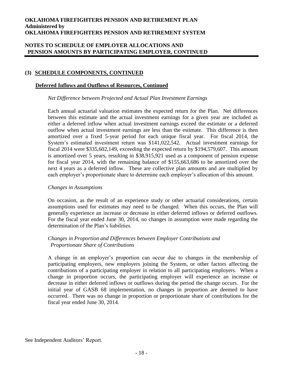#### **NOTES TO SCHEDULE OF EMPLOYER ALLOCATIONS AND PENSION AMOUNTS BY PARTICIPATING EMPLOYER, CONTINUED**

### **(3) SCHEDULE COMPONENTS, CONTINUED**

#### **Deferred Inflows and Outflows of Resources, Continued**

#### *Net Difference between Projected and Actual Plan Investment Earnings*

Each annual actuarial valuation estimates the expected return for the Plan. Net differences between this estimate and the actual investment earnings for a given year are included as either a deferred inflow when actual investment earnings exceed the estimate or a deferred outflow when actual investment earnings are less than the estimate. This difference is then amortized over a fixed 5-year period for each unique fiscal year. For fiscal 2014, the System's estimated investment return was \$141,022,542. Actual investment earnings for fiscal 2014 were \$335,602,149, exceeding the expected return by \$194,579,607. This amount is amortized over 5 years, resulting in \$38,915,921 used as a component of pension expense for fiscal year 2014, with the remaining balance of \$155,663,686 to be amortized over the next 4 years as a deferred inflow. These are collective plan amounts and are multiplied by each employer's proportionate share to determine each employer's allocation of this amount.

#### *Changes in Assumptions*

On occasion, as the result of an experience study or other actuarial considerations, certain assumptions used for estimates may need to be changed. When this occurs, the Plan will generally experience an increase or decrease in either deferred inflows or deferred outflows. For the fiscal year ended June 30, 2014, no changes in assumption were made regarding the determination of the Plan's liabilities.

#### *Changes in Proportion and Differences between Employer Contributions and Proportionate Share of Contributions*

A change in an employer's proportion can occur due to changes in the membership of participating employers, new employers joining the System, or other factors affecting the contributions of a participating employer in relation to all participating employers. When a change in proportion occurs, the participating employer will experience an increase or decrease in either deferred inflows or outflows during the period the change occurs. For the initial year of GASB 68 implementation, no changes in proportion are deemed to have occurred. There was no change in proportion or proportionate share of contributions for the fiscal year ended June 30, 2014.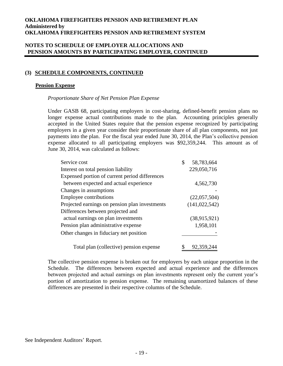#### **NOTES TO SCHEDULE OF EMPLOYER ALLOCATIONS AND PENSION AMOUNTS BY PARTICIPATING EMPLOYER, CONTINUED**

### **(3) SCHEDULE COMPONENTS, CONTINUED**

#### **Pension Expense**

#### *Proportionate Share of Net Pension Plan Expense*

Under GASB 68, participating employers in cost-sharing, defined-benefit pension plans no longer expense actual contributions made to the plan. Accounting principles generally accepted in the United States require that the pension expense recognized by participating employers in a given year consider their proportionate share of all plan components, not just payments into the plan. For the fiscal year ended June 30, 2014, the Plan's collective pension expense allocated to all participating employers was \$92,359,244. This amount as of June 30, 2014, was calculated as follows:

| Service cost                                   | \$<br>58,783,664 |
|------------------------------------------------|------------------|
| Interest on total pension liability            | 229,050,716      |
| Expensed portion of current period differences |                  |
| between expected and actual experience         | 4,562,730        |
| Changes in assumptions                         |                  |
| <b>Employee contributions</b>                  | (22,057,504)     |
| Projected earnings on pension plan investments | (141, 022, 542)  |
| Differences between projected and              |                  |
| actual earnings on plan investments            | (38, 915, 921)   |
| Pension plan administrative expense            | 1,958,101        |
| Other changes in fiduciary net position        |                  |
| Total plan (collective) pension expense        | 92,359,244       |

The collective pension expense is broken out for employers by each unique proportion in the Schedule. The differences between expected and actual experience and the differences between projected and actual earnings on plan investments represent only the current year's portion of amortization to pension expense. The remaining unamortized balances of these differences are presented in their respective columns of the Schedule.